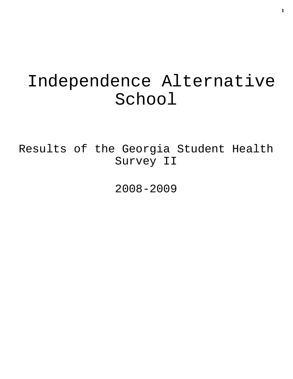# Independence Alternative School

Results of the Georgia Student Health Survey II

2008-2009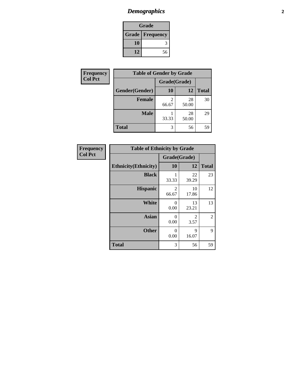# *Demographics* **2**

| Grade |                        |  |  |
|-------|------------------------|--|--|
|       | <b>Grade Frequency</b> |  |  |
| 10    |                        |  |  |
| 12    | 56                     |  |  |

| Frequency      | <b>Table of Gender by Grade</b> |              |             |              |
|----------------|---------------------------------|--------------|-------------|--------------|
| <b>Col Pct</b> |                                 | Grade(Grade) |             |              |
|                | Gender(Gender)                  | 10           | 12          | <b>Total</b> |
|                | <b>Female</b>                   | 66.67        | 28<br>50.00 | 30           |
|                | <b>Male</b>                     | 33.33        | 28<br>50.00 | 29           |
|                | <b>Total</b>                    | 3            | 56          | 59           |

| Frequency |       |
|-----------|-------|
| Col Pct   |       |
|           | Ethni |

| <b>Table of Ethnicity by Grade</b> |              |             |              |  |  |  |
|------------------------------------|--------------|-------------|--------------|--|--|--|
|                                    | Grade(Grade) |             |              |  |  |  |
| <b>Ethnicity</b> (Ethnicity)       | 10           | 12          | <b>Total</b> |  |  |  |
| <b>Black</b>                       | 33.33        | 22<br>39.29 | 23           |  |  |  |
| <b>Hispanic</b>                    | 2<br>66.67   | 10<br>17.86 | 12           |  |  |  |
| <b>White</b>                       | 0<br>0.00    | 13<br>23.21 | 13           |  |  |  |
| <b>Asian</b>                       | 0<br>0.00    | 2<br>3.57   | 2            |  |  |  |
| <b>Other</b>                       | 0<br>0.00    | 9<br>16.07  | 9            |  |  |  |
| <b>Total</b>                       | 3            | 56          | 59           |  |  |  |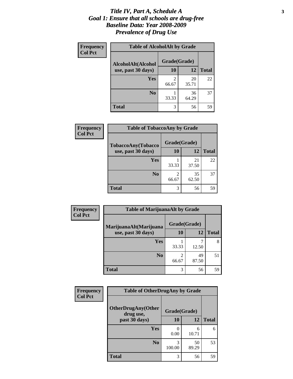#### *Title IV, Part A, Schedule A* **3** *Goal 1: Ensure that all schools are drug-free Baseline Data: Year 2008-2009 Prevalence of Drug Use*

| Frequency<br><b>Col Pct</b> | <b>Table of AlcoholAlt by Grade</b> |              |             |              |  |  |
|-----------------------------|-------------------------------------|--------------|-------------|--------------|--|--|
|                             | AlcoholAlt(Alcohol                  | Grade(Grade) |             |              |  |  |
|                             | use, past 30 days)                  | <b>10</b>    | 12          | <b>Total</b> |  |  |
|                             | Yes                                 | 2<br>66.67   | 20<br>35.71 | 22           |  |  |
|                             | N <sub>0</sub>                      | 33.33        | 36<br>64.29 | 37           |  |  |
|                             | <b>Total</b>                        | 3            | 56          | 59           |  |  |

| Frequency<br><b>Col Pct</b> | <b>Table of TobaccoAny by Grade</b> |              |             |              |  |  |
|-----------------------------|-------------------------------------|--------------|-------------|--------------|--|--|
|                             | TobaccoAny(Tobacco                  | Grade(Grade) |             |              |  |  |
|                             | use, past 30 days)                  | 10           | 12          | <b>Total</b> |  |  |
|                             | <b>Yes</b>                          | 33.33        | 21<br>37.50 | 22           |  |  |
|                             | N <sub>0</sub>                      | 66.67        | 35<br>62.50 | 37           |  |  |
|                             | <b>Total</b>                        | 3            | 56          | 59           |  |  |

| Frequency<br><b>Col Pct</b> | <b>Table of MarijuanaAlt by Grade</b> |                         |             |              |  |
|-----------------------------|---------------------------------------|-------------------------|-------------|--------------|--|
|                             | MarijuanaAlt(Marijuana                | Grade(Grade)            |             |              |  |
|                             | use, past 30 days)                    | 10                      | 12          | <b>Total</b> |  |
|                             | Yes                                   | 33.33                   | 12.50       | 8            |  |
|                             | N <sub>0</sub>                        | $\overline{2}$<br>66.67 | 49<br>87.50 | 51           |  |
|                             | <b>Total</b>                          | 3                       | 56          | 59           |  |

| Frequency<br><b>Col Pct</b> | <b>Table of OtherDrugAny by Grade</b>  |              |             |              |  |
|-----------------------------|----------------------------------------|--------------|-------------|--------------|--|
|                             | <b>OtherDrugAny(Other</b><br>drug use, | Grade(Grade) |             |              |  |
|                             | past 30 days)                          | 10           | <b>12</b>   | <b>Total</b> |  |
|                             | Yes                                    | 0.00         | 6<br>10.71  | 6            |  |
|                             | N <sub>0</sub>                         | 100.00       | 50<br>89.29 | 53           |  |
|                             | <b>Total</b>                           | 3            | 56          | 59           |  |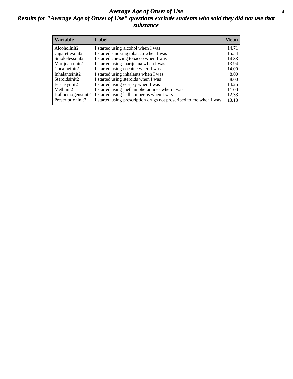#### *Average Age of Onset of Use* **4** *Results for "Average Age of Onset of Use" questions exclude students who said they did not use that substance*

| <b>Variable</b>    | Label                                                              | <b>Mean</b> |
|--------------------|--------------------------------------------------------------------|-------------|
| Alcoholinit2       | I started using alcohol when I was                                 | 14.71       |
| Cigarettesinit2    | I started smoking tobacco when I was                               | 15.54       |
| Smokelessinit2     | I started chewing tobacco when I was                               | 14.83       |
| Marijuanainit2     | I started using marijuana when I was                               | 13.94       |
| Cocaineinit2       | I started using cocaine when I was                                 | 14.00       |
| Inhalantsinit2     | I started using inhalants when I was                               | 8.00        |
| Steroidsinit2      | I started using steroids when I was                                | 8.00        |
| Ecstasyinit2       | I started using ecstasy when I was                                 | 14.25       |
| Methinit2          | I started using methamphetamines when I was                        | 11.00       |
| Hallucinogensinit2 | I started using hallucinogens when I was                           | 12.33       |
| Prescriptioninit2  | I started using prescription drugs not prescribed to me when I was | 13.13       |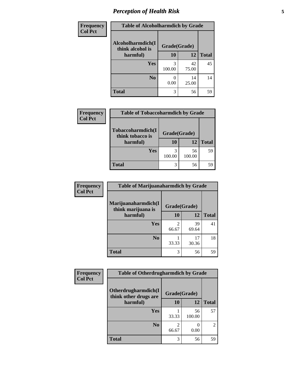# *Perception of Health Risk* **5**

| <b>Frequency</b> | <b>Table of Alcoholharmdich by Grade</b> |              |       |              |  |
|------------------|------------------------------------------|--------------|-------|--------------|--|
| <b>Col Pct</b>   | Alcoholharmdich(I<br>think alcohol is    | Grade(Grade) |       |              |  |
|                  | harmful)                                 | 10           | 12    | <b>Total</b> |  |
|                  | Yes                                      | 3            | 42    | 45           |  |
|                  |                                          | 100.00       | 75.00 |              |  |
|                  | N <sub>0</sub>                           |              | 14    | 14           |  |
|                  |                                          | 0.00         | 25.00 |              |  |
|                  | <b>Total</b>                             | 3            | 56    | 59           |  |

| <b>Frequency</b> | <b>Table of Tobaccoharmdich by Grade</b>          |                          |              |              |  |
|------------------|---------------------------------------------------|--------------------------|--------------|--------------|--|
| <b>Col Pct</b>   | Tobaccoharmdich(I<br>think tobacco is<br>harmful) | Grade(Grade)<br>12<br>10 |              | <b>Total</b> |  |
|                  | Yes                                               | 3<br>100.00              | 56<br>100.00 | 59           |  |
|                  | Total                                             | 3                        | 56           | 59           |  |

| <b>Frequency</b> | <b>Table of Marijuanaharmdich by Grade</b>            |              |             |              |  |
|------------------|-------------------------------------------------------|--------------|-------------|--------------|--|
| <b>Col Pct</b>   | Marijuanaharmdich(I<br>think marijuana is<br>harmful) | Grade(Grade) |             |              |  |
|                  |                                                       | 10           | 12          | <b>Total</b> |  |
|                  | <b>Yes</b>                                            | 2<br>66.67   | 39<br>69.64 | 41           |  |
|                  | N <sub>0</sub>                                        | 33.33        | 17<br>30.36 | 18           |  |
|                  | <b>Total</b>                                          | 3            | 56          | 59           |  |

| Frequency      | <b>Table of Otherdrugharmdich by Grade</b>   |              |              |                             |  |
|----------------|----------------------------------------------|--------------|--------------|-----------------------------|--|
| <b>Col Pct</b> | Otherdrugharmdich(I<br>think other drugs are | Grade(Grade) |              |                             |  |
|                | harmful)                                     |              | 12           | <b>Total</b>                |  |
|                | Yes                                          | 33.33        | 56<br>100.00 | 57                          |  |
|                | N <sub>0</sub>                               | 2<br>66.67   | 0.00         | $\mathcal{D}_{\mathcal{L}}$ |  |
|                | <b>Total</b>                                 | 3            | 56           | 59                          |  |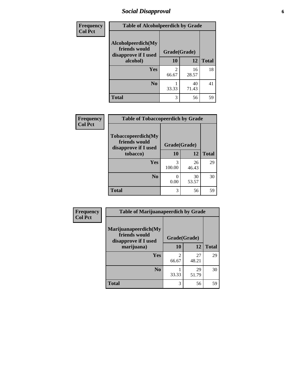## *Social Disapproval* **6**

| Frequency      | <b>Table of Alcoholpeerdich by Grade</b>                                |                         |             |              |
|----------------|-------------------------------------------------------------------------|-------------------------|-------------|--------------|
| <b>Col Pct</b> | Alcoholpeerdich(My<br>friends would<br>disapprove if I used<br>alcohol) | Grade(Grade)            |             |              |
|                |                                                                         | 10                      | 12          | <b>Total</b> |
|                | <b>Yes</b>                                                              | $\mathfrak{D}$<br>66.67 | 16<br>28.57 | 18           |
|                | N <sub>0</sub>                                                          | 33.33                   | 40<br>71.43 | 41           |
|                | <b>Total</b>                                                            | 3                       | 56          | 59           |

| <b>Frequency</b> |
|------------------|
| <b>Col Pct</b>   |

| <b>Table of Tobaccopeerdich by Grade</b>                    |              |             |              |  |  |  |  |
|-------------------------------------------------------------|--------------|-------------|--------------|--|--|--|--|
| Tobaccopeerdich(My<br>friends would<br>disapprove if I used | Grade(Grade) |             |              |  |  |  |  |
| tobacco)                                                    | 10           | 12          | <b>Total</b> |  |  |  |  |
| Yes                                                         | 3<br>100.00  | 26<br>46.43 | 29           |  |  |  |  |
| N <sub>0</sub>                                              | 0.00         | 30<br>53.57 | 30           |  |  |  |  |
| <b>Total</b>                                                | 3            | 56          | 59           |  |  |  |  |

| Frequency      | <b>Table of Marijuanapeerdich by Grade</b>                    |              |             |              |  |
|----------------|---------------------------------------------------------------|--------------|-------------|--------------|--|
| <b>Col Pct</b> | Marijuanapeerdich(My<br>friends would<br>disapprove if I used | Grade(Grade) |             |              |  |
|                | marijuana)                                                    | 10           | 12          | <b>Total</b> |  |
|                | <b>Yes</b>                                                    | 66.67        | 27<br>48.21 | 29           |  |
|                | N <sub>0</sub>                                                | 33.33        | 29<br>51.79 | 30           |  |
|                | <b>Total</b>                                                  | 3            | 56          | 59           |  |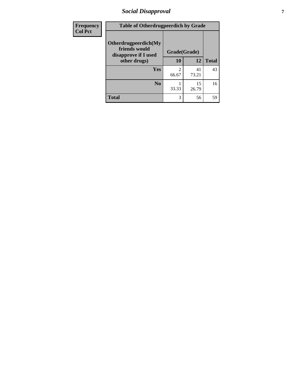## *Social Disapproval* **7**

| Frequency      | <b>Table of Otherdrugpeerdich by Grade</b>                    |              |             |              |  |  |
|----------------|---------------------------------------------------------------|--------------|-------------|--------------|--|--|
| <b>Col Pct</b> | Otherdrugpeerdich(My<br>friends would<br>disapprove if I used | Grade(Grade) |             |              |  |  |
|                | other drugs)                                                  | 10           | 12          | <b>Total</b> |  |  |
|                | Yes                                                           | 2<br>66.67   | 41<br>73.21 | 43           |  |  |
|                | N <sub>0</sub>                                                | 33.33        | 15<br>26.79 | 16           |  |  |
|                | <b>Total</b>                                                  | 3            | 56          | 59           |  |  |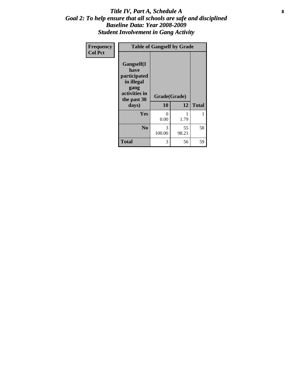#### Title IV, Part A, Schedule A **8** *Goal 2: To help ensure that all schools are safe and disciplined Baseline Data: Year 2008-2009 Student Involvement in Gang Activity*

| Frequency      | <b>Table of Gangself by Grade</b>                                                                 |                    |             |              |  |
|----------------|---------------------------------------------------------------------------------------------------|--------------------|-------------|--------------|--|
| <b>Col Pct</b> | Gangself(I<br>have<br>participated<br>in illegal<br>gang<br>activities in<br>the past 30<br>days) | Grade(Grade)<br>10 | 12          | <b>Total</b> |  |
|                | Yes                                                                                               | 0<br>0.00          | 1<br>1.79   | 1            |  |
|                | N <sub>0</sub>                                                                                    | 3<br>100.00        | 55<br>98.21 | 58           |  |
|                | <b>Total</b>                                                                                      | 3                  | 56          | 59           |  |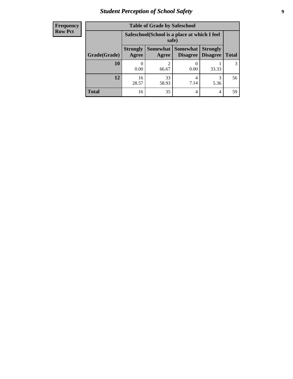# *Student Perception of School Safety* **9**

| <b>Frequency</b><br>Row Pct |
|-----------------------------|
|                             |

| <b>Table of Grade by Safeschool</b> |                                                        |                                                                                                       |           |           |    |  |  |
|-------------------------------------|--------------------------------------------------------|-------------------------------------------------------------------------------------------------------|-----------|-----------|----|--|--|
|                                     | Safeschool (School is a place at which I feel<br>safe) |                                                                                                       |           |           |    |  |  |
| Grade(Grade)                        | <b>Strongly</b><br>Agree                               | <b>Somewhat   Somewhat</b><br><b>Strongly</b><br><b>Disagree</b><br>Disagree<br><b>Total</b><br>Agree |           |           |    |  |  |
| 10                                  | 0.00                                                   | $\mathfrak{D}$<br>66.67                                                                               | 0.00      | 33.33     | 3  |  |  |
| 12                                  | 16<br>28.57                                            | 33<br>58.93                                                                                           | 4<br>7.14 | 3<br>5.36 | 56 |  |  |
| <b>Total</b>                        | 16                                                     | 35                                                                                                    | 4         | 4         | 59 |  |  |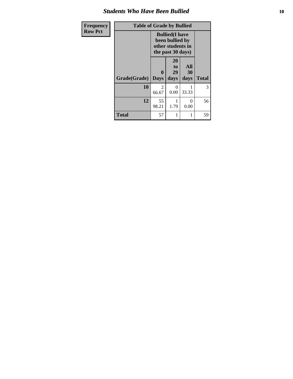#### *Students Who Have Been Bullied* **10**

| Frequency      | <b>Table of Grade by Bullied</b> |                             |                                                                                     |                   |              |
|----------------|----------------------------------|-----------------------------|-------------------------------------------------------------------------------------|-------------------|--------------|
| <b>Row Pct</b> |                                  |                             | <b>Bullied</b> (I have<br>been bullied by<br>other students in<br>the past 30 days) |                   |              |
|                | Grade(Grade)                     | $\mathbf{0}$<br><b>Days</b> | 20<br>to<br>29<br>days                                                              | All<br>30<br>days | <b>Total</b> |
|                | 10                               | 2<br>66.67                  | 0<br>0.00                                                                           | 33.33             | 3            |
|                | 12                               | 55<br>98.21                 | 1.79                                                                                | 0<br>0.00         | 56           |
|                | <b>Total</b>                     | 57                          |                                                                                     |                   | 59           |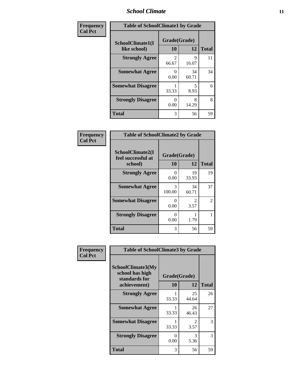#### *School Climate* **11**

| <b>Frequency</b> | <b>Table of SchoolClimate1 by Grade</b> |                         |             |              |  |
|------------------|-----------------------------------------|-------------------------|-------------|--------------|--|
| <b>Col Pct</b>   | SchoolClimate1(I<br>like school)        | Grade(Grade)<br>10      | 12          | <b>Total</b> |  |
|                  | <b>Strongly Agree</b>                   | $\mathfrak{D}$<br>66.67 | 9<br>16.07  | 11           |  |
|                  | <b>Somewhat Agree</b>                   | 0<br>0.00               | 34<br>60.71 | 34           |  |
|                  | <b>Somewhat Disagree</b>                | 33.33                   | 5<br>8.93   | 6            |  |
|                  | <b>Strongly Disagree</b>                | O<br>0.00               | 8<br>14.29  | 8            |  |
|                  | <b>Total</b>                            | 3                       | 56          | 59           |  |

| <b>Table of SchoolClimate2 by Grade</b>           |                    |                        |              |  |  |  |  |
|---------------------------------------------------|--------------------|------------------------|--------------|--|--|--|--|
| SchoolClimate2(I<br>feel successful at<br>school) | Grade(Grade)<br>10 | 12                     | <b>Total</b> |  |  |  |  |
| <b>Strongly Agree</b>                             | 0<br>0.00          | 19<br>33.93            | 19           |  |  |  |  |
| <b>Somewhat Agree</b>                             | 3<br>100.00        | 34<br>60.71            | 37           |  |  |  |  |
| <b>Somewhat Disagree</b>                          | 0.00               | $\mathfrak{D}$<br>3.57 | 2            |  |  |  |  |
| <b>Strongly Disagree</b>                          | 0.00               | 1.79                   |              |  |  |  |  |
| Total                                             | 3                  | 56                     | 59           |  |  |  |  |

| Frequency      | <b>Table of SchoolClimate3 by Grade</b>               |                           |                        |              |
|----------------|-------------------------------------------------------|---------------------------|------------------------|--------------|
| <b>Col Pct</b> | SchoolClimate3(My<br>school has high<br>standards for | Grade(Grade)<br><b>10</b> | 12                     | <b>Total</b> |
|                | achievement)                                          |                           |                        |              |
|                | <b>Strongly Agree</b>                                 | 33.33                     | 25<br>44.64            | 26           |
|                | <b>Somewhat Agree</b>                                 | 33.33                     | 26<br>46.43            | 27           |
|                | <b>Somewhat Disagree</b>                              | 33.33                     | $\mathfrak{D}$<br>3.57 | 3            |
|                | <b>Strongly Disagree</b>                              | 0<br>0.00                 | 3<br>5.36              | 3            |
|                | Total                                                 | 3                         | 56                     | 59           |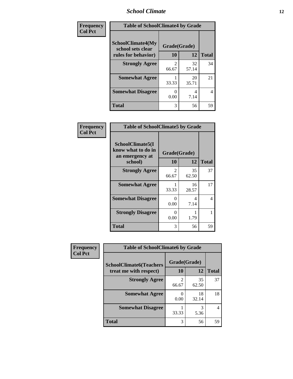#### *School Climate* **12**

| Frequency      | <b>Table of SchoolClimate4 by Grade</b>       |              |             |              |
|----------------|-----------------------------------------------|--------------|-------------|--------------|
| <b>Col Pct</b> | <b>SchoolClimate4(My</b><br>school sets clear | Grade(Grade) |             |              |
|                | rules for behavior)                           | 10           | 12          | <b>Total</b> |
|                | <b>Strongly Agree</b>                         | 66.67        | 32<br>57.14 | 34           |
|                | <b>Somewhat Agree</b>                         | 33.33        | 20<br>35.71 | 21           |
|                | <b>Somewhat Disagree</b>                      | 0.00         | 4<br>7.14   | 4            |
|                | <b>Total</b>                                  | 3            | 56          | 59           |

| Frequency      | <b>Table of SchoolClimate5 by Grade</b>                   |              |             |              |
|----------------|-----------------------------------------------------------|--------------|-------------|--------------|
| <b>Col Pct</b> | SchoolClimate5(I<br>know what to do in<br>an emergency at | Grade(Grade) |             |              |
|                | school)                                                   | 10           | 12          | <b>Total</b> |
|                | <b>Strongly Agree</b>                                     | 2<br>66.67   | 35<br>62.50 | 37           |
|                | <b>Somewhat Agree</b>                                     | 33.33        | 16<br>28.57 | 17           |
|                | <b>Somewhat Disagree</b>                                  | 0<br>0.00    | 4<br>7.14   | 4            |
|                | <b>Strongly Disagree</b>                                  | 0<br>0.00    | 1.79        | 1            |
|                | <b>Total</b>                                              | 3            | 56          | 59           |

| Frequency      | <b>Table of SchoolClimate6 by Grade</b>                  |                    |             |              |
|----------------|----------------------------------------------------------|--------------------|-------------|--------------|
| <b>Col Pct</b> | <b>SchoolClimate6(Teachers</b><br>treat me with respect) | Grade(Grade)<br>10 | 12          | <b>Total</b> |
|                | <b>Strongly Agree</b>                                    | 66.67              | 35<br>62.50 | 37           |
|                | <b>Somewhat Agree</b>                                    | 0.00               | 18<br>32.14 | 18           |
|                | <b>Somewhat Disagree</b>                                 | 33.33              | 3<br>5.36   |              |
|                | <b>Total</b>                                             | 3                  | 56          | 59           |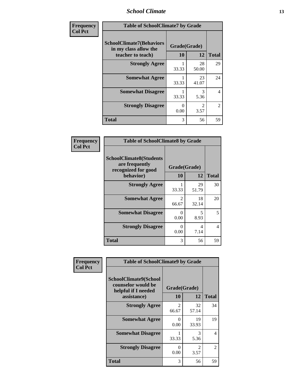#### *School Climate* **13**

| Frequency      | <b>Table of SchoolClimate7 by Grade</b>                                       |                           |                        |                |
|----------------|-------------------------------------------------------------------------------|---------------------------|------------------------|----------------|
| <b>Col Pct</b> | <b>SchoolClimate7(Behaviors</b><br>in my class allow the<br>teacher to teach) | Grade(Grade)<br><b>10</b> | 12                     | <b>Total</b>   |
|                | <b>Strongly Agree</b>                                                         | 33.33                     | 28<br>50.00            | 29             |
|                | <b>Somewhat Agree</b>                                                         | 33.33                     | 23<br>41.07            | 24             |
|                | <b>Somewhat Disagree</b>                                                      | 33.33                     | $\mathcal{R}$<br>5.36  | 4              |
|                | <b>Strongly Disagree</b>                                                      | $\Omega$<br>0.00          | $\mathfrak{D}$<br>3.57 | $\overline{c}$ |
|                | <b>Total</b>                                                                  | 3                         | 56                     | 59             |

| Frequency      | <b>Table of SchoolClimate8 by Grade</b>                                              |                                      |             |              |
|----------------|--------------------------------------------------------------------------------------|--------------------------------------|-------------|--------------|
| <b>Col Pct</b> | <b>SchoolClimate8(Students</b><br>are frequently<br>recognized for good<br>behavior) | Grade(Grade)<br>10                   | 12          | <b>Total</b> |
|                | <b>Strongly Agree</b>                                                                | 33.33                                | 29<br>51.79 | 30           |
|                | <b>Somewhat Agree</b>                                                                | $\mathcal{D}_{\mathcal{L}}$<br>66.67 | 18<br>32.14 | 20           |
|                | <b>Somewhat Disagree</b>                                                             | 0<br>0.00                            | 5<br>8.93   | 5            |
|                | <b>Strongly Disagree</b>                                                             | $\mathbf{\Omega}$<br>0.00            | 4<br>7.14   | 4            |
|                | <b>Total</b>                                                                         | 3                                    | 56          | 59           |

| Frequency      | <b>Table of SchoolClimate9 by Grade</b>                                           |                         |                        |                |
|----------------|-----------------------------------------------------------------------------------|-------------------------|------------------------|----------------|
| <b>Col Pct</b> | SchoolClimate9(School<br>counselor would be<br>helpful if I needed<br>assistance) | Grade(Grade)<br>10      | 12                     | <b>Total</b>   |
|                | <b>Strongly Agree</b>                                                             | $\mathfrak{D}$<br>66.67 | 32<br>57.14            | 34             |
|                | <b>Somewhat Agree</b>                                                             | 0<br>0.00               | 19<br>33.93            | 19             |
|                | <b>Somewhat Disagree</b>                                                          | 33.33                   | 3<br>5.36              | 4              |
|                | <b>Strongly Disagree</b>                                                          | $\mathbf{0}$<br>0.00    | $\overline{2}$<br>3.57 | $\overline{2}$ |
|                | Total                                                                             | 3                       | 56                     | 59             |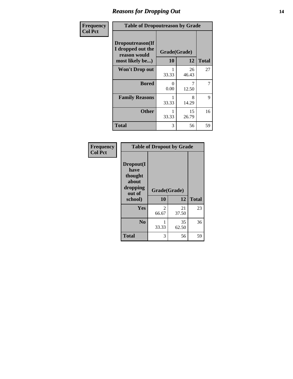### *Reasons for Dropping Out* **14**

| Frequency      | <b>Table of Dropoutreason by Grade</b>                                   |                    |             |              |
|----------------|--------------------------------------------------------------------------|--------------------|-------------|--------------|
| <b>Col Pct</b> | Dropoutreason(If<br>I dropped out the<br>reason would<br>most likely be) | Grade(Grade)<br>10 | 12          | <b>Total</b> |
|                | <b>Won't Drop out</b>                                                    | 33.33              | 26<br>46.43 | 27           |
|                | <b>Bored</b>                                                             | 0<br>0.00          | 12.50       | 7            |
|                | <b>Family Reasons</b>                                                    | 33.33              | 8<br>14.29  | 9            |
|                | <b>Other</b>                                                             | 33.33              | 15<br>26.79 | 16           |
|                | <b>Total</b>                                                             | 3                  | 56          | 59           |

| Frequency<br><b>Col Pct</b> | <b>Table of Dropout by Grade</b>                                       |                    |             |              |  |
|-----------------------------|------------------------------------------------------------------------|--------------------|-------------|--------------|--|
|                             | Dropout(I<br>have<br>thought<br>about<br>dropping<br>out of<br>school) | Grade(Grade)<br>10 | 12          | <b>Total</b> |  |
|                             | Yes                                                                    | 2<br>66.67         | 21<br>37.50 | 23           |  |
|                             | N <sub>0</sub>                                                         | 33.33              | 35<br>62.50 | 36           |  |
|                             | <b>Total</b>                                                           | 3                  | 56          | 59           |  |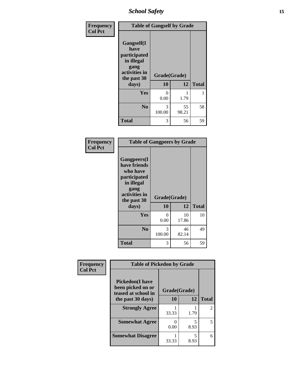*School Safety* **15**

| Frequency      | <b>Table of Gangself by Grade</b>                                                                 |                    |             |              |
|----------------|---------------------------------------------------------------------------------------------------|--------------------|-------------|--------------|
| <b>Col Pct</b> | Gangself(I<br>have<br>participated<br>in illegal<br>gang<br>activities in<br>the past 30<br>days) | Grade(Grade)<br>10 | 12          | <b>Total</b> |
|                | Yes                                                                                               | 0<br>0.00          | 1.79        | 1            |
|                | N <sub>0</sub>                                                                                    | 3<br>100.00        | 55<br>98.21 | 58           |
|                | <b>Total</b>                                                                                      | 3                  | 56          | 59           |

| Frequency<br><b>Col Pct</b> | <b>Table of Gangpeers by Grade</b>                                                                                             |                    |             |              |
|-----------------------------|--------------------------------------------------------------------------------------------------------------------------------|--------------------|-------------|--------------|
|                             | <b>Gangpeers</b> (I<br>have friends<br>who have<br>participated<br>in illegal<br>gang<br>activities in<br>the past 30<br>days) | Grade(Grade)<br>10 | 12          | <b>Total</b> |
|                             | Yes                                                                                                                            | 0<br>0.00          | 10<br>17.86 | 10           |
|                             | N <sub>0</sub>                                                                                                                 | 3<br>100.00        | 46<br>82.14 | 49           |
|                             | <b>Total</b>                                                                                                                   | 3                  | 56          | 59           |

| Frequency      | <b>Table of Pickedon by Grade</b>                                  |                           |           |                |
|----------------|--------------------------------------------------------------------|---------------------------|-----------|----------------|
| <b>Col Pct</b> | <b>Pickedon(I have</b><br>been picked on or<br>teased at school in | Grade(Grade)              |           |                |
|                | the past 30 days)                                                  | <b>10</b>                 | 12        | <b>Total</b>   |
|                | <b>Strongly Agree</b>                                              | 33.33                     | 1.79      | $\mathfrak{D}$ |
|                | <b>Somewhat Agree</b>                                              | $\mathbf{\Omega}$<br>0.00 | 5<br>8.93 | 5              |
|                | <b>Somewhat Disagree</b>                                           | 33.33                     | 5<br>8.93 | 6              |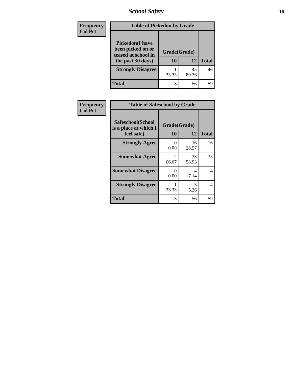*School Safety* **16**

| <b>Frequency</b> | <b>Table of Pickedon by Grade</b>                                                        |                    |             |              |
|------------------|------------------------------------------------------------------------------------------|--------------------|-------------|--------------|
| <b>Col Pct</b>   | <b>Pickedon</b> (I have<br>been picked on or<br>teased at school in<br>the past 30 days) | Grade(Grade)<br>10 | 12          | <b>Total</b> |
|                  | <b>Strongly Disagree</b>                                                                 | 33.33              | 45<br>80.36 | 46           |
|                  | <b>Total</b>                                                                             | 3                  | 56          | 59           |

| Frequency      | <b>Table of Safeschool by Grade</b>                      |                           |             |              |  |  |  |  |
|----------------|----------------------------------------------------------|---------------------------|-------------|--------------|--|--|--|--|
| <b>Col Pct</b> | Safeschool(School<br>is a place at which I<br>feel safe) | Grade(Grade)<br><b>10</b> | 12          | <b>Total</b> |  |  |  |  |
|                | <b>Strongly Agree</b>                                    | 0<br>0.00                 | 16<br>28.57 | 16           |  |  |  |  |
|                | <b>Somewhat Agree</b>                                    | $\mathfrak{D}$<br>66.67   | 33<br>58.93 | 35           |  |  |  |  |
|                | <b>Somewhat Disagree</b>                                 | 0<br>0.00                 | 4<br>7.14   | 4            |  |  |  |  |
|                | <b>Strongly Disagree</b>                                 | 33.33                     | 3<br>5.36   | 4            |  |  |  |  |
|                | <b>Total</b>                                             | 3                         | 56          | 59           |  |  |  |  |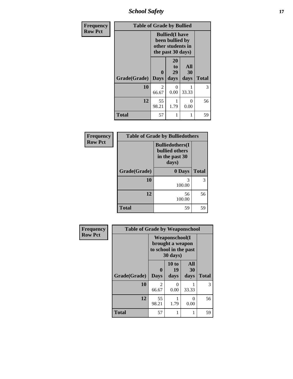*School Safety* **17**

| Frequency      | <b>Table of Grade by Bullied</b> |                  |                                                                                     |                   |              |
|----------------|----------------------------------|------------------|-------------------------------------------------------------------------------------|-------------------|--------------|
| <b>Row Pct</b> |                                  |                  | <b>Bullied</b> (I have<br>been bullied by<br>other students in<br>the past 30 days) |                   |              |
|                | Grade(Grade)                     | 0<br><b>Days</b> | 20<br>to<br>29<br>days                                                              | All<br>30<br>days | <b>Total</b> |
|                | 10                               | 2<br>66.67       | 0<br>0.00                                                                           | 33.33             | 3            |
|                | 12                               | 55<br>98.21      | 1<br>1.79                                                                           | 0<br>0.00         | 56           |
|                | <b>Total</b>                     | 57               | 1                                                                                   |                   | 59           |

| Frequency      |              | <b>Table of Grade by Bulliedothers</b>                                      |              |
|----------------|--------------|-----------------------------------------------------------------------------|--------------|
| <b>Row Pct</b> |              | <b>Bulliedothers(I)</b><br><b>bullied others</b><br>in the past 30<br>days) |              |
|                | Grade(Grade) | 0 Days                                                                      | <b>Total</b> |
|                | 10           | 3<br>100.00                                                                 | 3            |
|                | 12           | 56<br>100.00                                                                | 56           |
|                | <b>Total</b> | 59                                                                          | 59           |

| <b>Frequency</b> | <b>Table of Grade by Weaponschool</b> |                         |                                                                                 |                   |              |
|------------------|---------------------------------------|-------------------------|---------------------------------------------------------------------------------|-------------------|--------------|
| <b>Row Pct</b>   |                                       |                         | <b>Weaponschool</b> (I<br>brought a weapon<br>to school in the past<br>30 days) |                   |              |
|                  | Grade(Grade)                          | <b>Days</b>             | 10 to<br>19<br>days                                                             | All<br>30<br>days | <b>Total</b> |
|                  | 10                                    | $\mathfrak{D}$<br>66.67 | 0<br>0.00                                                                       | 33.33             | 3            |
|                  | 12                                    | 55<br>98.21             | 1.79                                                                            | 0<br>0.00         | 56           |
|                  | <b>Total</b>                          | 57                      |                                                                                 |                   | 59           |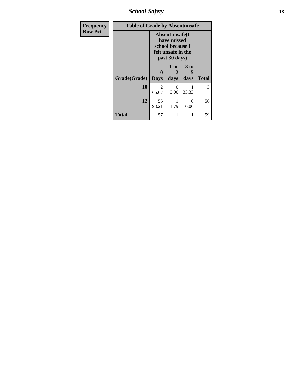*School Safety* **18**

| <b>Frequency</b> |              | <b>Table of Grade by Absentunsafe</b> |                                                                                           |                   |              |  |  |  |  |
|------------------|--------------|---------------------------------------|-------------------------------------------------------------------------------------------|-------------------|--------------|--|--|--|--|
| <b>Row Pct</b>   |              |                                       | Absentunsafe(I)<br>have missed<br>school because I<br>felt unsafe in the<br>past 30 days) |                   |              |  |  |  |  |
|                  | Grade(Grade) | $\mathbf{0}$<br><b>Days</b>           | 1 or<br>2<br>days                                                                         | 3 to<br>5<br>days | <b>Total</b> |  |  |  |  |
|                  | 10           | $\mathfrak{D}$<br>66.67               | $_{0}$<br>0.00                                                                            | 33.33             | 3            |  |  |  |  |
|                  | 12           | 55<br>98.21                           | 1.79                                                                                      | $\Omega$<br>0.00  | 56           |  |  |  |  |
|                  | <b>Total</b> | 57                                    |                                                                                           |                   | 59           |  |  |  |  |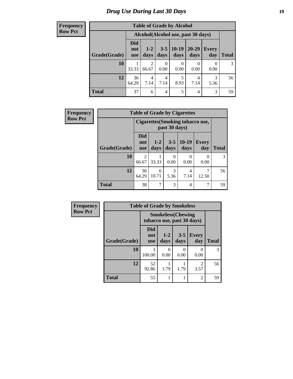# *Drug Use During Last 30 Days* **19**

#### **Frequency Row Pct**

| <b>Table of Grade by Alcohol</b> |                          |                                    |                 |                 |                   |                     |              |  |
|----------------------------------|--------------------------|------------------------------------|-----------------|-----------------|-------------------|---------------------|--------------|--|
|                                  |                          | Alcohol(Alcohol use, past 30 days) |                 |                 |                   |                     |              |  |
| Grade(Grade)                     | Did<br>not<br><b>use</b> | $1 - 2$<br>days                    | $3 - 5$<br>days | $10-19$<br>days | $20 - 29$<br>days | <b>Every</b><br>day | <b>Total</b> |  |
| 10                               | 33.33                    | $\overline{2}$<br>66.67            | 0<br>0.00       | 0.00            | 0.00              | 0.00                | 3            |  |
| 12                               | 36<br>64.29              | 4<br>7.14                          | 4<br>7.14       | 5<br>8.93       | 4<br>7.14         | 3<br>5.36           | 56           |  |
| <b>Total</b>                     | 37                       | 6                                  | 4               | 5               | 4                 | 3                   | 59           |  |

| Frequency      | <b>Table of Grade by Cigarettes</b> |                                 |                                                   |                 |                  |              |       |  |
|----------------|-------------------------------------|---------------------------------|---------------------------------------------------|-----------------|------------------|--------------|-------|--|
| <b>Row Pct</b> |                                     |                                 | Cigarettes (Smoking tobacco use,<br>past 30 days) |                 |                  |              |       |  |
|                | Grade(Grade)                        | <b>Did</b><br>not<br><b>use</b> | $1 - 2$<br>days                                   | $3 - 5$<br>days | $10-19$<br>days  | Every<br>day | Total |  |
|                | 10                                  | 2<br>66.67                      | 33.33                                             | 0<br>0.00       | $\Omega$<br>0.00 | 0<br>0.00    | 3     |  |
|                | 12                                  | 36<br>64.29                     | 6<br>10.71                                        | 3<br>5.36       | 4<br>7.14        | 12.50        | 56    |  |
|                | <b>Total</b>                        | 38                              | ┑                                                 | 3               | 4                | 7            | 59    |  |

| Frequency      | <b>Table of Grade by Smokeless</b>                      |                          |                 |                           |                     |              |
|----------------|---------------------------------------------------------|--------------------------|-----------------|---------------------------|---------------------|--------------|
| <b>Row Pct</b> | <b>Smokeless</b> (Chewing<br>tobacco use, past 30 days) |                          |                 |                           |                     |              |
|                | Grade(Grade)                                            | Did<br>not<br><b>use</b> | $1 - 2$<br>days | $3 - 5$<br>days           | <b>Every</b><br>day | <b>Total</b> |
|                | 10                                                      | 3<br>100.00              | 0<br>0.00       | $\mathbf{\Omega}$<br>0.00 | 0<br>0.00           | 3            |
|                | 12                                                      | 52<br>92.86              | 1.79            | 1.79                      | 2<br>3.57           | 56           |
|                | <b>Total</b>                                            | 55                       |                 |                           | $\overline{2}$      | 59           |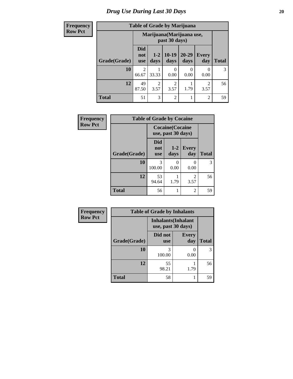# *Drug Use During Last 30 Days* 20

#### **Frequency Row Pct**

| <b>Table of Grade by Marijuana</b> |  |  |
|------------------------------------|--|--|
|                                    |  |  |

| $\mathbf{v}$ |              |                                 |                                            |                        | Tuble of Orage by Blatfland |                        |              |  |  |
|--------------|--------------|---------------------------------|--------------------------------------------|------------------------|-----------------------------|------------------------|--------------|--|--|
| <b>ct</b>    |              |                                 | Marijuana (Marijuana use,<br>past 30 days) |                        |                             |                        |              |  |  |
|              | Grade(Grade) | <b>Did</b><br>not<br><b>use</b> | $1 - 2$<br>days                            | $10-19$<br>days        | $20 - 29$<br>days           | <b>Every</b><br>day    | <b>Total</b> |  |  |
|              | 10           | $\overline{2}$<br>66.67         | 33.33                                      | 0.00                   | 0<br>0.00                   | 0.00                   | 3            |  |  |
|              | 12           | 49<br>87.50                     | 2<br>3.57                                  | $\overline{2}$<br>3.57 | 1.79                        | $\overline{c}$<br>3.57 | 56           |  |  |
|              | <b>Total</b> | 51                              | 3                                          | $\overline{2}$         | 1                           | $\overline{2}$         | 59           |  |  |

| Frequency      | <b>Table of Grade by Cocaine</b> |                                               |                 |                     |              |  |  |
|----------------|----------------------------------|-----------------------------------------------|-----------------|---------------------|--------------|--|--|
| <b>Row Pct</b> |                                  | <b>Cocaine</b> (Cocaine<br>use, past 30 days) |                 |                     |              |  |  |
|                | Grade(Grade)                     | <b>Did</b><br>not<br><b>use</b>               | $1 - 2$<br>days | <b>Every</b><br>day | <b>Total</b> |  |  |
|                | 10                               | 3<br>100.00                                   | 0.00            | 0<br>0.00           | 3            |  |  |
|                | 12                               | 53<br>94.64                                   | 1.79            | 2<br>3.57           | 56           |  |  |
|                | <b>Total</b>                     | 56                                            |                 | 2                   | 59           |  |  |

| <b>Frequency</b> |  |
|------------------|--|
| <b>Row Pct</b>   |  |

| <b>Table of Grade by Inhalants</b> |                                                  |              |    |  |  |
|------------------------------------|--------------------------------------------------|--------------|----|--|--|
|                                    | <b>Inhalants</b> (Inhalant<br>use, past 30 days) |              |    |  |  |
| Grade(Grade)                       | Did not<br><b>use</b>                            | <b>Total</b> |    |  |  |
| 10                                 | 3<br>100.00                                      | 0.00         | 3  |  |  |
| 12                                 | 55<br>98.21                                      | 1.79         | 56 |  |  |
| <b>Total</b>                       | 58                                               |              | 59 |  |  |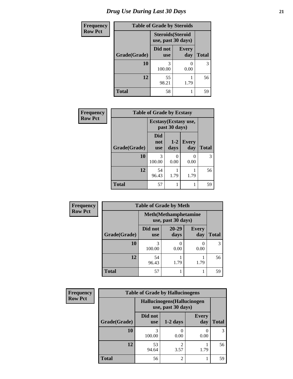| <b>Frequency</b> | <b>Table of Grade by Steroids</b> |                                                |                     |              |
|------------------|-----------------------------------|------------------------------------------------|---------------------|--------------|
| <b>Row Pct</b>   |                                   | <b>Steroids</b> (Steroid<br>use, past 30 days) |                     |              |
|                  | Grade(Grade)                      | Did not<br><b>use</b>                          | <b>Every</b><br>day | <b>Total</b> |
|                  | 10                                | 3<br>100.00                                    | 0.00                | 3            |
|                  | 12                                | 55<br>98.21                                    | 1.79                | 56           |
|                  | <b>Total</b>                      | 58                                             |                     | 59           |

| Frequency      | <b>Table of Grade by Ecstasy</b> |                                        |                 |                     |              |
|----------------|----------------------------------|----------------------------------------|-----------------|---------------------|--------------|
| <b>Row Pct</b> |                                  | Ecstasy (Ecstasy use,<br>past 30 days) |                 |                     |              |
|                | Grade(Grade)                     | <b>Did</b><br>not<br><b>use</b>        | $1 - 2$<br>days | <b>Every</b><br>day | <b>Total</b> |
|                | 10                               | 3<br>100.00                            | 0.00            | 0.00                | 3            |
|                | 12                               | 54<br>96.43                            | 1.79            | 1.79                | 56           |
|                | <b>Total</b>                     | 57                                     |                 |                     | 59           |

| <b>Frequency</b> | <b>Table of Grade by Meth</b> |                       |                                                    |                     |              |  |
|------------------|-------------------------------|-----------------------|----------------------------------------------------|---------------------|--------------|--|
| <b>Row Pct</b>   |                               |                       | <b>Meth</b> (Methamphetamine<br>use, past 30 days) |                     |              |  |
|                  | Grade(Grade)                  | Did not<br><b>use</b> | $20 - 29$<br>days                                  | <b>Every</b><br>day | <b>Total</b> |  |
|                  | 10                            | 3<br>100.00           | 0.00                                               | $\Omega$<br>0.00    | 3            |  |
|                  | 12                            | 54<br>96.43           | 1.79                                               | 1.79                | 56           |  |
|                  | <b>Total</b>                  | 57                    |                                                    |                     | 59           |  |

| <b>Frequency</b> | <b>Table of Grade by Hallucinogens</b> |                       |                                                   |                     |               |
|------------------|----------------------------------------|-----------------------|---------------------------------------------------|---------------------|---------------|
| <b>Row Pct</b>   |                                        |                       | Hallucinogens (Hallucinogen<br>use, past 30 days) |                     |               |
|                  | Grade(Grade)                           | Did not<br><b>use</b> | $1-2$ days                                        | <b>Every</b><br>day | <b>Total</b>  |
|                  | 10                                     | 100.00                | 0.00                                              | 0.00                | $\mathcal{F}$ |
|                  | 12                                     | 53<br>94.64           | 3.57                                              | 1.79                | 56            |
|                  | <b>Total</b>                           | 56                    | $\mathfrak{D}$                                    |                     | 59            |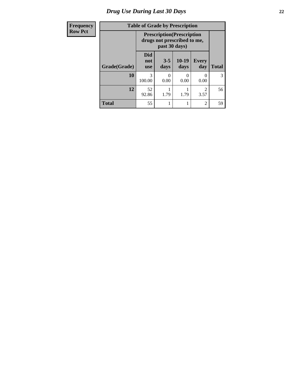# *Drug Use During Last 30 Days* **22**

| Frequency      | <b>Table of Grade by Prescription</b><br><b>Prescription</b> (Prescription<br>drugs not prescribed to me,<br>past 30 days) |                                 |                 |                      |                        |              |
|----------------|----------------------------------------------------------------------------------------------------------------------------|---------------------------------|-----------------|----------------------|------------------------|--------------|
| <b>Row Pct</b> |                                                                                                                            |                                 |                 |                      |                        |              |
|                | Grade(Grade)                                                                                                               | <b>Did</b><br>not<br><b>use</b> | $3 - 5$<br>days | $10-19$<br>days      | <b>Every</b><br>day    | <b>Total</b> |
|                | 10                                                                                                                         | 3<br>100.00                     | 0.00            | $\mathbf{0}$<br>0.00 | 0<br>0.00              | 3            |
|                | 12                                                                                                                         | 52<br>92.86                     | 1.79            | 1.79                 | $\mathfrak{D}$<br>3.57 | 56           |
|                | <b>Total</b>                                                                                                               | 55                              |                 | 1                    | $\overline{2}$         | 59           |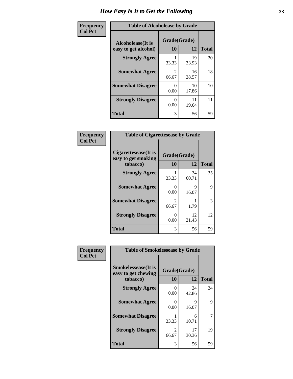| Frequency      | <b>Table of Alcoholease by Grade</b>              |                          |             |              |
|----------------|---------------------------------------------------|--------------------------|-------------|--------------|
| <b>Col Pct</b> | <b>Alcoholease</b> (It is<br>easy to get alcohol) | Grade(Grade)<br>10<br>12 |             | <b>Total</b> |
|                | <b>Strongly Agree</b>                             | 33.33                    | 19<br>33.93 | 20           |
|                | <b>Somewhat Agree</b>                             | $\mathfrak{D}$<br>66.67  | 16<br>28.57 | 18           |
|                | <b>Somewhat Disagree</b>                          | 0.00                     | 10<br>17.86 | 10           |
|                | <b>Strongly Disagree</b>                          | 0<br>0.00                | 11<br>19.64 | 11           |
|                | <b>Total</b>                                      | 3                        | 56          | 59           |

| Frequency      | <b>Table of Cigarettesease by Grade</b>                         |                         |             |              |
|----------------|-----------------------------------------------------------------|-------------------------|-------------|--------------|
| <b>Col Pct</b> | <b>Cigarettesease</b> (It is<br>easy to get smoking<br>tobacco) | Grade(Grade)<br>10      | 12          | <b>Total</b> |
|                | <b>Strongly Agree</b>                                           | 33.33                   | 34<br>60.71 | 35           |
|                | <b>Somewhat Agree</b>                                           | 0<br>0.00               | 9<br>16.07  | 9            |
|                | <b>Somewhat Disagree</b>                                        | $\mathfrak{D}$<br>66.67 | 1.79        | 3            |
|                | <b>Strongly Disagree</b>                                        | 0<br>0.00               | 12<br>21.43 | 12           |
|                | <b>Total</b>                                                    | 3                       | 56          | 59           |

| Frequency      | <b>Table of Smokelessease by Grade</b>             |              |             |              |  |  |
|----------------|----------------------------------------------------|--------------|-------------|--------------|--|--|
| <b>Col Pct</b> | <b>Smokelessease</b> (It is<br>easy to get chewing | Grade(Grade) |             |              |  |  |
|                | tobacco)                                           | 10           | 12          | <b>Total</b> |  |  |
|                | <b>Strongly Agree</b>                              | 0<br>0.00    | 24<br>42.86 | 24           |  |  |
|                | <b>Somewhat Agree</b>                              | 0<br>0.00    | 9<br>16.07  | 9            |  |  |
|                | <b>Somewhat Disagree</b>                           | 33.33        | 6<br>10.71  | 7            |  |  |
|                | <b>Strongly Disagree</b>                           | 2<br>66.67   | 17<br>30.36 | 19           |  |  |
|                | <b>Total</b>                                       | 3            | 56          | 59           |  |  |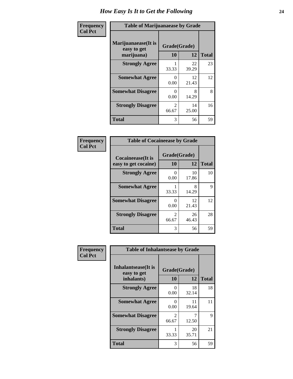| Frequency      | <b>Table of Marijuanaease by Grade</b>           |                           |             |              |
|----------------|--------------------------------------------------|---------------------------|-------------|--------------|
| <b>Col Pct</b> | Marijuanaease(It is<br>easy to get<br>marijuana) | Grade(Grade)<br>10        | 12          | <b>Total</b> |
|                | <b>Strongly Agree</b>                            | 33.33                     | 22<br>39.29 | 23           |
|                | <b>Somewhat Agree</b>                            | 0<br>0.00                 | 12<br>21.43 | 12           |
|                | <b>Somewhat Disagree</b>                         | $\mathbf{\Omega}$<br>0.00 | 8<br>14.29  | 8            |
|                | <b>Strongly Disagree</b>                         | $\mathfrak{D}$<br>66.67   | 14<br>25.00 | 16           |
|                | <b>Total</b>                                     | 3                         | 56          | 59           |

| <b>Table of Cocaineease by Grade</b> |                         |             |              |  |  |
|--------------------------------------|-------------------------|-------------|--------------|--|--|
| <b>Cocaineease</b> (It is            | Grade(Grade)            |             |              |  |  |
| easy to get cocaine)                 | 10                      | 12          | <b>Total</b> |  |  |
| <b>Strongly Agree</b>                | 0<br>0.00               | 10<br>17.86 | 10           |  |  |
| <b>Somewhat Agree</b>                | 33.33                   | 8<br>14.29  | 9            |  |  |
| <b>Somewhat Disagree</b>             | 0.00                    | 12<br>21.43 | 12           |  |  |
| <b>Strongly Disagree</b>             | $\mathfrak{D}$<br>66.67 | 26<br>46.43 | 28           |  |  |
| <b>Total</b>                         | 3                       | 56          | 59           |  |  |

| Frequency      | <b>Table of Inhalantsease by Grade</b>     |                         |             |              |
|----------------|--------------------------------------------|-------------------------|-------------|--------------|
| <b>Col Pct</b> | <b>Inhalantsease</b> (It is<br>easy to get | Grade(Grade)            |             |              |
|                | inhalants)                                 | 10                      | 12          | <b>Total</b> |
|                | <b>Strongly Agree</b>                      | 0<br>0.00               | 18<br>32.14 | 18           |
|                | <b>Somewhat Agree</b>                      | 0<br>0.00               | 11<br>19.64 | 11           |
|                | <b>Somewhat Disagree</b>                   | $\mathfrak{D}$<br>66.67 | 12.50       | 9            |
|                | <b>Strongly Disagree</b>                   | 33.33                   | 20<br>35.71 | 21           |
|                | <b>Total</b>                               | 3                       | 56          | 59           |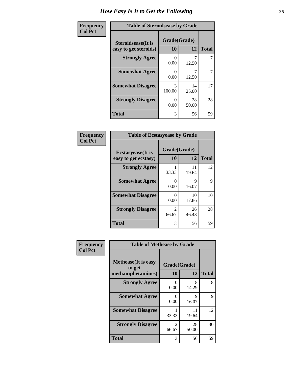| Frequency      | <b>Table of Steroidsease by Grade</b>               |                      |             |              |  |  |  |  |  |
|----------------|-----------------------------------------------------|----------------------|-------------|--------------|--|--|--|--|--|
| <b>Col Pct</b> | <b>Steroidsease</b> (It is<br>easy to get steroids) | Grade(Grade)<br>10   | 12          | <b>Total</b> |  |  |  |  |  |
|                | <b>Strongly Agree</b>                               | 0.00                 | 12.50       |              |  |  |  |  |  |
|                | <b>Somewhat Agree</b>                               | $\mathbf{0}$<br>0.00 | 12.50       | 7            |  |  |  |  |  |
|                | <b>Somewhat Disagree</b>                            | 3<br>100.00          | 14<br>25.00 | 17           |  |  |  |  |  |
|                | <b>Strongly Disagree</b>                            | 0<br>0.00            | 28<br>50.00 | 28           |  |  |  |  |  |
|                | <b>Total</b>                                        | 3                    | 56          | 59           |  |  |  |  |  |

| Frequency      | <b>Table of Ecstasyease by Grade</b>              |                           |              |    |  |  |  |  |  |
|----------------|---------------------------------------------------|---------------------------|--------------|----|--|--|--|--|--|
| <b>Col Pct</b> | <b>Ecstasyease</b> (It is<br>easy to get ecstasy) | Grade(Grade)<br><b>10</b> | <b>Total</b> |    |  |  |  |  |  |
|                | <b>Strongly Agree</b>                             | 33.33                     | 11<br>19.64  | 12 |  |  |  |  |  |
|                | <b>Somewhat Agree</b>                             | 0<br>0.00                 | 9<br>16.07   | 9  |  |  |  |  |  |
|                | <b>Somewhat Disagree</b>                          | 0<br>0.00                 | 10<br>17.86  | 10 |  |  |  |  |  |
|                | <b>Strongly Disagree</b>                          | $\mathfrak{D}$<br>66.67   | 26<br>46.43  | 28 |  |  |  |  |  |
|                | <b>Total</b>                                      | 3                         | 56           | 59 |  |  |  |  |  |

| Frequency      | <b>Table of Methease by Grade</b>                          |                                      |             |              |
|----------------|------------------------------------------------------------|--------------------------------------|-------------|--------------|
| <b>Col Pct</b> | <b>Methease</b> (It is easy<br>to get<br>methamphetamines) | Grade(Grade)<br>10                   | 12          | <b>Total</b> |
|                | <b>Strongly Agree</b>                                      | $\mathbf{\Omega}$<br>0.00            | 8<br>14.29  | 8            |
|                | <b>Somewhat Agree</b>                                      | $\mathcal{O}$<br>0.00                | 9<br>16.07  | 9            |
|                | <b>Somewhat Disagree</b>                                   | 33.33                                | 11<br>19.64 | 12           |
|                | <b>Strongly Disagree</b>                                   | $\mathcal{D}_{\mathcal{L}}$<br>66.67 | 28<br>50.00 | 30           |
|                | <b>Total</b>                                               | 3                                    | 56          | 59           |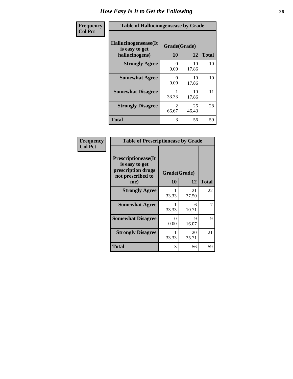| <b>Frequency</b> | <b>Table of Hallucinogensease by Grade</b>               |                                      |             |              |  |  |  |  |
|------------------|----------------------------------------------------------|--------------------------------------|-------------|--------------|--|--|--|--|
| <b>Col Pct</b>   | Hallucinogensease(It<br>is easy to get<br>hallucinogens) | Grade(Grade)<br>10                   | 12          | <b>Total</b> |  |  |  |  |
|                  | <b>Strongly Agree</b>                                    | $\mathbf{0}$<br>0.00                 | 10<br>17.86 | 10           |  |  |  |  |
|                  | <b>Somewhat Agree</b>                                    | 0<br>0.00                            | 10<br>17.86 | 10           |  |  |  |  |
|                  | <b>Somewhat Disagree</b>                                 | 33.33                                | 10<br>17.86 | 11           |  |  |  |  |
|                  | <b>Strongly Disagree</b>                                 | $\mathcal{D}_{\mathcal{A}}$<br>66.67 | 26<br>46.43 | 28           |  |  |  |  |
|                  | <b>Total</b>                                             | 3                                    | 56          | 59           |  |  |  |  |

| <b>Frequency</b><br>Col Pct |
|-----------------------------|
|                             |

| <b>Table of Prescriptionease by Grade</b>                                                |                           |             |              |  |  |  |  |
|------------------------------------------------------------------------------------------|---------------------------|-------------|--------------|--|--|--|--|
| <b>Prescriptionease</b> (It<br>is easy to get<br>prescription drugs<br>not prescribed to | Grade(Grade)              |             |              |  |  |  |  |
| me)                                                                                      | 10                        | 12          | <b>Total</b> |  |  |  |  |
| <b>Strongly Agree</b>                                                                    | 33.33                     | 21<br>37.50 | 22           |  |  |  |  |
| <b>Somewhat Agree</b>                                                                    | 33.33                     | 6<br>10.71  |              |  |  |  |  |
| <b>Somewhat Disagree</b>                                                                 | $\mathbf{\Omega}$<br>0.00 | Q<br>16.07  | 9            |  |  |  |  |
| <b>Strongly Disagree</b>                                                                 | 33.33                     | 20<br>35.71 | 21           |  |  |  |  |
| <b>Total</b>                                                                             | 3                         | 56          | 59           |  |  |  |  |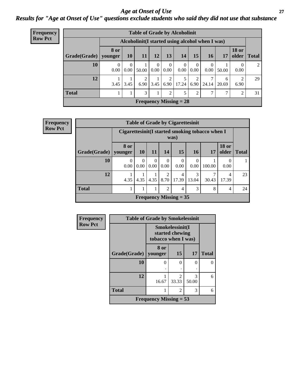#### *Age at Onset of Use* **27** *Results for "Age at Onset of Use" questions exclude students who said they did not use that substance*

| Frequency      | <b>Table of Grade by Alcoholinit</b> |                  |                                                  |           |                      |                  |                               |                  |                  |            |                       |              |
|----------------|--------------------------------------|------------------|--------------------------------------------------|-----------|----------------------|------------------|-------------------------------|------------------|------------------|------------|-----------------------|--------------|
| <b>Row Pct</b> |                                      |                  | Alcoholinit (I started using alcohol when I was) |           |                      |                  |                               |                  |                  |            |                       |              |
|                | Grade(Grade)   younger               | <b>8 or</b>      | <b>10</b>                                        | <b>11</b> | 12                   | 13               | 14                            | 15               | <b>16</b>        | 17         | <b>18 or</b><br>older | <b>Total</b> |
|                | 10                                   | $\Omega$<br>0.00 | 0<br>0.00                                        | 50.00     | $\theta$<br>$0.00\,$ | $\theta$<br>0.00 | $0.00\vert$                   | $\Omega$<br>0.00 | $\theta$<br>0.00 | 50.00      | 0<br>0.00             | 2            |
|                | 12                                   | 3.45             | 3.45                                             | 6.90      | 3.45                 | 2<br>6.90        | 17.24                         | 2<br>6.90        | 7<br>24.14       | 6<br>20.69 | 2<br>6.90             | 29           |
|                | <b>Total</b>                         |                  |                                                  | 3         |                      | 2                | 5                             | 2                | 7                |            | 2                     | 31           |
|                |                                      |                  |                                                  |           |                      |                  | <b>Frequency Missing = 28</b> |                  |                  |            |                       |              |

| <b>Frequency</b> |              |                                                                   |                                                         |                  |                        | <b>Table of Grade by Cigarettesinit</b> |                  |            |                       |              |
|------------------|--------------|-------------------------------------------------------------------|---------------------------------------------------------|------------------|------------------------|-----------------------------------------|------------------|------------|-----------------------|--------------|
| <b>Row Pct</b>   |              |                                                                   | Cigarettesinit(I started smoking tobacco when I<br>was) |                  |                        |                                         |                  |            |                       |              |
|                  | Grade(Grade) | 8 or<br>vounger                                                   | <b>10</b>                                               | <b>11</b>        | 14                     | 15                                      | 16               | 17         | <b>18 or</b><br>older | <b>Total</b> |
|                  | 10           | 0<br>0.00                                                         | $\Omega$<br>0.00                                        | $\Omega$<br>0.00 | $\theta$<br>0.00       | $\Omega$<br>0.00                        | $\Omega$<br>0.00 | 100.00     | $\left($<br>0.00      |              |
|                  | 12           | 4.35                                                              | 4.35                                                    | 4.35             | $\mathfrak{D}$<br>8.70 | $\overline{4}$<br>17.39                 | 3<br>13.04       | 7<br>30.43 | 4<br>17.39            | 23           |
|                  | <b>Total</b> | 3<br>$\overline{2}$<br>8<br>1<br>$\overline{4}$<br>$\overline{4}$ |                                                         |                  |                        |                                         |                  |            |                       |              |
|                  |              |                                                                   |                                                         |                  |                        | <b>Frequency Missing = 35</b>           |                  |            |                       |              |

| Frequency      |              | <b>Table of Grade by Smokelessinit</b>                    |                                      |            |              |
|----------------|--------------|-----------------------------------------------------------|--------------------------------------|------------|--------------|
| <b>Row Pct</b> |              | Smokelessinit(I<br>started chewing<br>tobacco when I was) |                                      |            |              |
|                | Grade(Grade) | 8 or<br>younger                                           | 15                                   | 17         | <b>Total</b> |
|                | 10           | 0                                                         | 0                                    | 0          |              |
|                | 12           | 16.67                                                     | $\mathcal{D}_{\mathcal{L}}$<br>33.33 | 3<br>50.00 | 6            |
|                | <b>Total</b> |                                                           | 6                                    |            |              |
|                |              | <b>Frequency Missing = 53</b>                             |                                      |            |              |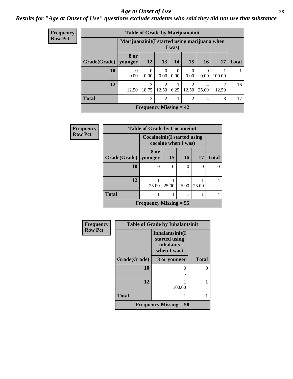#### *Age at Onset of Use* **28**

*Results for "Age at Onset of Use" questions exclude students who said they did not use that substance*

| Frequency      |              | <b>Table of Grade by Marijuanainit</b> |                                                         |                         |                  |                         |                  |            |              |  |
|----------------|--------------|----------------------------------------|---------------------------------------------------------|-------------------------|------------------|-------------------------|------------------|------------|--------------|--|
| <b>Row Pct</b> |              |                                        | Marijuanainit (I started using marijuana when<br>I was) |                         |                  |                         |                  |            |              |  |
|                | Grade(Grade) | 8 or<br>younger                        | <b>12</b>                                               | 13                      | <b>14</b>        | <b>15</b>               | <b>16</b>        | 17         | <b>Total</b> |  |
|                | 10           | $\theta$<br>0.00                       | $\Omega$<br>0.00                                        | $\Omega$<br>0.00        | $\theta$<br>0.00 | $\Omega$<br>0.00        | $\Omega$<br>0.00 | 100.00     |              |  |
|                | 12           | $\mathcal{D}$<br>12.50                 | $\mathcal{F}$<br>18.75                                  | $\overline{2}$<br>12.50 | 6.25             | $\overline{2}$<br>12.50 | 4<br>25.00       | 2<br>12.50 | 16           |  |
|                | <b>Total</b> | $\overline{c}$                         | 3                                                       | $\overline{2}$          | 1                | 2                       | $\overline{4}$   | 3          | 17           |  |
|                |              |                                        | Frequency Missing $= 42$                                |                         |                  |                         |                  |            |              |  |

| Frequency      | <b>Table of Grade by Cocaineinit</b>                |                          |          |          |       |              |  |  |  |  |
|----------------|-----------------------------------------------------|--------------------------|----------|----------|-------|--------------|--|--|--|--|
| <b>Row Pct</b> | Cocaineinit (I started using<br>cocaine when I was) |                          |          |          |       |              |  |  |  |  |
|                | Grade(Grade)                                        | 8 or<br>younger          | 15       | 16       | 17    | <b>Total</b> |  |  |  |  |
|                | 10                                                  | 0                        | $\theta$ | $\Omega$ | 0     |              |  |  |  |  |
|                | 12                                                  | 25.00                    | 25.00    | 25.00    | 25.00 | 4            |  |  |  |  |
|                | <b>Total</b>                                        |                          |          |          |       |              |  |  |  |  |
|                |                                                     | Frequency Missing $= 55$ |          |          |       |              |  |  |  |  |

| Frequency      | <b>Table of Grade by Inhalantsinit</b> |                                                              |              |  |
|----------------|----------------------------------------|--------------------------------------------------------------|--------------|--|
| <b>Row Pct</b> |                                        | Inhalantsinit(I<br>started using<br>inhalants<br>when I was) |              |  |
|                | Grade(Grade)                           | 8 or younger                                                 | <b>Total</b> |  |
|                | 10                                     |                                                              | O            |  |
|                | 12                                     | 100.00                                                       |              |  |
|                | <b>Total</b>                           |                                                              |              |  |
|                |                                        | Frequency Missing $=$ 58                                     |              |  |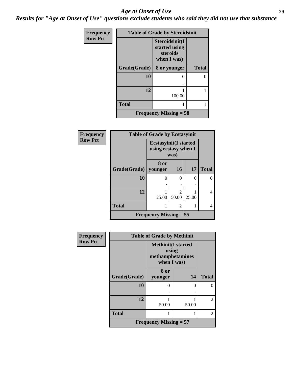#### *Age at Onset of Use* **29**

*Results for "Age at Onset of Use" questions exclude students who said they did not use that substance*

| <b>Frequency</b> | <b>Table of Grade by Steroidsinit</b> |                                                            |              |  |  |
|------------------|---------------------------------------|------------------------------------------------------------|--------------|--|--|
| <b>Row Pct</b>   |                                       | Steroidsinit(I<br>started using<br>steroids<br>when I was) |              |  |  |
|                  | Grade(Grade)                          | 8 or younger                                               | <b>Total</b> |  |  |
|                  | 10                                    |                                                            | 0            |  |  |
|                  | 12                                    | 100.00                                                     | 1            |  |  |
|                  | <b>Total</b>                          |                                                            |              |  |  |
|                  |                                       | Frequency Missing $= 58$                                   |              |  |  |

| Frequency      | <b>Table of Grade by Ecstasyinit</b> |                                                               |                         |          |              |
|----------------|--------------------------------------|---------------------------------------------------------------|-------------------------|----------|--------------|
| <b>Row Pct</b> |                                      | <b>Ecstasyinit</b> (I started<br>using ecstasy when I<br>was) |                         |          |              |
|                | Grade(Grade)   younger               | 8 or                                                          | <b>16</b>               | 17       | <b>Total</b> |
|                | 10                                   | 0                                                             | $\Omega$                | $\Omega$ | 0            |
|                | 12                                   | 25.00                                                         | $\mathfrak{D}$<br>50.00 | 25.00    | 4            |
|                | <b>Total</b>                         |                                                               | $\overline{c}$          |          | 4            |
|                |                                      | <b>Frequency Missing = 55</b>                                 |                         |          |              |

| <b>Frequency</b> | <b>Table of Grade by Methinit</b> |                                                                       |       |                             |  |
|------------------|-----------------------------------|-----------------------------------------------------------------------|-------|-----------------------------|--|
| <b>Row Pct</b>   |                                   | <b>Methinit(I started</b><br>using<br>methamphetamines<br>when I was) |       |                             |  |
|                  | Grade(Grade)                      | 8 or<br>younger                                                       | 14    | <b>Total</b>                |  |
|                  | 10                                | $\mathbf{\Omega}$                                                     | ∩     |                             |  |
|                  | 12                                | 50.00                                                                 | 50.00 | $\mathfrak{D}$              |  |
|                  | <b>Total</b>                      |                                                                       |       | $\mathcal{D}_{\mathcal{L}}$ |  |
|                  | Frequency Missing $= 57$          |                                                                       |       |                             |  |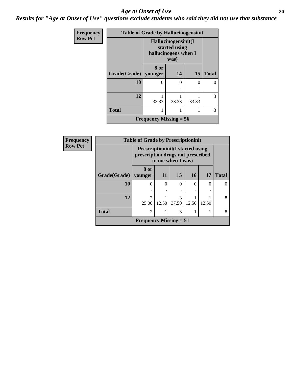#### Age at Onset of Use **30**

*Results for "Age at Onset of Use" questions exclude students who said they did not use that substance*

| <b>Frequency</b> | <b>Table of Grade by Hallucinogensinit</b> |                                                                      |       |           |              |
|------------------|--------------------------------------------|----------------------------------------------------------------------|-------|-----------|--------------|
| <b>Row Pct</b>   |                                            | Hallucinogensinit(I<br>started using<br>hallucinogens when I<br>was) |       |           |              |
|                  | Grade(Grade)   younger                     | 8 or                                                                 | 14    | <b>15</b> | <b>Total</b> |
|                  | 10                                         | 0                                                                    | ∩     | 0         |              |
|                  | 12                                         | 33.33                                                                | 33.33 | 33.33     | 3            |
|                  | <b>Total</b>                               |                                                                      |       |           | 3            |
|                  |                                            | Frequency Missing $= 56$                                             |       |           |              |

| Frequency      | <b>Table of Grade by Prescriptioninit</b> |                                                                                                   |       |            |       |       |              |
|----------------|-------------------------------------------|---------------------------------------------------------------------------------------------------|-------|------------|-------|-------|--------------|
| <b>Row Pct</b> |                                           | <b>Prescriptioninit(I started using</b><br>prescription drugs not prescribed<br>to me when I was) |       |            |       |       |              |
|                | Grade(Grade)                              | 8 or<br>younger                                                                                   | 11    | 15         | 16    | 17    | <b>Total</b> |
|                | 10                                        | 0                                                                                                 | 0     | $\theta$   | 0     | 0     | $\Omega$     |
|                | 12                                        | $\mathfrak{D}$<br>25.00                                                                           | 12.50 | 3<br>37.50 | 12.50 | 12.50 | 8            |
|                | <b>Total</b>                              | $\overline{2}$                                                                                    |       | 3          |       |       | 8            |
|                |                                           | <b>Frequency Missing = 51</b>                                                                     |       |            |       |       |              |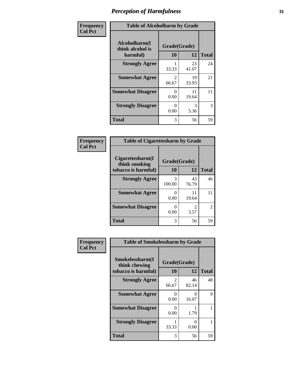| Frequency      | <b>Table of Alcoholharm by Grade</b>          |                         |             |              |  |
|----------------|-----------------------------------------------|-------------------------|-------------|--------------|--|
| <b>Col Pct</b> | Alcoholharm(I<br>think alcohol is<br>harmful) | Grade(Grade)<br>10      | 12          | <b>Total</b> |  |
|                | <b>Strongly Agree</b>                         | 33.33                   | 23<br>41.07 | 24           |  |
|                | <b>Somewhat Agree</b>                         | $\mathfrak{D}$<br>66.67 | 19<br>33.93 | 21           |  |
|                | <b>Somewhat Disagree</b>                      | $\mathbf{0}$<br>0.00    | 11<br>19.64 | 11           |  |
|                | <b>Strongly Disagree</b>                      | $\mathbf{0}$<br>0.00    | 3<br>5.36   | 3            |  |
|                | <b>Total</b>                                  | 3                       | 56          | 59           |  |

| <b>Table of Cigarettesharm by Grade</b> |              |                               |              |  |
|-----------------------------------------|--------------|-------------------------------|--------------|--|
| Cigarettesharm(I<br>think smoking       | Grade(Grade) |                               |              |  |
| tobacco is harmful)                     | 10           | 12                            | <b>Total</b> |  |
| <b>Strongly Agree</b>                   | 3<br>100.00  | 43<br>76.79                   | 46           |  |
| <b>Somewhat Agree</b>                   | 0.00         | 11<br>19.64                   | 11           |  |
| <b>Somewhat Disagree</b>                | ∩<br>0.00    | $\mathcal{D}_{\cdot}$<br>3.57 | 2            |  |
| <b>Total</b>                            | 3            | 56                            | 59           |  |

| Frequency      | <b>Table of Smokelessharm by Grade</b>                  |                    |             |              |
|----------------|---------------------------------------------------------|--------------------|-------------|--------------|
| <b>Col Pct</b> | Smokelessharm(I<br>think chewing<br>tobacco is harmful) | Grade(Grade)<br>10 | 12          | <b>Total</b> |
|                | <b>Strongly Agree</b>                                   | 2<br>66.67         | 46<br>82.14 | 48           |
|                | <b>Somewhat Agree</b>                                   | 0.00               | 9<br>16.07  | 9            |
|                | <b>Somewhat Disagree</b>                                | 0.00               | 1.79        |              |
|                | <b>Strongly Disagree</b>                                | 33.33              | 0<br>0.00   |              |
|                | <b>Total</b>                                            | 3                  | 56          | 59           |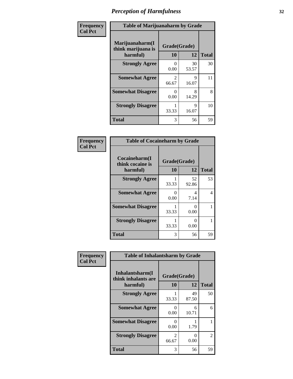| Frequency      | <b>Table of Marijuanaharm by Grade</b>            |                           |             |              |
|----------------|---------------------------------------------------|---------------------------|-------------|--------------|
| <b>Col Pct</b> | Marijuanaharm(I<br>think marijuana is<br>harmful) | Grade(Grade)<br>10        | 12          | <b>Total</b> |
|                | <b>Strongly Agree</b>                             | $\mathbf{0}$<br>0.00      | 30<br>53.57 | 30           |
|                | <b>Somewhat Agree</b>                             | $\mathfrak{D}$<br>66.67   | 9<br>16.07  | 11           |
|                | <b>Somewhat Disagree</b>                          | $\mathbf{\Omega}$<br>0.00 | 8<br>14.29  | 8            |
|                | <b>Strongly Disagree</b>                          | 33.33                     | 9<br>16.07  | 10           |
|                | <b>Total</b>                                      | 3                         | 56          | 59           |

| <b>Table of Cocaineharm by Grade</b>          |                    |             |              |  |  |
|-----------------------------------------------|--------------------|-------------|--------------|--|--|
| Cocaineharm(I<br>think cocaine is<br>harmful) | Grade(Grade)<br>10 | 12          | <b>Total</b> |  |  |
| <b>Strongly Agree</b>                         | 33.33              | 52<br>92.86 | 53           |  |  |
| <b>Somewhat Agree</b>                         | 0<br>0.00          | 4<br>7.14   | 4            |  |  |
| <b>Somewhat Disagree</b>                      | 33.33              | 0<br>0.00   |              |  |  |
| <b>Strongly Disagree</b>                      | 33.33              | ∩<br>0.00   |              |  |  |
| Total                                         | 3                  | 56          | 59           |  |  |

| Frequency      | <b>Table of Inhalantsharm by Grade</b>             |                                 |             |              |
|----------------|----------------------------------------------------|---------------------------------|-------------|--------------|
| <b>Col Pct</b> | Inhalantsharm(I<br>think inhalants are<br>harmful) | Grade(Grade)<br>12<br><b>10</b> |             | <b>Total</b> |
|                | <b>Strongly Agree</b>                              | 33.33                           | 49<br>87.50 | 50           |
|                | <b>Somewhat Agree</b>                              | $\Omega$<br>0.00                | 6<br>10.71  | 6            |
|                | <b>Somewhat Disagree</b>                           | 0<br>0.00                       | 1.79        |              |
|                | <b>Strongly Disagree</b>                           | $\mathfrak{D}$<br>66.67         | 0<br>0.00   | 2            |
|                | <b>Total</b>                                       | 3                               | 56          | 59           |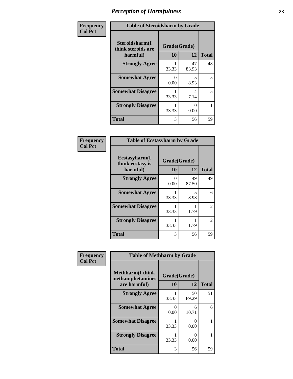| Frequency      | <b>Table of Steroidsharm by Grade</b>            |                    |             |              |
|----------------|--------------------------------------------------|--------------------|-------------|--------------|
| <b>Col Pct</b> | Steroidsharm(I<br>think steroids are<br>harmful) | Grade(Grade)<br>10 | 12          | <b>Total</b> |
|                | <b>Strongly Agree</b>                            | 33.33              | 47<br>83.93 | 48           |
|                | <b>Somewhat Agree</b>                            | 0<br>0.00          | 5<br>8.93   | 5            |
|                | <b>Somewhat Disagree</b>                         | 33.33              | 4<br>7.14   | 5            |
|                | <b>Strongly Disagree</b>                         | 33.33              | 0<br>0.00   |              |
|                | <b>Total</b>                                     | 3                  | 56          | 59           |

| <b>Table of Ecstasyharm by Grade</b>          |                    |              |    |  |  |
|-----------------------------------------------|--------------------|--------------|----|--|--|
| Ecstasyharm(I<br>think ecstasy is<br>harmful) | Grade(Grade)<br>10 | <b>Total</b> |    |  |  |
| <b>Strongly Agree</b>                         | $\Omega$<br>0.00   | 49<br>87.50  | 49 |  |  |
| <b>Somewhat Agree</b>                         | 33.33              | 5<br>8.93    | 6  |  |  |
| <b>Somewhat Disagree</b>                      | 33.33              | 1.79         | 2  |  |  |
| <b>Strongly Disagree</b>                      | 33.33              | 1.79         | 2  |  |  |
| <b>Total</b>                                  | 3                  | 56           | 59 |  |  |

| Frequency      | <b>Table of Methharm by Grade</b>                           |                    |             |              |
|----------------|-------------------------------------------------------------|--------------------|-------------|--------------|
| <b>Col Pct</b> | <b>Methharm(I think</b><br>methamphetamines<br>are harmful) | Grade(Grade)<br>10 | 12          | <b>Total</b> |
|                | <b>Strongly Agree</b>                                       | 33.33              | 50<br>89.29 | 51           |
|                | <b>Somewhat Agree</b>                                       | 0<br>0.00          | 6<br>10.71  | 6            |
|                | <b>Somewhat Disagree</b>                                    | 33.33              | 0<br>0.00   |              |
|                | <b>Strongly Disagree</b>                                    | 33.33              | 0<br>0.00   |              |
|                | <b>Total</b>                                                | 3                  | 56          | 59           |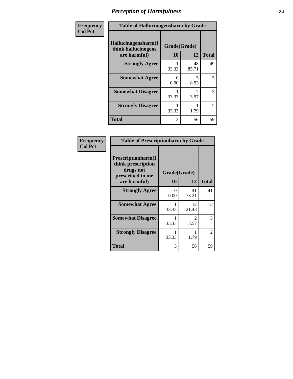| Frequency      | <b>Table of Hallucinogensharm by Grade</b>                 |                    |                                     |                |
|----------------|------------------------------------------------------------|--------------------|-------------------------------------|----------------|
| <b>Col Pct</b> | Hallucinogensharm(I<br>think hallucinogens<br>are harmful) | Grade(Grade)<br>10 | 12                                  | <b>Total</b>   |
|                | <b>Strongly Agree</b>                                      | 33.33              | 48<br>85.71                         | 49             |
|                | <b>Somewhat Agree</b>                                      | 0<br>0.00          | 5<br>8.93                           | 5              |
|                | <b>Somewhat Disagree</b>                                   | 33.33              | $\mathcal{D}_{\mathcal{L}}$<br>3.57 | 3              |
|                | <b>Strongly Disagree</b>                                   | 33.33              | 1.79                                | $\overline{2}$ |
|                | <b>Total</b>                                               | 3                  | 56                                  | 59             |

| <b>Frequency</b> |
|------------------|
| Col Pct          |

| <b>Table of Prescriptionharm by Grade</b>                                         |              |                       |              |  |  |
|-----------------------------------------------------------------------------------|--------------|-----------------------|--------------|--|--|
| <b>Prescriptionharm</b> (I<br>think prescription<br>drugs not<br>prescribed to me | Grade(Grade) |                       |              |  |  |
| are harmful)                                                                      | 10           | 12                    | <b>Total</b> |  |  |
| <b>Strongly Agree</b>                                                             | 0<br>0.00    | 41<br>73.21           | 41           |  |  |
| <b>Somewhat Agree</b>                                                             | 33.33        | 12<br>21.43           | 13           |  |  |
| <b>Somewhat Disagree</b>                                                          | 33.33        | $\mathcal{D}$<br>3.57 | 3            |  |  |
| <b>Strongly Disagree</b>                                                          | 33.33        | 1.79                  | 2            |  |  |
| <b>Total</b>                                                                      | 3            | 56                    | 59           |  |  |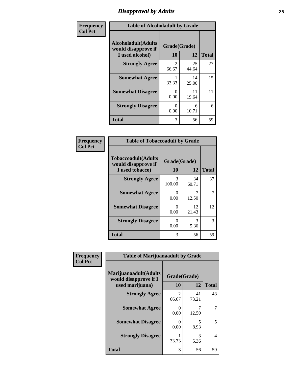## *Disapproval by Adults* **35**

| Frequency      | <b>Table of Alcoholadult by Grade</b>                                 |                         |             |              |
|----------------|-----------------------------------------------------------------------|-------------------------|-------------|--------------|
| <b>Col Pct</b> | <b>Alcoholadult</b> (Adults<br>would disapprove if<br>I used alcohol) | Grade(Grade)<br>10      | 12          | <b>Total</b> |
|                | <b>Strongly Agree</b>                                                 | $\mathfrak{D}$<br>66.67 | 25<br>44.64 | 27           |
|                | <b>Somewhat Agree</b>                                                 | 33.33                   | 14<br>25.00 | 15           |
|                | <b>Somewhat Disagree</b>                                              | 0<br>0.00               | 11<br>19.64 | 11           |
|                | <b>Strongly Disagree</b>                                              | 0<br>0.00               | 6<br>10.71  | 6            |
|                | <b>Total</b>                                                          | 3                       | 56          | 59           |

| <b>Table of Tobaccoadult by Grade</b>                                 |                          |             |    |  |  |
|-----------------------------------------------------------------------|--------------------------|-------------|----|--|--|
| <b>Tobaccoadult</b> (Adults<br>would disapprove if<br>I used tobacco) | Grade(Grade)<br>10<br>12 |             |    |  |  |
| <b>Strongly Agree</b>                                                 | 3<br>100.00              | 34<br>60.71 | 37 |  |  |
| <b>Somewhat Agree</b>                                                 | 0<br>0.00                | 12.50       | 7  |  |  |
| <b>Somewhat Disagree</b>                                              | 0<br>0.00                | 12<br>21.43 | 12 |  |  |
| <b>Strongly Disagree</b>                                              | 0<br>0.00                | 3<br>5.36   | 3  |  |  |
| <b>Total</b>                                                          | 3                        | 56          | 59 |  |  |

| Frequency      | <b>Table of Marijuanaadult by Grade</b>                           |                         |             |                          |
|----------------|-------------------------------------------------------------------|-------------------------|-------------|--------------------------|
| <b>Col Pct</b> | Marijuanaadult(Adults<br>would disapprove if I<br>used marijuana) | Grade(Grade)<br>10      | 12          | <b>Total</b>             |
|                | <b>Strongly Agree</b>                                             | $\overline{2}$<br>66.67 | 41<br>73.21 | 43                       |
|                | <b>Somewhat Agree</b>                                             | 0<br>0.00               | 7<br>12.50  |                          |
|                | <b>Somewhat Disagree</b>                                          | 0<br>0.00               | 5<br>8.93   | 5                        |
|                | <b>Strongly Disagree</b>                                          | 33.33                   | 3<br>5.36   | $\overline{\mathcal{A}}$ |
|                | <b>Total</b>                                                      | 3                       | 56          | 59                       |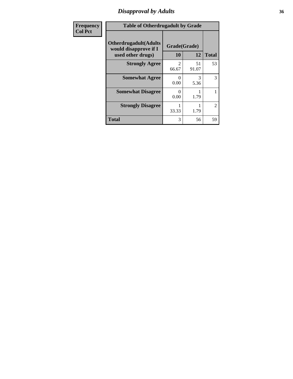### *Disapproval by Adults* **36**

| <b>Frequency</b> | <b>Table of Otherdrugadult by Grade</b>                                     |                    |             |              |
|------------------|-----------------------------------------------------------------------------|--------------------|-------------|--------------|
| <b>Col Pct</b>   | <b>Otherdrugadult</b> (Adults<br>would disapprove if I<br>used other drugs) | Grade(Grade)<br>10 | 12          | <b>Total</b> |
|                  | <b>Strongly Agree</b>                                                       | っ<br>66.67         | 51<br>91.07 | 53           |
|                  | <b>Somewhat Agree</b>                                                       | $\Omega$<br>0.00   | 3<br>5.36   | 3            |
|                  | <b>Somewhat Disagree</b>                                                    | 0<br>0.00          | 1.79        |              |
|                  | <b>Strongly Disagree</b>                                                    | 33.33              | 1.79        | 2            |
|                  | <b>Total</b>                                                                | 3                  | 56          | 59           |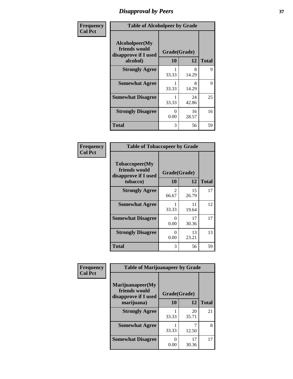# *Disapproval by Peers* **37**

| Frequency      | <b>Table of Alcoholpeer by Grade</b>                    |                      |             |              |  |
|----------------|---------------------------------------------------------|----------------------|-------------|--------------|--|
| <b>Col Pct</b> | Alcoholpeer(My<br>friends would<br>disapprove if I used | Grade(Grade)         |             |              |  |
|                | alcohol)                                                | 10                   | 12          | <b>Total</b> |  |
|                | <b>Strongly Agree</b>                                   | 33.33                | 8<br>14.29  | 9            |  |
|                | <b>Somewhat Agree</b>                                   | 33.33                | 8<br>14.29  | 9            |  |
|                | <b>Somewhat Disagree</b>                                | 33.33                | 24<br>42.86 | 25           |  |
|                | <b>Strongly Disagree</b>                                | $\mathbf{0}$<br>0.00 | 16<br>28.57 | 16           |  |
|                | Total                                                   | 3                    | 56          | 59           |  |

| Frequency      | <b>Table of Tobaccopeer by Grade</b>                    |                  |             |              |
|----------------|---------------------------------------------------------|------------------|-------------|--------------|
| <b>Col Pct</b> | Tobaccopeer(My<br>friends would<br>disapprove if I used | Grade(Grade)     |             |              |
|                | tobacco)                                                | 10               | 12          | <b>Total</b> |
|                | <b>Strongly Agree</b>                                   | 2<br>66.67       | 15<br>26.79 | 17           |
|                | <b>Somewhat Agree</b>                                   | 33.33            | 11<br>19.64 | 12           |
|                | <b>Somewhat Disagree</b>                                | 0<br>0.00        | 17<br>30.36 | 17           |
|                | <b>Strongly Disagree</b>                                | $\Omega$<br>0.00 | 13<br>23.21 | 13           |
|                | Total                                                   | 3                | 56          | 59           |

| Frequency      | <b>Table of Marijuanapeer by Grade</b>                    |              |             |              |
|----------------|-----------------------------------------------------------|--------------|-------------|--------------|
| <b>Col Pct</b> | Marijuanapeer(My<br>friends would<br>disapprove if I used | Grade(Grade) |             |              |
|                | marijuana)                                                | 10           | 12          | <b>Total</b> |
|                | <b>Strongly Agree</b>                                     | 33.33        | 20<br>35.71 | 21           |
|                | <b>Somewhat Agree</b>                                     | 33.33        | 12.50       | 8            |
|                | <b>Somewhat Disagree</b>                                  | 0<br>0.00    | 17<br>30.36 | 17           |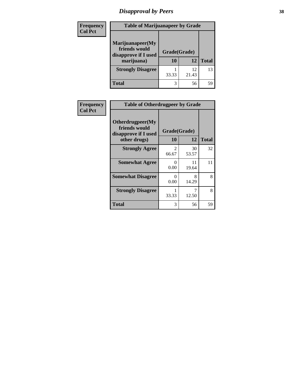# *Disapproval by Peers* **38**

| Frequency<br><b>Col Pct</b> | <b>Table of Marijuanapeer by Grade</b>                                  |                    |             |              |
|-----------------------------|-------------------------------------------------------------------------|--------------------|-------------|--------------|
|                             | Marijuanapeer(My<br>friends would<br>disapprove if I used<br>marijuana) | Grade(Grade)<br>10 | 12          | <b>Total</b> |
|                             | <b>Strongly Disagree</b>                                                | 33.33              | 12<br>21.43 | 13           |
|                             | Total                                                                   | 3                  | 56          | 59           |

| Frequency      | <b>Table of Otherdrugpeer by Grade</b>                                    |                           |             |              |
|----------------|---------------------------------------------------------------------------|---------------------------|-------------|--------------|
| <b>Col Pct</b> | Otherdrugpeer(My<br>friends would<br>disapprove if I used<br>other drugs) | Grade(Grade)<br><b>10</b> | 12          | <b>Total</b> |
|                | <b>Strongly Agree</b>                                                     | $\mathcal{L}$<br>66.67    | 30<br>53.57 | 32           |
|                | <b>Somewhat Agree</b>                                                     | 0<br>0.00                 | 11<br>19.64 | 11           |
|                | <b>Somewhat Disagree</b>                                                  | $\Omega$<br>0.00          | 8<br>14.29  | 8            |
|                | <b>Strongly Disagree</b>                                                  | 33.33                     | 7<br>12.50  | 8            |
|                | Total                                                                     | 3                         | 56          | 59           |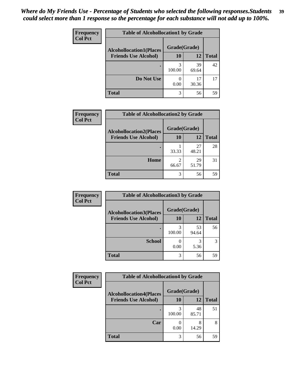| Frequency<br><b>Col Pct</b> | <b>Table of Alcohollocation1 by Grade</b> |              |             |              |
|-----------------------------|-------------------------------------------|--------------|-------------|--------------|
|                             | <b>Alcohollocation1(Places</b>            | Grade(Grade) |             |              |
|                             | <b>Friends Use Alcohol)</b>               | 10           | 12          | <b>Total</b> |
|                             |                                           | 3<br>100.00  | 39<br>69.64 | 42           |
|                             | Do Not Use                                | 0.00         | 17<br>30.36 | 17           |
|                             | <b>Total</b>                              | 3            | 56          | 59           |

| <b>Frequency</b> | <b>Table of Alcohollocation2 by Grade</b> |              |             |              |
|------------------|-------------------------------------------|--------------|-------------|--------------|
| <b>Col Pct</b>   | <b>Alcohollocation2(Places</b>            | Grade(Grade) |             |              |
|                  | <b>Friends Use Alcohol)</b>               | 10           | 12          | <b>Total</b> |
|                  |                                           | 33.33        | 27<br>48.21 | 28           |
|                  | Home                                      | 2<br>66.67   | 29<br>51.79 | 31           |
|                  | <b>Total</b>                              | 3            | 56          | 59           |

| Frequency<br><b>Col Pct</b> | <b>Table of Alcohollocation 3 by Grade</b>                    |                    |             |              |
|-----------------------------|---------------------------------------------------------------|--------------------|-------------|--------------|
|                             | <b>Alcohollocation3(Places</b><br><b>Friends Use Alcohol)</b> | Grade(Grade)<br>10 | 12          | <b>Total</b> |
|                             |                                                               | 3<br>100.00        | 53<br>94.64 | 56           |
|                             | <b>School</b>                                                 | 0.00               | 3<br>5.36   | 3            |
|                             | <b>Total</b>                                                  | 3                  | 56          | 59           |

| Frequency      | <b>Table of Alcohollocation4 by Grade</b> |              |             |              |  |
|----------------|-------------------------------------------|--------------|-------------|--------------|--|
| <b>Col Pct</b> | <b>Alcohollocation4(Places</b>            | Grade(Grade) |             |              |  |
|                | <b>Friends Use Alcohol)</b>               | 10           | 12          | <b>Total</b> |  |
|                |                                           | 100.00       | 48<br>85.71 | 51           |  |
|                | Car                                       | 0.00         | 8<br>14.29  | 8            |  |
|                | <b>Total</b>                              | 3            | 56          | 59           |  |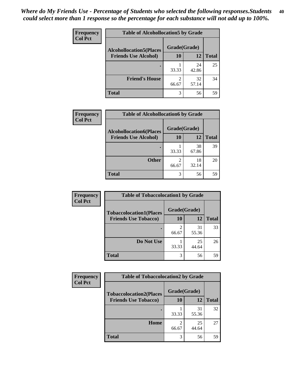| Frequency<br><b>Col Pct</b> | <b>Table of Alcohollocation5 by Grade</b> |              |             |              |
|-----------------------------|-------------------------------------------|--------------|-------------|--------------|
|                             | <b>Alcohollocation5(Places</b>            | Grade(Grade) |             |              |
|                             | <b>Friends Use Alcohol)</b>               | 10           | 12          | <b>Total</b> |
|                             |                                           | 33.33        | 24<br>42.86 | 25           |
|                             | <b>Friend's House</b>                     | 2<br>66.67   | 32<br>57.14 | 34           |
|                             | <b>Total</b>                              | 3            | 56          | 59           |

| <b>Frequency</b> | <b>Table of Alcohollocation6 by Grade</b> |                         |             |              |
|------------------|-------------------------------------------|-------------------------|-------------|--------------|
| <b>Col Pct</b>   | <b>Alcohollocation6(Places</b>            | Grade(Grade)            |             |              |
|                  | <b>Friends Use Alcohol)</b>               | <b>10</b>               | 12          | <b>Total</b> |
|                  |                                           | 33.33                   | 38<br>67.86 | 39           |
|                  | <b>Other</b>                              | $\mathfrak{D}$<br>66.67 | 18<br>32.14 | 20           |
|                  | <b>Total</b>                              | 3                       | 56          | 59           |

| Frequency      | <b>Table of Tobaccolocation1 by Grade</b> |              |             |              |
|----------------|-------------------------------------------|--------------|-------------|--------------|
| <b>Col Pct</b> | <b>Tobaccolocation1(Places</b>            | Grade(Grade) |             |              |
|                | <b>Friends Use Tobacco)</b>               | 10           | 12          | <b>Total</b> |
|                |                                           | 2<br>66.67   | 31<br>55.36 | 33           |
|                | Do Not Use                                | 33.33        | 25<br>44.64 | 26           |
|                | <b>Total</b>                              | 3            | 56          | 59           |

| <b>Frequency</b> | <b>Table of Tobaccolocation2 by Grade</b> |              |             |              |  |
|------------------|-------------------------------------------|--------------|-------------|--------------|--|
| <b>Col Pct</b>   | <b>Tobaccolocation2(Places</b>            | Grade(Grade) |             |              |  |
|                  | <b>Friends Use Tobacco)</b>               | 10           | 12          | <b>Total</b> |  |
|                  |                                           | 33.33        | 31<br>55.36 | 32           |  |
|                  | Home                                      | 2<br>66.67   | 25<br>44.64 | 27           |  |
|                  | <b>Total</b>                              | 3            | 56          | 59           |  |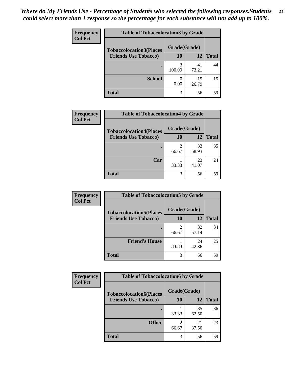| Frequency      | <b>Table of Tobaccolocation 3 by Grade</b> |              |             |              |  |
|----------------|--------------------------------------------|--------------|-------------|--------------|--|
| <b>Col Pct</b> | <b>Tobaccolocation3(Places</b>             | Grade(Grade) |             |              |  |
|                | <b>Friends Use Tobacco)</b>                | 10           | <b>12</b>   | <b>Total</b> |  |
|                | ٠                                          | 3<br>100.00  | 41<br>73.21 | 44           |  |
|                | <b>School</b>                              | 0.00         | 15<br>26.79 | 15           |  |
|                | <b>Total</b>                               | 3            | 56          | 59           |  |

| <b>Frequency</b>            | <b>Table of Tobaccolocation4 by Grade</b> |              |              |    |
|-----------------------------|-------------------------------------------|--------------|--------------|----|
| <b>Col Pct</b>              | <b>Tobaccolocation4(Places</b>            | Grade(Grade) |              |    |
| <b>Friends Use Tobacco)</b> | 10                                        | 12           | <b>Total</b> |    |
|                             |                                           | ↑<br>66.67   | 33<br>58.93  | 35 |
|                             | Car                                       | 33.33        | 23<br>41.07  | 24 |
|                             | <b>Total</b>                              | 3            | 56           | 59 |

| Frequency      | <b>Table of Tobaccolocation5 by Grade</b> |              |             |              |
|----------------|-------------------------------------------|--------------|-------------|--------------|
| <b>Col Pct</b> | <b>Tobaccolocation5(Places</b>            | Grade(Grade) |             |              |
|                | <b>Friends Use Tobacco)</b>               | 10           | 12          | <b>Total</b> |
|                |                                           | 2<br>66.67   | 32<br>57.14 | 34           |
|                | <b>Friend's House</b>                     | 33.33        | 24<br>42.86 | 25           |
|                | <b>Total</b>                              | 3            | 56          | 59           |

| Frequency      | <b>Table of Tobaccolocation6 by Grade</b> |              |             |              |  |
|----------------|-------------------------------------------|--------------|-------------|--------------|--|
| <b>Col Pct</b> | <b>Tobaccolocation6(Places</b>            | Grade(Grade) |             |              |  |
|                | <b>Friends Use Tobacco)</b>               | 10           | <b>12</b>   | <b>Total</b> |  |
|                |                                           | 33.33        | 35<br>62.50 | 36           |  |
|                | <b>Other</b>                              | 2<br>66.67   | 21<br>37.50 | 23           |  |
|                | <b>Total</b>                              | 3            | 56          | 59           |  |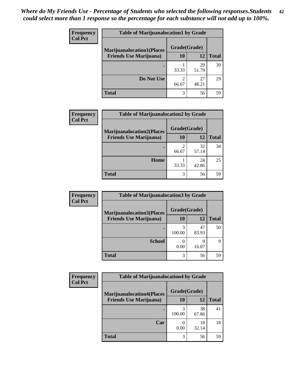| <b>Frequency</b> | <b>Table of Marijuanalocation1 by Grade</b> |                        |             |              |
|------------------|---------------------------------------------|------------------------|-------------|--------------|
| <b>Col Pct</b>   | <b>Marijuanalocation1(Places</b>            | Grade(Grade)           |             |              |
|                  | <b>Friends Use Marijuana</b> )              | 10                     | 12          | <b>Total</b> |
|                  |                                             | 33.33                  | 29<br>51.79 | 30           |
|                  | Do Not Use                                  | $\mathcal{D}$<br>66.67 | 27<br>48.21 | 29           |
|                  | <b>Total</b>                                | 3                      | 56          | 59           |

| <b>Frequency</b> | <b>Table of Marijuanalocation2 by Grade</b>                        |                    |             |              |
|------------------|--------------------------------------------------------------------|--------------------|-------------|--------------|
| <b>Col Pct</b>   | <b>Marijuanalocation2(Places</b><br><b>Friends Use Marijuana</b> ) | Grade(Grade)<br>10 | 12          | <b>Total</b> |
|                  |                                                                    | 2<br>66.67         | 32<br>57.14 | 34           |
|                  | Home                                                               | 33.33              | 24<br>42.86 | 25           |
|                  | <b>Total</b>                                                       | 3                  | 56          | 59           |

| Frequency<br><b>Col Pct</b> | <b>Table of Marijuanalocation3 by Grade</b> |              |             |              |
|-----------------------------|---------------------------------------------|--------------|-------------|--------------|
|                             | <b>Marijuanalocation3</b> (Places           | Grade(Grade) |             |              |
|                             | <b>Friends Use Marijuana</b> )              | <b>10</b>    | 12          | <b>Total</b> |
|                             |                                             | 100.00       | 47<br>83.93 | 50           |
|                             | <b>School</b>                               | 0.00         | 9<br>16.07  | Q            |
|                             | <b>Total</b>                                | 3            | 56          | 59           |

| <b>Frequency</b> | <b>Table of Marijuanalocation4 by Grade</b> |              |             |              |  |
|------------------|---------------------------------------------|--------------|-------------|--------------|--|
| <b>Col Pct</b>   | <b>Marijuanalocation4(Places</b>            | Grade(Grade) |             |              |  |
|                  | <b>Friends Use Marijuana</b> )              | <b>10</b>    | 12          | <b>Total</b> |  |
|                  |                                             | 100.00       | 38<br>67.86 | 41           |  |
|                  | Car                                         | 0.00         | 18<br>32.14 | 18           |  |
|                  | <b>Total</b>                                | 3            | 56          | 59           |  |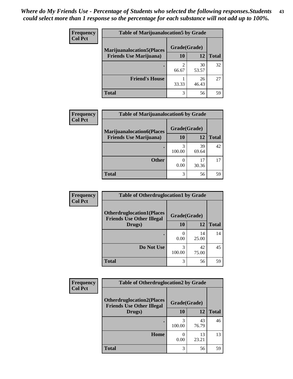| <b>Frequency</b> | <b>Table of Marijuanalocation5 by Grade</b> |              |             |              |
|------------------|---------------------------------------------|--------------|-------------|--------------|
| <b>Col Pct</b>   | <b>Marijuanalocation5</b> (Places           | Grade(Grade) |             |              |
|                  | <b>Friends Use Marijuana</b> )              | 10           | 12          | <b>Total</b> |
|                  |                                             | 66.67        | 30<br>53.57 | 32           |
|                  | <b>Friend's House</b>                       | 33.33        | 26<br>46.43 | 27           |
|                  | <b>Total</b>                                | 3            | 56          | 59           |

| <b>Frequency</b> | <b>Table of Marijuanalocation6 by Grade</b>                        |                           |             |              |
|------------------|--------------------------------------------------------------------|---------------------------|-------------|--------------|
| <b>Col Pct</b>   | <b>Marijuanalocation6(Places</b><br><b>Friends Use Marijuana</b> ) | Grade(Grade)<br><b>10</b> | 12          | <b>Total</b> |
|                  |                                                                    | 3<br>100.00               | 39<br>69.64 | 42           |
|                  | <b>Other</b>                                                       | 0.00                      | 17<br>30.36 | 17           |
|                  | <b>Total</b>                                                       | 3                         | 56          | 59           |

| <b>Frequency</b> | <b>Table of Otherdruglocation1 by Grade</b>                          |              |             |              |
|------------------|----------------------------------------------------------------------|--------------|-------------|--------------|
| <b>Col Pct</b>   | <b>Otherdruglocation1(Places</b><br><b>Friends Use Other Illegal</b> | Grade(Grade) |             |              |
|                  | Drugs)                                                               | 10           | 12          | <b>Total</b> |
|                  |                                                                      | 0.00         | 14<br>25.00 | 14           |
|                  | Do Not Use                                                           | 100.00       | 42<br>75.00 | 45           |
|                  | <b>Total</b>                                                         | 3            | 56          | 59           |

| <b>Frequency</b> | <b>Table of Otherdruglocation2 by Grade</b>                          |              |             |              |
|------------------|----------------------------------------------------------------------|--------------|-------------|--------------|
| <b>Col Pct</b>   | <b>Otherdruglocation2(Places</b><br><b>Friends Use Other Illegal</b> | Grade(Grade) |             |              |
|                  | Drugs)                                                               | 10           | 12          | <b>Total</b> |
|                  |                                                                      | 3<br>100.00  | 43<br>76.79 | 46           |
|                  | Home                                                                 | 0<br>0.00    | 13<br>23.21 | 13           |
|                  | <b>Total</b>                                                         | 3            | 56          | 59           |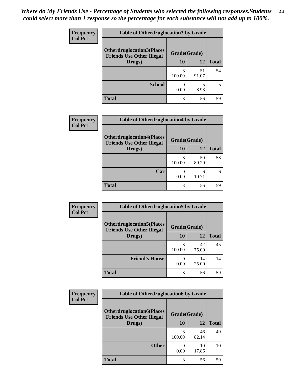| <b>Frequency</b> | <b>Table of Otherdruglocation 3 by Grade</b>                         |              |             |              |
|------------------|----------------------------------------------------------------------|--------------|-------------|--------------|
| <b>Col Pct</b>   | <b>Otherdruglocation3(Places</b><br><b>Friends Use Other Illegal</b> | Grade(Grade) |             |              |
|                  | Drugs)                                                               | 10           | 12          | <b>Total</b> |
|                  |                                                                      | 100.00       | 51<br>91.07 | 54           |
|                  | <b>School</b>                                                        | 0.00         | 8.93        |              |
|                  | <b>Total</b>                                                         | 3            | 56          | 59           |

| <b>Frequency</b> | <b>Table of Otherdruglocation4 by Grade</b>                          |              |             |              |
|------------------|----------------------------------------------------------------------|--------------|-------------|--------------|
| <b>Col Pct</b>   | <b>Otherdruglocation4(Places</b><br><b>Friends Use Other Illegal</b> | Grade(Grade) |             |              |
|                  | Drugs)                                                               | 10           | 12          | <b>Total</b> |
|                  | ٠                                                                    | 3<br>100.00  | 50<br>89.29 | 53           |
|                  | Car                                                                  | 0.00         | 6<br>10.71  | 6            |
|                  | <b>Total</b>                                                         | 3            | 56          | 59           |

| Frequency      | <b>Table of Otherdruglocation5 by Grade</b>                          |              |             |              |
|----------------|----------------------------------------------------------------------|--------------|-------------|--------------|
| <b>Col Pct</b> | <b>Otherdruglocation5(Places</b><br><b>Friends Use Other Illegal</b> | Grade(Grade) |             |              |
|                | Drugs)                                                               | <b>10</b>    | 12          | <b>Total</b> |
|                |                                                                      | 3<br>100.00  | 42<br>75.00 | 45           |
|                | <b>Friend's House</b>                                                | 0.00         | 14<br>25.00 | 14           |
|                | <b>Total</b>                                                         | 3            | 56          | 59           |

| <b>Frequency</b> | <b>Table of Otherdruglocation6 by Grade</b>                          |              |             |              |
|------------------|----------------------------------------------------------------------|--------------|-------------|--------------|
| <b>Col Pct</b>   | <b>Otherdruglocation6(Places</b><br><b>Friends Use Other Illegal</b> | Grade(Grade) |             |              |
|                  | Drugs)                                                               | 10           | 12          | <b>Total</b> |
|                  |                                                                      | 3<br>100.00  | 46<br>82.14 | 49           |
|                  | <b>Other</b>                                                         | 0<br>0.00    | 10<br>17.86 | 10           |
|                  | <b>Total</b>                                                         | 3            | 56          | 59           |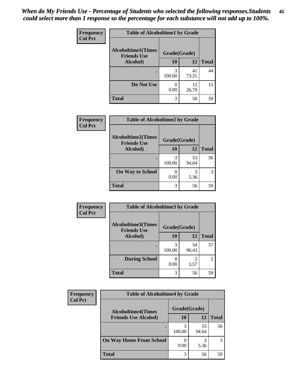| Frequency      | <b>Table of Alcoholtime1 by Grade</b>                           |                       |             |              |
|----------------|-----------------------------------------------------------------|-----------------------|-------------|--------------|
| <b>Col Pct</b> | <b>Alcoholtime1(Times</b><br>Grade(Grade)<br><b>Friends Use</b> |                       |             |              |
|                | Alcohol)                                                        | 10                    | 12          | <b>Total</b> |
|                | ٠                                                               | 3<br>100.00           | 41<br>73.21 | 44           |
|                | Do Not Use                                                      | $\mathcal{O}$<br>0.00 | 15<br>26.79 | 15           |
|                | <b>Total</b>                                                    | 3                     | 56          | 59           |

| Frequency      | <b>Table of Alcoholtime2 by Grade</b>           |              |             |              |
|----------------|-------------------------------------------------|--------------|-------------|--------------|
| <b>Col Pct</b> | <b>Alcoholtime2(Times</b><br><b>Friends Use</b> | Grade(Grade) |             |              |
|                | Alcohol)                                        | 10           | 12          | <b>Total</b> |
|                |                                                 | 3<br>100.00  | 53<br>94.64 | 56           |
|                | <b>On Way to School</b>                         | 0.00         | 3<br>5.36   | 3            |
|                | <b>Total</b>                                    | 3            | 56          | 59           |

| Frequency<br><b>Col Pct</b> | <b>Table of Alcoholtime3 by Grade</b> |                                    |             |              |
|-----------------------------|---------------------------------------|------------------------------------|-------------|--------------|
|                             | <b>Alcoholtime3(Times</b>             | Grade(Grade)<br><b>Friends Use</b> |             |              |
|                             | Alcohol)                              | 10                                 | 12          | <b>Total</b> |
|                             |                                       | 3<br>100.00                        | 54<br>96.43 | 57           |
|                             | <b>During School</b>                  | 0<br>0.00                          | 2<br>3.57   | 2            |
|                             | <b>Total</b>                          | 3                                  | 56          | 59           |

| Frequency<br><b>Col Pct</b> | <b>Table of Alcoholtime4 by Grade</b> |              |             |              |
|-----------------------------|---------------------------------------|--------------|-------------|--------------|
|                             | <b>Alcoholtime4(Times</b>             | Grade(Grade) |             |              |
|                             | <b>Friends Use Alcohol)</b>           | 10           | 12          | <b>Total</b> |
|                             |                                       | 100.00       | 53<br>94.64 | 56           |
|                             | <b>On Way Home From School</b>        | 0.00         | 5.36        | 3            |
|                             | <b>Total</b>                          | 3            | 56          | 59           |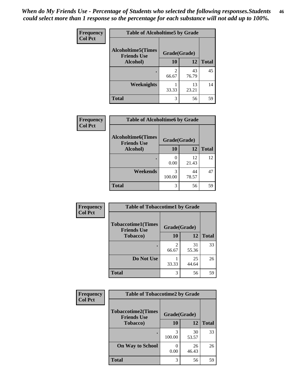*When do My Friends Use - Percentage of Students who selected the following responses.Students could select more than 1 response so the percentage for each substance will not add up to 100%.* **46**

| <b>Frequency</b> | <b>Table of Alcoholtime5 by Grade</b>           |              |             |              |
|------------------|-------------------------------------------------|--------------|-------------|--------------|
| <b>Col Pct</b>   | <b>Alcoholtime5(Times</b><br><b>Friends Use</b> | Grade(Grade) |             |              |
|                  | Alcohol)                                        | 10           | 12          | <b>Total</b> |
|                  |                                                 | 2<br>66.67   | 43<br>76.79 | 45           |
|                  | Weeknights                                      | 33.33        | 13<br>23.21 | 14           |
|                  | <b>Total</b>                                    | 3            | 56          | 59           |

| Frequency      | <b>Table of Alcoholtime6 by Grade</b>           |              |             |              |
|----------------|-------------------------------------------------|--------------|-------------|--------------|
| <b>Col Pct</b> | <b>Alcoholtime6(Times</b><br><b>Friends Use</b> | Grade(Grade) |             |              |
|                | Alcohol)                                        | 10           | 12          | <b>Total</b> |
|                |                                                 | 0.00         | 12<br>21.43 | 12           |
|                | Weekends                                        | 3<br>100.00  | 44<br>78.57 | 47           |
|                | <b>Total</b>                                    | 3            | 56          | 59           |

| Frequency      | <b>Table of Tobaccotime1 by Grade</b>           |              |             |              |
|----------------|-------------------------------------------------|--------------|-------------|--------------|
| <b>Col Pct</b> | <b>Tobaccotime1(Times</b><br><b>Friends Use</b> | Grade(Grade) |             |              |
|                | <b>Tobacco</b> )                                | 10           | 12          | <b>Total</b> |
|                | ٠                                               | っ<br>66.67   | 31<br>55.36 | 33           |
|                | Do Not Use                                      | 33.33        | 25<br>44.64 | 26           |
|                | <b>Total</b>                                    | 3            | 56          | 59           |

| Frequency      | <b>Table of Tobaccotime2 by Grade</b>                           |             |             |              |
|----------------|-----------------------------------------------------------------|-------------|-------------|--------------|
| <b>Col Pct</b> | <b>Tobaccotime2(Times</b><br>Grade(Grade)<br><b>Friends Use</b> |             |             |              |
|                | Tobacco)                                                        | 10          | 12          | <b>Total</b> |
|                |                                                                 | 3<br>100.00 | 30<br>53.57 | 33           |
|                | <b>On Way to School</b>                                         | 0.00        | 26<br>46.43 | 26           |
|                | <b>Total</b>                                                    | 3           | 56          | 59           |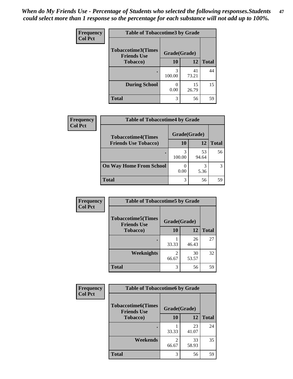| Frequency      | <b>Table of Tobaccotime3 by Grade</b>           |              |             |              |  |
|----------------|-------------------------------------------------|--------------|-------------|--------------|--|
| <b>Col Pct</b> | <b>Tobaccotime3(Times</b><br><b>Friends Use</b> | Grade(Grade) |             |              |  |
|                | Tobacco)                                        | 10           | 12          | <b>Total</b> |  |
|                | ٠                                               | 3<br>100.00  | 41<br>73.21 | 44           |  |
|                | <b>During School</b>                            | 0.00         | 15<br>26.79 | 15           |  |
|                | <b>Total</b>                                    | 3            | 56          | 59           |  |

| <b>Frequency</b><br><b>Col Pct</b> | <b>Table of Tobaccotime4 by Grade</b> |              |             |              |
|------------------------------------|---------------------------------------|--------------|-------------|--------------|
|                                    | <b>Tobaccotime4(Times</b>             | Grade(Grade) |             |              |
|                                    | <b>Friends Use Tobacco)</b>           | 10           | 12          | <b>Total</b> |
|                                    |                                       | 100.00       | 53<br>94.64 | 56           |
|                                    | <b>On Way Home From School</b>        | 0.00         | 5.36        | 3            |
|                                    | <b>Total</b>                          | 3            | 56          | 59           |

| Frequency      | <b>Table of Tobaccotime5 by Grade</b>           |              |             |              |
|----------------|-------------------------------------------------|--------------|-------------|--------------|
| <b>Col Pct</b> | <b>Tobaccotime5(Times</b><br><b>Friends Use</b> | Grade(Grade) |             |              |
|                | <b>Tobacco</b> )                                | 10           | 12          | <b>Total</b> |
|                |                                                 | 33.33        | 26<br>46.43 | 27           |
|                | Weeknights                                      | 66.67        | 30<br>53.57 | 32           |
|                | <b>Total</b>                                    | 3            | 56          | 59           |

| Frequency      | <b>Table of Tobaccotime6 by Grade</b>                           |            |             |              |
|----------------|-----------------------------------------------------------------|------------|-------------|--------------|
| <b>Col Pct</b> | <b>Tobaccotime6(Times</b><br>Grade(Grade)<br><b>Friends Use</b> |            |             |              |
|                | <b>Tobacco</b> )                                                | 10         | 12          | <b>Total</b> |
|                |                                                                 | 33.33      | 23<br>41.07 | 24           |
|                | Weekends                                                        | っ<br>66.67 | 33<br>58.93 | 35           |
|                | <b>Total</b>                                                    | 3          | 56          | 59           |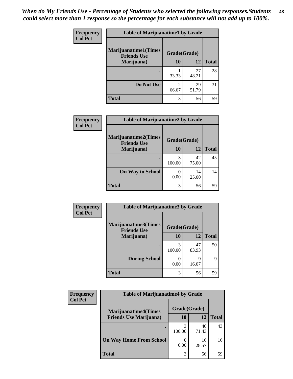| <b>Frequency</b> | <b>Table of Marijuanatime1 by Grade</b>           |              |             |              |
|------------------|---------------------------------------------------|--------------|-------------|--------------|
| <b>Col Pct</b>   | <b>Marijuanatime1(Times</b><br><b>Friends Use</b> | Grade(Grade) |             |              |
|                  | Marijuana)                                        | 10           | 12          | <b>Total</b> |
|                  |                                                   | 33.33        | 27<br>48.21 | 28           |
|                  | Do Not Use                                        | 2<br>66.67   | 29<br>51.79 | 31           |
|                  | <b>Total</b>                                      | 3            | 56          | 59           |

| Frequency      | <b>Table of Marijuanatime2 by Grade</b>           |              |             |              |
|----------------|---------------------------------------------------|--------------|-------------|--------------|
| <b>Col Pct</b> | <b>Marijuanatime2(Times</b><br><b>Friends Use</b> | Grade(Grade) |             |              |
|                | Marijuana)                                        | 10           | 12          | <b>Total</b> |
|                |                                                   | 3<br>100.00  | 42<br>75.00 | 45           |
|                | <b>On Way to School</b>                           | 0<br>0.00    | 14<br>25.00 | 14           |
|                | <b>Total</b>                                      | 3            | 56          | 59           |

| Frequency      | <b>Table of Marijuanatime3 by Grade</b>    |              |             |              |
|----------------|--------------------------------------------|--------------|-------------|--------------|
| <b>Col Pct</b> | Marijuanatime3(Times<br><b>Friends Use</b> | Grade(Grade) |             |              |
|                | Marijuana)                                 | 10           | 12          | <b>Total</b> |
|                |                                            | 3<br>100.00  | 47<br>83.93 | 50           |
|                | <b>During School</b>                       | 0.00         | q<br>16.07  | 9            |
|                | <b>Total</b>                               | 3            | 56          | 59           |

| <b>Frequency</b> | <b>Table of Marijuanatime4 by Grade</b> |              |             |              |
|------------------|-----------------------------------------|--------------|-------------|--------------|
| <b>Col Pct</b>   | <b>Marijuanatime4(Times</b>             | Grade(Grade) |             |              |
|                  | <b>Friends Use Marijuana</b> )          | 10           | 12          | <b>Total</b> |
|                  |                                         | 100.00       | 40<br>71.43 | 43           |
|                  | <b>On Way Home From School</b>          | 0.00         | 16<br>28.57 | 16           |
|                  | <b>Total</b>                            | 3            | 56          | 59           |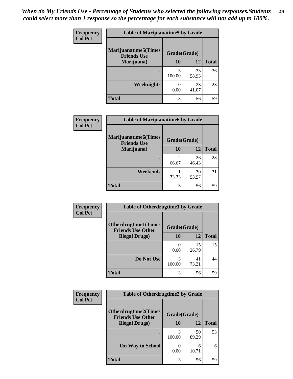| Frequency      | <b>Table of Marijuanatime5 by Grade</b>            |              |             |              |
|----------------|----------------------------------------------------|--------------|-------------|--------------|
| <b>Col Pct</b> | <b>Marijuanatime5</b> (Times<br><b>Friends Use</b> | Grade(Grade) |             |              |
|                | Marijuana)                                         | 10           | 12          | <b>Total</b> |
|                |                                                    | 3<br>100.00  | 33<br>58.93 | 36           |
|                | Weeknights                                         | 0.00         | 23<br>41.07 | 23           |
|                | <b>Total</b>                                       | 3            | 56          | 59           |

| Frequency      | <b>Table of Marijuanatime6 by Grade</b>            |                         |             |              |
|----------------|----------------------------------------------------|-------------------------|-------------|--------------|
| <b>Col Pct</b> | <b>Marijuanatime6</b> (Times<br><b>Friends Use</b> | Grade(Grade)            |             |              |
|                | Marijuana)                                         | 10                      | 12          | <b>Total</b> |
|                |                                                    | $\mathfrak{D}$<br>66.67 | 26<br>46.43 | 28           |
|                | Weekends                                           | 33.33                   | 30<br>53.57 | 31           |
|                | <b>Total</b>                                       | 3                       | 56          | 59           |

| Frequency      | <b>Table of Otherdrugtime1 by Grade</b>                                  |             |             |              |
|----------------|--------------------------------------------------------------------------|-------------|-------------|--------------|
| <b>Col Pct</b> | <b>Otherdrugtime1</b> (Times<br>Grade(Grade)<br><b>Friends Use Other</b> |             |             |              |
|                | <b>Illegal Drugs</b> )                                                   | 10          | 12          | <b>Total</b> |
|                |                                                                          | 0.00        | 15<br>26.79 | 15           |
|                | Do Not Use                                                               | 3<br>100.00 | 41<br>73.21 | 44           |
|                | <b>Total</b>                                                             | 3           | 56          | 59           |

| <b>Frequency</b> | <b>Table of Otherdrugtime2 by Grade</b>                 |              |             |              |
|------------------|---------------------------------------------------------|--------------|-------------|--------------|
| <b>Col Pct</b>   | <b>Otherdrugtime2(Times</b><br><b>Friends Use Other</b> | Grade(Grade) |             |              |
|                  | <b>Illegal Drugs</b> )                                  |              | 12          | <b>Total</b> |
|                  |                                                         | 3<br>100.00  | 50<br>89.29 | 53           |
|                  | <b>On Way to School</b>                                 | 0.00         | 6<br>10.71  | 6            |
|                  | Total                                                   | 3            | 56          | 59           |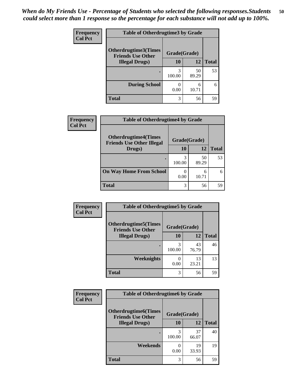| <b>Frequency</b> | <b>Table of Otherdrugtime3 by Grade</b>                 |              |             |              |  |
|------------------|---------------------------------------------------------|--------------|-------------|--------------|--|
| <b>Col Pct</b>   | <b>Otherdrugtime3(Times</b><br><b>Friends Use Other</b> | Grade(Grade) |             |              |  |
|                  | <b>Illegal Drugs</b> )                                  | 10           | 12          | <b>Total</b> |  |
|                  |                                                         | 3<br>100.00  | 50<br>89.29 | 53           |  |
|                  | <b>During School</b>                                    | 0.00         | 6<br>10.71  | 6            |  |
|                  | Total                                                   | 3            | 56          | 59           |  |

| Frequency      | <b>Table of Otherdrugtime4 by Grade</b>                         |                           |             |              |  |  |
|----------------|-----------------------------------------------------------------|---------------------------|-------------|--------------|--|--|
| <b>Col Pct</b> | <b>Otherdrugtime4(Times</b><br><b>Friends Use Other Illegal</b> | Grade(Grade)              |             |              |  |  |
|                | Drugs)                                                          | 10                        | 12          | <b>Total</b> |  |  |
|                | ٠                                                               | 3<br>100.00               | 50<br>89.29 | 53           |  |  |
|                | <b>On Way Home From School</b>                                  | $\mathbf{\Omega}$<br>0.00 | 6<br>10.71  | 6            |  |  |
|                | <b>Total</b>                                                    | 3                         | 56          | 59           |  |  |

| <b>Frequency</b> | <b>Table of Otherdrugtime5 by Grade</b>                  |              |             |              |  |
|------------------|----------------------------------------------------------|--------------|-------------|--------------|--|
| <b>Col Pct</b>   | <b>Otherdrugtime5</b> (Times<br><b>Friends Use Other</b> | Grade(Grade) |             |              |  |
|                  | <b>Illegal Drugs</b> )                                   | 10           | 12          | <b>Total</b> |  |
|                  |                                                          | 3<br>100.00  | 43<br>76.79 | 46           |  |
|                  | Weeknights                                               | 0.00         | 13<br>23.21 | 13           |  |
|                  | <b>Total</b>                                             | 3            | 56          | 59           |  |

| <b>Frequency</b><br><b>Col Pct</b> | <b>Table of Otherdrugtime6 by Grade</b>                  |              |             |              |  |
|------------------------------------|----------------------------------------------------------|--------------|-------------|--------------|--|
|                                    | <b>Otherdrugtime6</b> (Times<br><b>Friends Use Other</b> | Grade(Grade) |             |              |  |
|                                    | <b>Illegal Drugs</b> )                                   | 10           | 12          | <b>Total</b> |  |
|                                    |                                                          | 3<br>100.00  | 37<br>66.07 | 40           |  |
|                                    | Weekends                                                 | 0.00         | 19<br>33.93 | 19           |  |
|                                    | Total                                                    | 3            | 56          | 59           |  |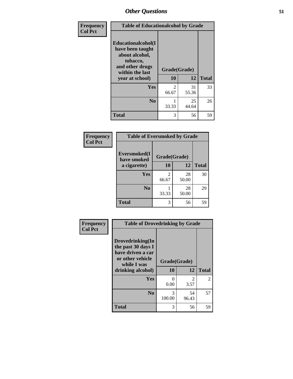| Frequency      | <b>Table of Educationalcohol by Grade</b>                                                                  |              |             |              |  |
|----------------|------------------------------------------------------------------------------------------------------------|--------------|-------------|--------------|--|
| <b>Col Pct</b> | Educationalcohol(I<br>have been taught<br>about alcohol,<br>tobacco,<br>and other drugs<br>within the last | Grade(Grade) |             |              |  |
|                | year at school)                                                                                            | 10           | 12          | <b>Total</b> |  |
|                | Yes                                                                                                        | 2<br>66.67   | 31<br>55.36 | 33           |  |
|                | N <sub>0</sub>                                                                                             | 33.33        | 25<br>44.64 | 26           |  |
|                | <b>Total</b>                                                                                               | 3            | 56          | 59           |  |

| Frequency      | <b>Table of Eversmoked by Grade</b>         |            |             |              |  |  |
|----------------|---------------------------------------------|------------|-------------|--------------|--|--|
| <b>Col Pct</b> | Eversmoked(I<br>Grade(Grade)<br>have smoked |            |             |              |  |  |
|                | a cigarette)                                | 10         | 12          | <b>Total</b> |  |  |
|                | Yes                                         | 2<br>66.67 | 28<br>50.00 | 30           |  |  |
|                | N <sub>0</sub>                              | 33.33      | 28<br>50.00 | 29           |  |  |
|                | <b>Total</b>                                | 3          | 56          | 59           |  |  |

| Frequency      | <b>Table of Drovedrinking by Grade</b>                                                                              |                    |                        |              |  |  |
|----------------|---------------------------------------------------------------------------------------------------------------------|--------------------|------------------------|--------------|--|--|
| <b>Col Pct</b> | Drovedrinking(In<br>the past 30 days I<br>have driven a car<br>or other vehicle<br>while I was<br>drinking alcohol) | Grade(Grade)<br>10 | 12                     | <b>Total</b> |  |  |
|                | Yes                                                                                                                 | 0<br>0.00          | $\mathfrak{D}$<br>3.57 | 2            |  |  |
|                | N <sub>0</sub>                                                                                                      | 3<br>100.00        | 54<br>96.43            | 57           |  |  |
|                | <b>Total</b>                                                                                                        | 3                  | 56                     | 59           |  |  |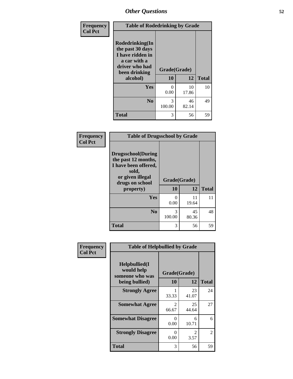| Frequency<br><b>Col Pct</b> | <b>Table of Rodedrinking by Grade</b>                                                                      |              |             |              |  |  |
|-----------------------------|------------------------------------------------------------------------------------------------------------|--------------|-------------|--------------|--|--|
|                             | Rodedrinking(In<br>the past 30 days<br>I have ridden in<br>a car with a<br>driver who had<br>been drinking | Grade(Grade) |             |              |  |  |
|                             | alcohol)                                                                                                   | 10           | 12          | <b>Total</b> |  |  |
|                             | Yes                                                                                                        | 0<br>0.00    | 10<br>17.86 | 10           |  |  |
|                             | N <sub>0</sub>                                                                                             | 3<br>100.00  | 46<br>82.14 | 49           |  |  |
|                             | <b>Total</b>                                                                                               | 3            | 56          | 59           |  |  |

#### **Frequency Col Pct**

| <b>Table of Drugsschool by Grade</b>                                                                                      |              |       |              |  |  |
|---------------------------------------------------------------------------------------------------------------------------|--------------|-------|--------------|--|--|
| <b>Drugsschool</b> (During<br>the past 12 months,<br>I have been offered,<br>sold,<br>or given illegal<br>drugs on school | Grade(Grade) |       |              |  |  |
|                                                                                                                           |              |       |              |  |  |
| property)                                                                                                                 | 10           | 12    | <b>Total</b> |  |  |
| Yes                                                                                                                       | 0            | 11    | 11           |  |  |
|                                                                                                                           | 0.00         | 19.64 |              |  |  |
| N <sub>0</sub>                                                                                                            | 3            | 45    | 48           |  |  |
|                                                                                                                           | 100.00       | 80.36 |              |  |  |

| Frequency      | <b>Table of Helpbullied by Grade</b>                 |                                      |                        |              |  |  |
|----------------|------------------------------------------------------|--------------------------------------|------------------------|--------------|--|--|
| <b>Col Pct</b> | $Helpb$ ullied $(I$<br>would help<br>someone who was | Grade(Grade)                         |                        |              |  |  |
|                | being bullied)                                       | 10                                   | 12                     | <b>Total</b> |  |  |
|                | <b>Strongly Agree</b>                                | 33.33                                | 23<br>41.07            | 24           |  |  |
|                | <b>Somewhat Agree</b>                                | $\mathcal{D}_{\mathcal{L}}$<br>66.67 | 25<br>44.64            | 27           |  |  |
|                | <b>Somewhat Disagree</b>                             | 0<br>0.00                            | 6<br>10.71             | 6            |  |  |
|                | <b>Strongly Disagree</b>                             | $\mathbf{\Omega}$<br>0.00            | $\mathfrak{D}$<br>3.57 | 2            |  |  |
|                | <b>Total</b>                                         | 3                                    | 56                     | 59           |  |  |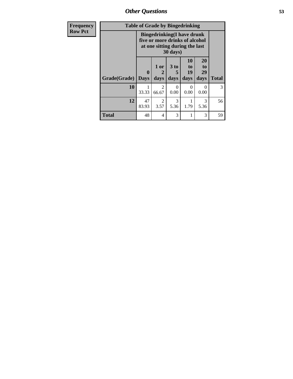*Other Questions* **53**

| Frequency      | <b>Table of Grade by Bingedrinking</b> |                             |                                                                                                        |                              |                        |                        |              |
|----------------|----------------------------------------|-----------------------------|--------------------------------------------------------------------------------------------------------|------------------------------|------------------------|------------------------|--------------|
| <b>Row Pct</b> |                                        |                             | <b>Bingedrinking</b> (I have drunk<br>five or more drinks of alcohol<br>at one sitting during the last | $30 \text{ days}$            |                        |                        |              |
|                | Grade(Grade)                           | $\mathbf{0}$<br><b>Days</b> | 1 or<br>2<br>days                                                                                      | 3 <sub>to</sub><br>5<br>days | 10<br>to<br>19<br>days | 20<br>to<br>29<br>days | <b>Total</b> |
|                | 10                                     | 33.33                       | $\overline{2}$<br>66.67                                                                                | 0<br>0.00                    | $\Omega$<br>0.00       | $\mathcal{L}$<br>0.00  | 3            |
|                | 12                                     | 47<br>83.93                 | $\overline{2}$<br>3.57                                                                                 | 3<br>5.36                    | 1.79                   | 3<br>5.36              | 56           |
|                | <b>Total</b>                           | 48                          | $\overline{4}$                                                                                         | 3                            | 1                      | 3                      | 59           |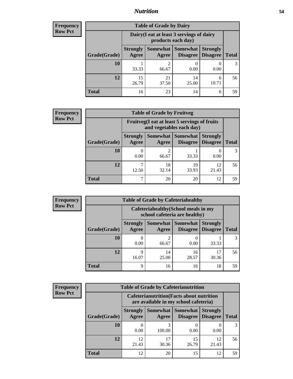## *Nutrition* **54**

| Frequency |
|-----------|
| Row Pct   |

| <b>Table of Grade by Dairy</b> |                          |                                                                 |                             |                                    |              |  |  |
|--------------------------------|--------------------------|-----------------------------------------------------------------|-----------------------------|------------------------------------|--------------|--|--|
|                                |                          | Dairy (I eat at least 3 servings of dairy<br>products each day) |                             |                                    |              |  |  |
| Grade(Grade)                   | <b>Strongly</b><br>Agree | <b>Somewhat</b><br>Agree                                        | <b>Somewhat</b><br>Disagree | <b>Strongly</b><br><b>Disagree</b> | <b>Total</b> |  |  |
| 10                             | 33.33                    | 2<br>66.67                                                      | 0.00                        | 0.00                               |              |  |  |
| 12                             | 15<br>26.79              | 21<br>37.50                                                     | 14<br>25.00                 | 6<br>10.71                         | 56           |  |  |
| <b>Total</b>                   | 16                       | 23                                                              | 14                          | 6                                  | 59           |  |  |

| <b>Frequency</b> |  |
|------------------|--|
| <b>Row Pct</b>   |  |

| $\mathbf{c}\mathbf{v}$ | <b>Table of Grade by Fruitveg</b>                                        |                          |                         |                               |                                    |              |  |
|------------------------|--------------------------------------------------------------------------|--------------------------|-------------------------|-------------------------------|------------------------------------|--------------|--|
|                        | Fruitveg(I eat at least 5 servings of fruits<br>and vegetables each day) |                          |                         |                               |                                    |              |  |
|                        | Grade(Grade)                                                             | <b>Strongly</b><br>Agree | Agree                   | Somewhat Somewhat<br>Disagree | <b>Strongly</b><br><b>Disagree</b> | <b>Total</b> |  |
|                        | 10                                                                       | 0.00                     | $\mathfrak{D}$<br>66.67 | 33.33                         | 0.00                               |              |  |
|                        | 12                                                                       | ┑<br>12.50               | 18<br>32.14             | 19<br>33.93                   | 12<br>21.43                        | 56           |  |
|                        | <b>Total</b>                                                             | ¬                        | 20                      | 20                            | 12                                 | 59           |  |

| <b>Frequency</b> | <b>Table of Grade by Cafeteriahealthy</b> |                                                                       |                            |                 |                                    |              |  |  |
|------------------|-------------------------------------------|-----------------------------------------------------------------------|----------------------------|-----------------|------------------------------------|--------------|--|--|
| <b>Row Pct</b>   |                                           | Cafeteriahealthy (School meals in my<br>school cafeteria are healthy) |                            |                 |                                    |              |  |  |
|                  | Grade(Grade)                              | <b>Strongly</b><br>Agree                                              | Somewhat Somewhat<br>Agree | <b>Disagree</b> | <b>Strongly</b><br><b>Disagree</b> | <b>Total</b> |  |  |
|                  | <b>10</b>                                 | 0.00                                                                  | ി<br>66.67                 | 0.00            | 33.33                              | 3            |  |  |
|                  | 12                                        | Q<br>16.07                                                            | 14<br>25.00                | 16<br>28.57     | 17<br>30.36                        | 56           |  |  |
|                  | Total                                     | Q                                                                     | 16                         | 16              | 18                                 | 59           |  |  |

| <b>Frequency</b><br>Row Pct |
|-----------------------------|

| <b>Table of Grade by Cafeterianutrition</b>                                               |                          |                     |                             |                                    |              |  |  |
|-------------------------------------------------------------------------------------------|--------------------------|---------------------|-----------------------------|------------------------------------|--------------|--|--|
| <b>Cafeterianutrition</b> (Facts about nutrition<br>are available in my school cafeteria) |                          |                     |                             |                                    |              |  |  |
| Grade(Grade)                                                                              | <b>Strongly</b><br>Agree | Somewhat  <br>Agree | <b>Somewhat</b><br>Disagree | <b>Strongly</b><br><b>Disagree</b> | <b>Total</b> |  |  |
| 10                                                                                        | 0.00                     | 100.00              | 0.00                        | 0.00                               |              |  |  |
| 12                                                                                        | 12<br>21.43              | 17<br>30.36         | 15<br>26.79                 | 12<br>21.43                        | 56           |  |  |
| <b>Total</b>                                                                              | 12                       | 20                  | 15                          | 12                                 | 59           |  |  |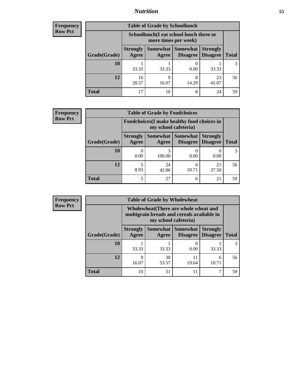## *Nutrition* **55**

| <b>Frequency</b><br>Row Pct |
|-----------------------------|
|                             |

| <b>Table of Grade by Schoollunch</b> |                          |                                                                 |                                   |                                    |              |  |  |
|--------------------------------------|--------------------------|-----------------------------------------------------------------|-----------------------------------|------------------------------------|--------------|--|--|
|                                      |                          | Schoollunch(I eat school lunch three or<br>more times per week) |                                   |                                    |              |  |  |
| Grade(Grade)                         | <b>Strongly</b><br>Agree | Agree                                                           | Somewhat   Somewhat  <br>Disagree | <b>Strongly</b><br><b>Disagree</b> | <b>Total</b> |  |  |
| 10                                   | 33.33                    | 33.33                                                           | 0.00                              | 33.33                              |              |  |  |
| 12                                   | 16<br>28.57              | Q<br>16.07                                                      | 8<br>14.29                        | 23<br>41.07                        | 56           |  |  |
| <b>Total</b>                         | 17                       | 10                                                              | 8                                 | 24                                 | 59           |  |  |

| <b>Frequency</b> |  |
|------------------|--|
| <b>Row Pct</b>   |  |

| <b>Table of Grade by Foodchoices</b>                                       |                          |             |                                               |                                    |              |  |
|----------------------------------------------------------------------------|--------------------------|-------------|-----------------------------------------------|------------------------------------|--------------|--|
| <b>Foodchoices</b> (I make healthy food choices in<br>my school cafeteria) |                          |             |                                               |                                    |              |  |
| Grade(Grade)                                                               | <b>Strongly</b><br>Agree | Agree       | <b>Somewhat   Somewhat</b><br><b>Disagree</b> | <b>Strongly</b><br><b>Disagree</b> | <b>Total</b> |  |
| 10                                                                         | 0.00                     | 3<br>100.00 | 0.00                                          | 0.00                               |              |  |
| 12                                                                         | 8.93                     | 24<br>42.86 | 6<br>10.71                                    | 21<br>37.50                        | 56           |  |
| <b>Total</b>                                                               | 5                        | 27          | 6                                             | 21                                 | 59           |  |

| <b>Frequency</b> |              | <b>Table of Grade by Wholewheat</b> |                                                                                                             |                               |                                    |              |  |  |  |
|------------------|--------------|-------------------------------------|-------------------------------------------------------------------------------------------------------------|-------------------------------|------------------------------------|--------------|--|--|--|
| <b>Row Pct</b>   |              |                                     | Wholewheat (There are whole wheat and<br>multigrain breads and cereals available in<br>my school cafeteria) |                               |                                    |              |  |  |  |
|                  | Grade(Grade) | <b>Strongly</b><br>Agree            | Agree                                                                                                       | Somewhat Somewhat<br>Disagree | <b>Strongly</b><br><b>Disagree</b> | <b>Total</b> |  |  |  |
|                  | 10           | 33.33                               | 33.33                                                                                                       | 0.00                          | 33.33                              | 3            |  |  |  |
|                  | 12           | 9<br>16.07                          | 30<br>53.57                                                                                                 | 11<br>19.64                   | 6<br>10.71                         | 56           |  |  |  |
|                  | <b>Total</b> | 10                                  | 31                                                                                                          | 11                            | ⇁                                  | 59           |  |  |  |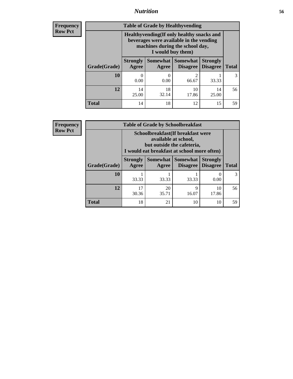## *Nutrition* **56**

**Frequency Row Pct**

| <b>Table of Grade by Healthyvending</b> |                                                                                                                                               |                          |                             |                                    |              |
|-----------------------------------------|-----------------------------------------------------------------------------------------------------------------------------------------------|--------------------------|-----------------------------|------------------------------------|--------------|
|                                         | Healthyvending (If only healthy snacks and<br>beverages were available in the vending<br>machines during the school day,<br>I would buy them) |                          |                             |                                    |              |
| Grade(Grade)                            | <b>Strongly</b><br>Agree                                                                                                                      | <b>Somewhat</b><br>Agree | <b>Somewhat</b><br>Disagree | <b>Strongly</b><br><b>Disagree</b> | <b>Total</b> |
| 10                                      | 0.00                                                                                                                                          | 0.00                     | 2<br>66.67                  | 33.33                              | 3            |
| 12                                      | 14<br>25.00                                                                                                                                   | 18<br>32.14              | 10<br>17.86                 | 14<br>25.00                        | 56           |
| Total                                   | 14                                                                                                                                            | 18                       | 12                          | 15                                 | 59           |

**Frequency Row Pct**

| <b>Table of Grade by Schoolbreakfast</b> |                                                                                                                                        |       |                                 |                                    |              |  |
|------------------------------------------|----------------------------------------------------------------------------------------------------------------------------------------|-------|---------------------------------|------------------------------------|--------------|--|
|                                          | Schoolbreakfast(If breakfast were<br>available at school,<br>but outside the cafeteria,<br>I would eat breakfast at school more often) |       |                                 |                                    |              |  |
| Grade(Grade)                             | <b>Strongly</b><br>Agree                                                                                                               | Agree | Somewhat   Somewhat<br>Disagree | <b>Strongly</b><br><b>Disagree</b> | <b>Total</b> |  |
| 10                                       | 33.33                                                                                                                                  | 33.33 | 33.33                           | 0.00                               |              |  |
| 12                                       | 17<br>20<br>9<br>10<br>17.86<br>30.36<br>35.71<br>16.07                                                                                |       |                                 |                                    |              |  |
| <b>Total</b>                             | 18                                                                                                                                     | 21    | 10                              | 10                                 | 59           |  |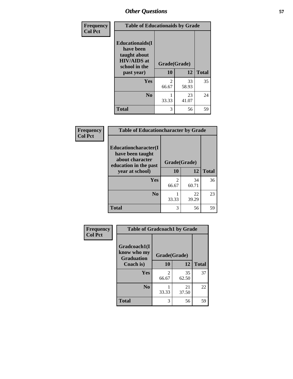| Frequency<br><b>Col Pct</b> | <b>Table of Educationaids by Grade</b>                                                                    |                         |             |              |
|-----------------------------|-----------------------------------------------------------------------------------------------------------|-------------------------|-------------|--------------|
|                             | <b>Educationaids</b> (I<br>have been<br>taught about<br><b>HIV/AIDS</b> at<br>school in the<br>past year) | Grade(Grade)<br>10      | 12          | <b>Total</b> |
|                             | <b>Yes</b>                                                                                                | $\mathfrak{D}$<br>66.67 | 33<br>58.93 | 35           |
|                             | N <sub>0</sub>                                                                                            | 33.33                   | 23<br>41.07 | 24           |
|                             | <b>Total</b>                                                                                              | 3                       | 56          | 59           |

| Frequency      | <b>Table of Educationcharacter by Grade</b>      |                         |             |              |
|----------------|--------------------------------------------------|-------------------------|-------------|--------------|
| <b>Col Pct</b> | <b>Educationcharacter(I)</b><br>have been taught |                         |             |              |
|                | about character<br>education in the past         | Grade(Grade)            |             |              |
|                | year at school)                                  | 10                      | 12          | <b>Total</b> |
|                | <b>Yes</b>                                       | $\mathfrak{D}$<br>66.67 | 34<br>60.71 | 36           |
|                | N <sub>0</sub>                                   | 33.33                   | 22<br>39.29 | 23           |
|                | <b>Total</b>                                     | 3                       | 56          | 59           |

| Frequency      | <b>Table of Gradcoach1 by Grade</b>              |              |             |              |
|----------------|--------------------------------------------------|--------------|-------------|--------------|
| <b>Col Pct</b> | Gradcoach1(I<br>know who my<br><b>Graduation</b> | Grade(Grade) |             |              |
|                | Coach is)                                        | 10           | 12          | <b>Total</b> |
|                | <b>Yes</b>                                       | 2<br>66.67   | 35<br>62.50 | 37           |
|                | N <sub>0</sub>                                   | 33.33        | 21<br>37.50 | 22           |
|                | <b>Total</b>                                     | 3            | 56          | 59           |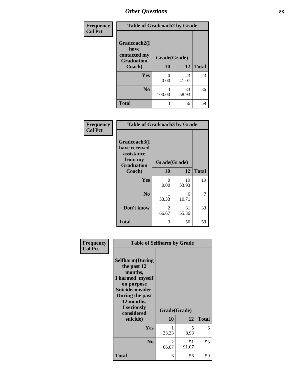| Frequency      | <b>Table of Gradcoach2 by Grade</b> |              |             |              |
|----------------|-------------------------------------|--------------|-------------|--------------|
| <b>Col Pct</b> |                                     |              |             |              |
|                | Gradcoach2(I<br>have                |              |             |              |
|                | contacted my<br><b>Graduation</b>   | Grade(Grade) |             |              |
|                | Coach)                              | 10           | 12          | <b>Total</b> |
|                | Yes                                 | 0<br>0.00    | 23<br>41.07 | 23           |
|                | N <sub>0</sub>                      | 3<br>100.00  | 33<br>58.93 | 36           |
|                | <b>Total</b>                        | 3            | 56          | 59           |

| Frequency<br><b>Col Pct</b> | <b>Table of Gradcoach3 by Grade</b>                                         |              |             |              |
|-----------------------------|-----------------------------------------------------------------------------|--------------|-------------|--------------|
|                             | Gradcoach3(I<br>have received<br>assistance<br>from my<br><b>Graduation</b> | Grade(Grade) |             |              |
|                             | Coach)                                                                      | 10           | 12          | <b>Total</b> |
|                             | Yes                                                                         | 0<br>0.00    | 19<br>33.93 | 19           |
|                             | N <sub>0</sub>                                                              | 33.33        | 6<br>10.71  | 7            |
|                             | Don't know                                                                  | 2<br>66.67   | 31<br>55.36 | 33           |
|                             | <b>Total</b>                                                                | 3            | 56          | 59           |

| Frequency      | <b>Table of Selfharm by Grade</b>                                                                                                                                          |                    |             |              |
|----------------|----------------------------------------------------------------------------------------------------------------------------------------------------------------------------|--------------------|-------------|--------------|
| <b>Col Pct</b> | <b>Selfharm</b> (During<br>the past 12<br>months,<br>I harmed myself<br>on purpose<br><b>Suicideconsider</b><br>During the past<br>12 months,<br>I seriously<br>considered | Grade(Grade)<br>10 | 12          | <b>Total</b> |
|                | suicide)                                                                                                                                                                   |                    |             |              |
|                | Yes                                                                                                                                                                        | 33.33              | 5<br>8.93   | 6            |
|                | N <sub>0</sub>                                                                                                                                                             | 2<br>66.67         | 51<br>91.07 | 53           |
|                | <b>Total</b>                                                                                                                                                               | 3                  | 56          | 59           |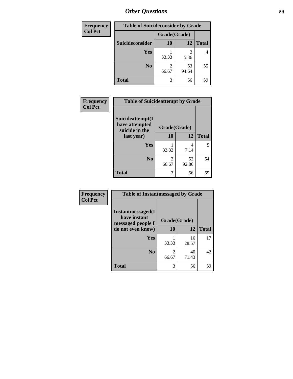| <b>Frequency</b> | <b>Table of Suicideconsider by Grade</b> |              |             |              |
|------------------|------------------------------------------|--------------|-------------|--------------|
| <b>Col Pct</b>   |                                          | Grade(Grade) |             |              |
|                  | Suicideconsider                          | <b>10</b>    | 12          | <b>Total</b> |
|                  | <b>Yes</b>                               | 33.33        | 3<br>5.36   | 4            |
|                  | N <sub>0</sub>                           | 2<br>66.67   | 53<br>94.64 | 55           |
|                  | <b>Total</b>                             | 3            | 56          | 59           |

| Frequency<br><b>Col Pct</b> | <b>Table of Suicideattempt by Grade</b>              |                        |             |              |
|-----------------------------|------------------------------------------------------|------------------------|-------------|--------------|
|                             | Suicideattempt(I<br>have attempted<br>suicide in the | Grade(Grade)           |             |              |
|                             | last year)                                           | <b>10</b>              | 12          | <b>Total</b> |
|                             | Yes                                                  | 33.33                  | 7.14        | 5            |
|                             | No.                                                  | $\mathcal{L}$<br>66.67 | 52<br>92.86 | 54           |
|                             | <b>Total</b>                                         | 3                      | 56          | 59           |

| Frequency      | <b>Table of Instantmessaged by Grade</b>               |              |             |              |
|----------------|--------------------------------------------------------|--------------|-------------|--------------|
| <b>Col Pct</b> | Instantmessaged(I<br>have instant<br>messaged people I | Grade(Grade) |             |              |
|                | do not even know)                                      | 10           | 12          | <b>Total</b> |
|                | Yes                                                    | 33.33        | 16<br>28.57 | 17           |
|                | N <sub>0</sub>                                         | 2<br>66.67   | 40<br>71.43 | 42           |
|                | <b>Total</b>                                           | 3            | 56          | 59           |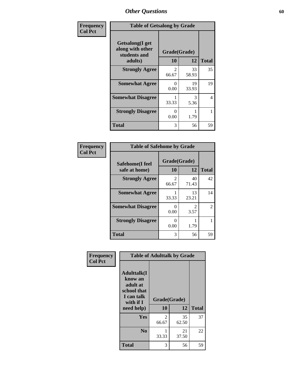| Frequency      | <b>Table of Getsalong by Grade</b>                          |                    |             |              |
|----------------|-------------------------------------------------------------|--------------------|-------------|--------------|
| <b>Col Pct</b> | <b>Getsalong</b> (I get<br>along with other<br>students and | Grade(Grade)<br>10 |             | <b>Total</b> |
|                | adults)                                                     |                    | 12          |              |
|                | <b>Strongly Agree</b>                                       | 2<br>66.67         | 33<br>58.93 | 35           |
|                | <b>Somewhat Agree</b>                                       | $\Omega$<br>0.00   | 19<br>33.93 | 19           |
|                | <b>Somewhat Disagree</b>                                    | 33.33              | 3<br>5.36   | 4            |
|                | <b>Strongly Disagree</b>                                    | 0<br>0.00          | 1.79        |              |
|                | <b>Total</b>                                                | 3                  | 56          | 59           |

| Frequency      | <b>Table of Safehome by Grade</b> |                    |             |                |  |  |  |
|----------------|-----------------------------------|--------------------|-------------|----------------|--|--|--|
| <b>Col Pct</b> | Safehome(I feel<br>safe at home)  | Grade(Grade)<br>10 | 12          | <b>Total</b>   |  |  |  |
|                | <b>Strongly Agree</b>             | 2<br>66.67         | 40<br>71.43 | 42             |  |  |  |
|                | <b>Somewhat Agree</b>             | 33.33              | 13<br>23.21 | 14             |  |  |  |
|                | <b>Somewhat Disagree</b>          | 0<br>0.00          | 3.57        | $\overline{2}$ |  |  |  |
|                | <b>Strongly Disagree</b>          | 0<br>0.00          | 1.79        |                |  |  |  |
|                | <b>Total</b>                      | 3                  | 56          | 59             |  |  |  |

| Frequency      |                                                                                     | <b>Table of Adulttalk by Grade</b> |             |              |
|----------------|-------------------------------------------------------------------------------------|------------------------------------|-------------|--------------|
| <b>Col Pct</b> | <b>Adulttalk(I</b><br>know an<br>adult at<br>school that<br>I can talk<br>with if I | Grade(Grade)                       |             |              |
|                | need help)                                                                          | 10                                 | 12          | <b>Total</b> |
|                | <b>Yes</b>                                                                          | 2<br>66.67                         | 35<br>62.50 | 37           |
|                | N <sub>0</sub>                                                                      | 33.33                              | 21<br>37.50 | 22           |
|                | <b>Total</b>                                                                        | 3                                  | 56          | 59           |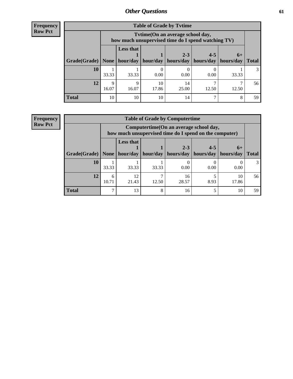**Frequency Row Pct**

| <b>Table of Grade by Tytime</b> |                      |                                                                                                                                                                                                                     |             |             |       |       |    |  |  |  |
|---------------------------------|----------------------|---------------------------------------------------------------------------------------------------------------------------------------------------------------------------------------------------------------------|-------------|-------------|-------|-------|----|--|--|--|
|                                 |                      | Tvtime(On an average school day,<br>how much unsupervised time do I spend watching TV)<br><b>Less that</b><br>$2 - 3$<br>$4 - 5$<br>$6+$<br>hour/day   hour/day   hours/day   hours/day   hours/day<br><b>Total</b> |             |             |       |       |    |  |  |  |
| Grade(Grade)   None             |                      |                                                                                                                                                                                                                     |             |             |       |       |    |  |  |  |
| <b>10</b>                       | 33.33                | 33.33                                                                                                                                                                                                               | 0.00        | 0.00        | 0.00  | 33.33 | 3  |  |  |  |
| 12                              | $\mathbf Q$<br>16.07 | Q<br>16.07                                                                                                                                                                                                          | 10<br>17.86 | 14<br>25.00 | 12.50 | 12.50 | 56 |  |  |  |
| <b>Total</b>                    | 10                   | 10                                                                                                                                                                                                                  | 10          | 14          |       | 8     | 59 |  |  |  |

#### **Frequency Row Pct**

| <b>Table of Grade by Computertime</b> |            |                                                                                                                               |       |             |      |             |    |  |  |
|---------------------------------------|------------|-------------------------------------------------------------------------------------------------------------------------------|-------|-------------|------|-------------|----|--|--|
|                                       |            | Computertime (On an average school day,<br>how much unsupervised time do I spend on the computer)                             |       |             |      |             |    |  |  |
| Grade(Grade)                          | None       | <b>Less that</b><br>$4 - 5$<br>$2 - 3$<br>$6+$<br>hour/day<br>hours/day<br>hours/day<br>hour/day<br>hours/day<br><b>Total</b> |       |             |      |             |    |  |  |
| 10                                    | 33.33      | 33.33                                                                                                                         | 33.33 | 0.00        | 0.00 | 0.00        |    |  |  |
| 12                                    | 6<br>10.71 | 12<br>21.43                                                                                                                   | 12.50 | 16<br>28.57 | 8.93 | 10<br>17.86 | 56 |  |  |
| <b>Total</b>                          | ⇁          | 13                                                                                                                            | 8     | 16          |      | 10          | 59 |  |  |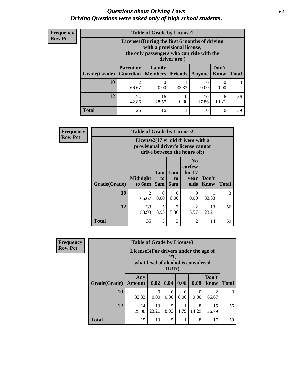#### *Questions about Driving Laws* **62** *Driving Questions were asked only of high school students.*

| <b>Frequency</b> |
|------------------|
| <b>Row Pct</b>   |

| <b>Table of Grade by License1</b> |                                                                             |                                                                                                                                                                                                                                                                           |       |      |      |    |  |  |  |
|-----------------------------------|-----------------------------------------------------------------------------|---------------------------------------------------------------------------------------------------------------------------------------------------------------------------------------------------------------------------------------------------------------------------|-------|------|------|----|--|--|--|
|                                   |                                                                             | License1(During the first 6 months of driving<br>with a provisional license,<br>the only passengers who can ride with the<br>driver are:)<br>Don't<br><b>Parent or</b><br>Family<br><b>Total</b><br><b>Members</b><br><b>Friends</b><br><b>Guardian</b><br>Know<br>Anyone |       |      |      |    |  |  |  |
| Grade(Grade)                      |                                                                             |                                                                                                                                                                                                                                                                           |       |      |      |    |  |  |  |
| 10                                | $\mathfrak{D}$<br>66.67                                                     | 0<br>0.00                                                                                                                                                                                                                                                                 | 33.33 | 0.00 | 0.00 | 3  |  |  |  |
| 12                                | 24<br>10<br>16<br>$\theta$<br>6<br>0.00<br>10.71<br>42.86<br>28.57<br>17.86 |                                                                                                                                                                                                                                                                           |       |      |      |    |  |  |  |
| Total                             | 26                                                                          | 16                                                                                                                                                                                                                                                                        |       | 10   | 6    | 59 |  |  |  |

| <b>Frequency</b> |              | <b>Table of Grade by License2</b> |                                                                                                          |                              |                                                      |                      |                               |  |  |
|------------------|--------------|-----------------------------------|----------------------------------------------------------------------------------------------------------|------------------------------|------------------------------------------------------|----------------------|-------------------------------|--|--|
| <b>Row Pct</b>   |              |                                   | License2(17 yr old drivers with a<br>provisional driver's license cannot<br>drive between the hours of:) |                              |                                                      |                      |                               |  |  |
|                  | Grade(Grade) | <b>Midnight</b><br>to 6am         | 1am<br>t <sub>0</sub><br>5am                                                                             | 1am<br>t <sub>0</sub><br>6am | N <sub>0</sub><br>curfew<br>for $17$<br>year<br>olds | Don't<br><b>Know</b> | <b>Total</b><br>$\mathcal{F}$ |  |  |
|                  | 10           | $\overline{c}$<br>66.67           | $\Omega$<br>0.00                                                                                         | 0<br>0.00                    | $\Omega$<br>0.00                                     | 33.33                |                               |  |  |
|                  | 12           | 33<br>58.93                       | 5<br>8.93                                                                                                | 3<br>5.36                    | $\overline{2}$<br>3.57                               | 13<br>23.21          | 56                            |  |  |
|                  | <b>Total</b> | 35                                | 5                                                                                                        | 3                            | $\mathfrak{D}$                                       | 14                   | 59                            |  |  |

| Frequency      | <b>Table of Grade by License3</b> |                                       |             |                  |                  |                                     |               |              |
|----------------|-----------------------------------|---------------------------------------|-------------|------------------|------------------|-------------------------------------|---------------|--------------|
| <b>Row Pct</b> |                                   | License3(For drivers under the age of |             | 21,<br>$DUI$ ?)  |                  | what level of alcohol is considered |               |              |
|                | Grade(Grade)                      | Any<br><b>Amount</b>                  | 0.02        | 0.04             | 0.06             | 0.08                                | Don't<br>know | <b>Total</b> |
|                | 10                                | 33.33                                 | 0<br>0.00   | $\Omega$<br>0.00 | $\Omega$<br>0.00 | $\Omega$<br>0.00                    | 2<br>66.67    | 3            |
|                | 12                                | 14<br>25.00                           | 13<br>23.21 | 5<br>8.93        | 1.79             | 8<br>14.29                          | 15<br>26.79   | 56           |
|                | <b>Total</b>                      | 15                                    | 13          | 5                |                  | 8                                   | 17            | 59           |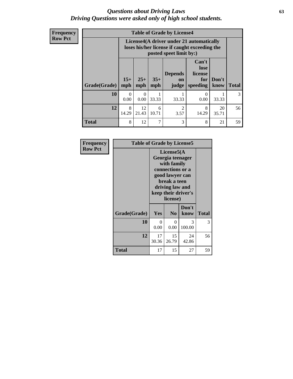#### *Questions about Driving Laws* **63** *Driving Questions were asked only of high school students.*

**Frequency Row Pct**

|              |                  |                                                                                                                                                                                                                                                                                |       | <b>Table of Grade by License4</b> |                  |       |    |  |  |
|--------------|------------------|--------------------------------------------------------------------------------------------------------------------------------------------------------------------------------------------------------------------------------------------------------------------------------|-------|-----------------------------------|------------------|-------|----|--|--|
|              |                  | License4(A driver under 21 automatically<br>loses his/her license if caught exceeding the<br>posted speet limit by:)<br>Can't<br>lose<br><b>Depends</b><br>license<br>$15+$<br>$25+$<br>$35+$<br>Don't<br>for<br>on<br><b>Total</b><br>mph<br>mph<br>speeding<br>know<br>judge |       |                                   |                  |       |    |  |  |
| Grade(Grade) | mph              |                                                                                                                                                                                                                                                                                |       |                                   |                  |       |    |  |  |
| 10           | $\Omega$<br>0.00 | 0<br>0.00                                                                                                                                                                                                                                                                      | 33.33 | 33.33                             | $\Omega$<br>0.00 | 33.33 | 3  |  |  |
| 12           | 8<br>14.29       | 12<br>$\overline{2}$<br>8<br>20<br>6<br>21.43<br>10.71<br>14.29<br>3.57<br>35.71                                                                                                                                                                                               |       |                                   |                  |       |    |  |  |
| <b>Total</b> | 8                | 12                                                                                                                                                                                                                                                                             | 7     | 3                                 | 8                | 21    | 59 |  |  |

| Frequency      | <b>Table of Grade by License5</b> |             |                                                                                                                                                             |               |              |  |
|----------------|-----------------------------------|-------------|-------------------------------------------------------------------------------------------------------------------------------------------------------------|---------------|--------------|--|
| <b>Row Pct</b> |                                   |             | License5(A)<br>Georgia teenager<br>with family<br>connections or a<br>good lawyer can<br>break a teen<br>driving law and<br>keep their driver's<br>license) |               |              |  |
|                | Grade(Grade)                      | Yes         | N <sub>0</sub>                                                                                                                                              | Don't<br>know | <b>Total</b> |  |
|                | 10                                | 0<br>0.00   | 0<br>0.00                                                                                                                                                   | 3<br>100.00   | 3            |  |
|                | 12                                | 17<br>30.36 | 15<br>26.79                                                                                                                                                 | 24<br>42.86   | 56           |  |
|                | Total                             | 17          | 15                                                                                                                                                          | 27            | 59           |  |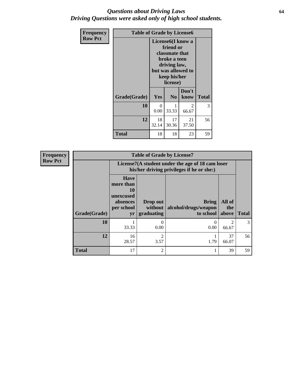### *Questions about Driving Laws* **64** *Driving Questions were asked only of high school students.*

| <b>Frequency</b> | <b>Table of Grade by License6</b> |                  |                                                                                                                           |                    |              |  |
|------------------|-----------------------------------|------------------|---------------------------------------------------------------------------------------------------------------------------|--------------------|--------------|--|
| <b>Row Pct</b>   |                                   |                  | License <sub>6</sub> (I know a<br>friend or<br>classmate that<br>broke a teen<br>driving law,<br>keep his/her<br>license) | but was allowed to |              |  |
|                  | Grade(Grade)                      | <b>Yes</b>       | N <sub>0</sub>                                                                                                            | Don't<br>know      | <b>Total</b> |  |
|                  | 10                                | $\Omega$<br>0.00 | 33.33                                                                                                                     | 2<br>66.67         | 3            |  |
|                  | 12                                | 18<br>32.14      | 17<br>30.36                                                                                                               | 21<br>37.50        | 56           |  |
|                  | <b>Total</b>                      | 18               | 18                                                                                                                        | 23                 | 59           |  |

| <b>Frequency</b> | <b>Table of Grade by License7</b> |                                                                             |                                   |                                                                                               |                        |              |  |
|------------------|-----------------------------------|-----------------------------------------------------------------------------|-----------------------------------|-----------------------------------------------------------------------------------------------|------------------------|--------------|--|
| <b>Row Pct</b>   |                                   |                                                                             |                                   | License7(A student under the age of 18 cam loser<br>his/her driving privileges if he or she:) |                        |              |  |
|                  | Grade(Grade)                      | <b>Have</b><br>more than<br>10<br>unexcused<br>absences<br>per school<br>yr | Drop out<br>without<br>graduating | Bring<br>alcohol/drugs/weapon<br>to school                                                    | All of<br>the<br>above | <b>Total</b> |  |
|                  | 10                                | 33.33                                                                       | 0.00                              | 0.00                                                                                          | 66.67                  | 3            |  |
|                  | 12                                | 16<br>28.57                                                                 | $\mathfrak{D}$<br>3.57            | 1.79                                                                                          | 37<br>66.07            | 56           |  |
|                  | <b>Total</b>                      | 17                                                                          | $\mathfrak{D}$                    |                                                                                               | 39                     | 59           |  |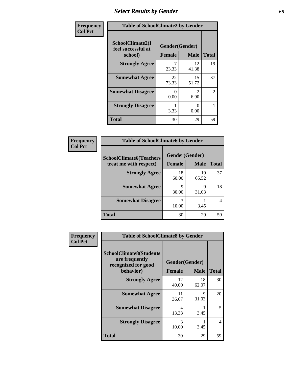# *Select Results by Gender* **65**

| Frequency      | <b>Table of SchoolClimate2 by Gender</b>          |                                 |                       |                |
|----------------|---------------------------------------------------|---------------------------------|-----------------------|----------------|
| <b>Col Pct</b> | SchoolClimate2(I<br>feel successful at<br>school) | Gender(Gender)<br><b>Female</b> | <b>Male</b>           | <b>Total</b>   |
|                | <b>Strongly Agree</b>                             | 23.33                           | 12<br>41.38           | 19             |
|                | <b>Somewhat Agree</b>                             | 22<br>73.33                     | 15<br>51.72           | 37             |
|                | <b>Somewhat Disagree</b>                          | $\mathbf{\Omega}$<br>0.00       | $\mathcal{D}$<br>6.90 | $\overline{2}$ |
|                | <b>Strongly Disagree</b>                          | 3.33                            | 0<br>0.00             |                |
|                | <b>Total</b>                                      | 30                              | 29                    | 59             |

| Frequency      | <b>Table of SchoolClimate6 by Gender</b>                 |             |                               |              |
|----------------|----------------------------------------------------------|-------------|-------------------------------|--------------|
| <b>Col Pct</b> | <b>SchoolClimate6(Teachers</b><br>treat me with respect) | Female      | Gender(Gender)<br><b>Male</b> | <b>Total</b> |
|                | <b>Strongly Agree</b>                                    | 18<br>60.00 | 19<br>65.52                   | 37           |
|                | <b>Somewhat Agree</b>                                    | 9<br>30.00  | Q<br>31.03                    | 18           |
|                | <b>Somewhat Disagree</b>                                 | 3<br>10.00  | 3.45                          |              |
|                | <b>Total</b>                                             | 30          | 29                            | 59           |

| Frequency      | <b>Table of SchoolClimate8 by Gender</b>                                             |                                 |             |       |
|----------------|--------------------------------------------------------------------------------------|---------------------------------|-------------|-------|
| <b>Col Pct</b> | <b>SchoolClimate8(Students</b><br>are frequently<br>recognized for good<br>behavior) | Gender(Gender)<br><b>Female</b> | <b>Male</b> | Total |
|                | <b>Strongly Agree</b>                                                                | 12<br>40.00                     | 18<br>62.07 | 30    |
|                | <b>Somewhat Agree</b>                                                                | 11<br>36.67                     | Q<br>31.03  | 20    |
|                | <b>Somewhat Disagree</b>                                                             | 4<br>13.33                      | 3.45        | 5     |
|                | <b>Strongly Disagree</b>                                                             | 3<br>10.00                      | 3.45        | 4     |
|                | <b>Total</b>                                                                         | 30                              | 29          | 59    |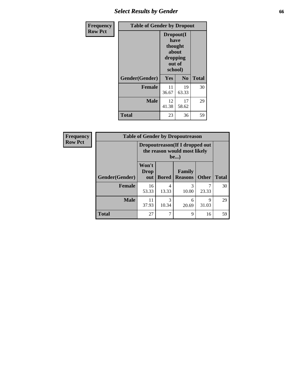# *Select Results by Gender* **66**

| <b>Frequency</b> | <b>Table of Gender by Dropout</b> |                                                                        |                |              |
|------------------|-----------------------------------|------------------------------------------------------------------------|----------------|--------------|
| <b>Row Pct</b>   |                                   | Dropout(I<br>have<br>thought<br>about<br>dropping<br>out of<br>school) |                |              |
|                  | Gender(Gender)                    | Yes                                                                    | N <sub>0</sub> | <b>Total</b> |
|                  | <b>Female</b>                     | 11<br>36.67                                                            | 19<br>63.33    | 30           |
|                  | <b>Male</b>                       | 12<br>41.38                                                            | 17<br>58.62    | 29           |
|                  | <b>Total</b>                      | 23                                                                     | 36             | 59           |

| Frequency      | <b>Table of Gender by Dropoutreason</b> |                                                                        |              |                          |              |              |
|----------------|-----------------------------------------|------------------------------------------------------------------------|--------------|--------------------------|--------------|--------------|
| <b>Row Pct</b> |                                         | Dropoutreason (If I dropped out<br>the reason would most likely<br>be) |              |                          |              |              |
|                | <b>Gender</b> (Gender)                  | Won't<br>Drop<br>out                                                   | <b>Bored</b> | Family<br><b>Reasons</b> | <b>Other</b> | <b>Total</b> |
|                | <b>Female</b>                           | 16<br>53.33                                                            | 4<br>13.33   | 3<br>10.00               | 23.33        | 30           |
|                | <b>Male</b>                             | 11<br>37.93                                                            | 3<br>10.34   | 6<br>20.69               | 9<br>31.03   | 29           |
|                | <b>Total</b>                            | 27                                                                     |              | 9                        | 16           | 59           |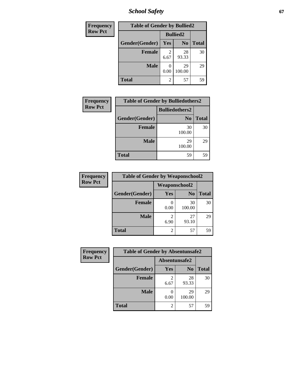*School Safety* **67**

| Frequency      |                | <b>Table of Gender by Bullied2</b> |                 |              |  |
|----------------|----------------|------------------------------------|-----------------|--------------|--|
| <b>Row Pct</b> |                |                                    | <b>Bullied2</b> |              |  |
|                | Gender(Gender) | <b>Yes</b>                         | N <sub>0</sub>  | <b>Total</b> |  |
|                | <b>Female</b>  | 2<br>6.67                          | 28<br>93.33     | 30           |  |
|                | <b>Male</b>    | 0<br>0.00                          | 29<br>100.00    | 29           |  |
|                | <b>Total</b>   | 2                                  | 57              | 59           |  |

| Frequency      |                | <b>Table of Gender by Bulliedothers2</b> |              |
|----------------|----------------|------------------------------------------|--------------|
| <b>Row Pct</b> |                | <b>Bulliedothers2</b>                    |              |
|                | Gender(Gender) | N <sub>0</sub>                           | <b>Total</b> |
|                | <b>Female</b>  | 30<br>100.00                             | 30           |
|                | <b>Male</b>    | 29<br>100.00                             | 29           |
|                | <b>Total</b>   | 59                                       | 59           |

| Frequency      | <b>Table of Gender by Weaponschool2</b> |                      |                |              |
|----------------|-----------------------------------------|----------------------|----------------|--------------|
| <b>Row Pct</b> |                                         | <b>Weaponschool2</b> |                |              |
|                | Gender(Gender)                          | Yes                  | N <sub>0</sub> | <b>Total</b> |
|                | <b>Female</b>                           | 0.00                 | 30<br>100.00   | 30           |
|                | <b>Male</b>                             | 6.90                 | 27<br>93.10    | 29           |
|                | <b>Total</b>                            | 2                    | 57             | 59           |

| Frequency      | <b>Table of Gender by Absentunsafe2</b> |               |                |              |
|----------------|-----------------------------------------|---------------|----------------|--------------|
| <b>Row Pct</b> |                                         | Absentunsafe2 |                |              |
|                | Gender(Gender)                          | Yes           | N <sub>0</sub> | <b>Total</b> |
|                | <b>Female</b>                           | 6.67          | 28<br>93.33    | 30           |
|                | <b>Male</b>                             | 0.00          | 29<br>100.00   | 29           |
|                | <b>Total</b>                            |               | 57             | 59           |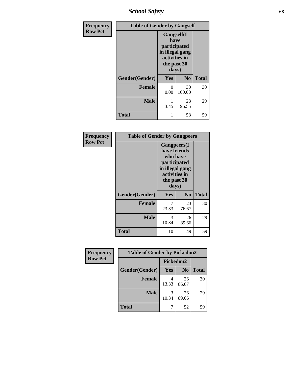*School Safety* **68**

| Frequency      | <b>Table of Gender by Gangself</b> |                                                                                                        |                |              |
|----------------|------------------------------------|--------------------------------------------------------------------------------------------------------|----------------|--------------|
| <b>Row Pct</b> |                                    | <b>Gangself</b> (I<br>have<br>participated<br>in illegal gang<br>activities in<br>the past 30<br>days) |                |              |
|                | Gender(Gender)                     | Yes                                                                                                    | N <sub>0</sub> | <b>Total</b> |
|                | <b>Female</b>                      | 0<br>0.00                                                                                              | 30<br>100.00   | 30           |
|                | <b>Male</b>                        | 3.45                                                                                                   | 28<br>96.55    | 29           |
|                | <b>Total</b>                       |                                                                                                        | 58             | 59           |

| Frequency      | <b>Table of Gender by Gangpeers</b> |                                                                                                                             |                |              |
|----------------|-------------------------------------|-----------------------------------------------------------------------------------------------------------------------------|----------------|--------------|
| <b>Row Pct</b> |                                     | <b>Gangpeers</b> (I<br>have friends<br>who have<br>participated<br>in illegal gang<br>activities in<br>the past 30<br>days) |                |              |
|                | Gender(Gender)                      | <b>Yes</b>                                                                                                                  | N <sub>0</sub> | <b>Total</b> |
|                | <b>Female</b>                       | 7<br>23.33                                                                                                                  | 23<br>76.67    | 30           |
|                | <b>Male</b>                         | 3<br>10.34                                                                                                                  | 26<br>89.66    | 29           |
|                | <b>Total</b>                        | 10                                                                                                                          | 49             | 59           |

| Frequency      |                | <b>Table of Gender by Pickedon2</b> |                |              |  |
|----------------|----------------|-------------------------------------|----------------|--------------|--|
| <b>Row Pct</b> |                | Pickedon2                           |                |              |  |
|                | Gender(Gender) | Yes                                 | N <sub>0</sub> | <b>Total</b> |  |
|                | <b>Female</b>  | 13.33                               | 26<br>86.67    | 30           |  |
|                | <b>Male</b>    | 3<br>10.34                          | 26<br>89.66    | 29           |  |
|                | <b>Total</b>   | 7                                   | 52             | 59           |  |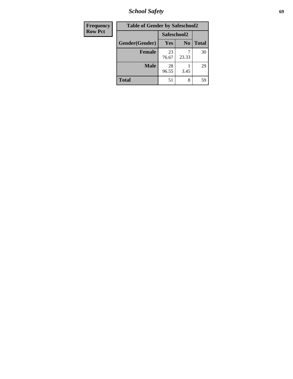*School Safety* **69**

| Frequency      | <b>Table of Gender by Safeschool2</b> |             |                |              |  |
|----------------|---------------------------------------|-------------|----------------|--------------|--|
| <b>Row Pct</b> |                                       | Safeschool2 |                |              |  |
|                | Gender(Gender)                        | Yes         | N <sub>0</sub> | <b>Total</b> |  |
|                | <b>Female</b>                         | 23<br>76.67 | 23.33          | 30           |  |
|                | <b>Male</b>                           | 28<br>96.55 | 3.45           | 29           |  |
|                | <b>Total</b>                          | 51          | 8              | 59           |  |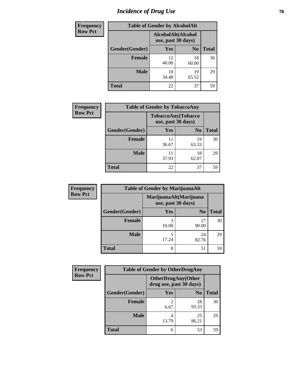# *Incidence of Drug Use* **70**

| <b>Frequency</b> | <b>Table of Gender by AlcoholAlt</b> |                                          |                |              |  |
|------------------|--------------------------------------|------------------------------------------|----------------|--------------|--|
| <b>Row Pct</b>   |                                      | AlcoholAlt(Alcohol<br>use, past 30 days) |                |              |  |
|                  | Gender(Gender)                       | <b>Yes</b>                               | N <sub>0</sub> | <b>Total</b> |  |
|                  | <b>Female</b>                        | 12<br>40.00                              | 18<br>60.00    | 30           |  |
|                  | <b>Male</b>                          | 10<br>34.48                              | 19<br>65.52    | 29           |  |
|                  | <b>Total</b>                         | 22                                       | 37             | 59           |  |

| Frequency      | <b>Table of Gender by TobaccoAny</b> |                                          |                |              |  |
|----------------|--------------------------------------|------------------------------------------|----------------|--------------|--|
| <b>Row Pct</b> |                                      | TobaccoAny(Tobacco<br>use, past 30 days) |                |              |  |
|                | Gender(Gender)                       | Yes                                      | N <sub>0</sub> | <b>Total</b> |  |
|                | <b>Female</b>                        | 11<br>36.67                              | 19<br>63.33    | 30           |  |
|                | <b>Male</b>                          | 11<br>37.93                              | 18<br>62.07    | 29           |  |
|                | <b>Total</b>                         | 22                                       | 37             | 59           |  |

| <b>Frequency</b> | <b>Table of Gender by MarijuanaAlt</b> |                    |                        |              |
|------------------|----------------------------------------|--------------------|------------------------|--------------|
| <b>Row Pct</b>   |                                        | use, past 30 days) | MarijuanaAlt(Marijuana |              |
|                  | Gender(Gender)                         | <b>Yes</b>         | N <sub>0</sub>         | <b>Total</b> |
|                  | <b>Female</b>                          | 3<br>10.00         | 27<br>90.00            | 30           |
|                  | <b>Male</b>                            | 5<br>17.24         | 24<br>82.76            | 29           |
|                  | <b>Total</b>                           | 8                  | 51                     | 59           |

| <b>Frequency</b> | <b>Table of Gender by OtherDrugAny</b> |                                                      |                |              |
|------------------|----------------------------------------|------------------------------------------------------|----------------|--------------|
| <b>Row Pct</b>   |                                        | <b>OtherDrugAny(Other</b><br>drug use, past 30 days) |                |              |
|                  | Gender(Gender)                         | <b>Yes</b>                                           | N <sub>0</sub> | <b>Total</b> |
|                  | <b>Female</b>                          | 2<br>6.67                                            | 28<br>93.33    | 30           |
|                  | <b>Male</b>                            | 4<br>13.79                                           | 25<br>86.21    | 29           |
|                  | <b>Total</b>                           | 6                                                    | 53             | 59           |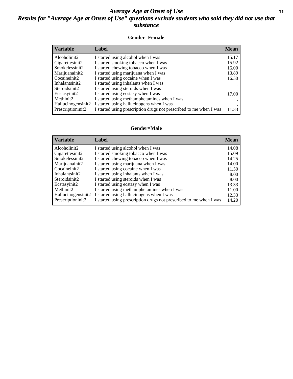### *Average Age at Onset of Use* **71** *Results for "Average Age at Onset of Use" questions exclude students who said they did not use that substance*

#### **Gender=Female**

| <b>Variable</b>                 | <b>Label</b>                                                       | <b>Mean</b> |
|---------------------------------|--------------------------------------------------------------------|-------------|
| Alcoholinit2                    | I started using alcohol when I was                                 | 15.17       |
| Cigarettesinit2                 | I started smoking tobacco when I was                               | 15.92       |
| Smokelessinit2                  | I started chewing tobacco when I was                               | 16.00       |
| Marijuanainit2                  | I started using marijuana when I was                               | 13.89       |
| Cocaineinit2                    | I started using cocaine when I was                                 | 16.50       |
| Inhalantsinit2                  | I started using inhalants when I was                               |             |
| Steroidsinit2                   | I started using steroids when I was                                |             |
| Ecstasyinit2                    | I started using ecstasy when I was                                 | 17.00       |
| Methinit2                       | I started using methamphetamines when I was                        |             |
| Hallucinogensinit2              | I started using hallucinogens when I was                           |             |
| Prescription in it <sub>2</sub> | I started using prescription drugs not prescribed to me when I was | 11.33       |

#### **Gender=Male**

| <b>Variable</b>                 | Label                                                              | <b>Mean</b> |
|---------------------------------|--------------------------------------------------------------------|-------------|
| Alcoholinit2                    | I started using alcohol when I was                                 | 14.08       |
| Cigarettesinit2                 | I started smoking tobacco when I was                               | 15.09       |
| Smokelessinit2                  | I started chewing tobacco when I was                               | 14.25       |
| Marijuanainit2                  | I started using marijuana when I was                               | 14.00       |
| Cocaineinit2                    | I started using cocaine when I was                                 | 11.50       |
| Inhalantsinit2                  | I started using inhalants when I was                               | 8.00        |
| Steroidsinit2                   | I started using steroids when I was                                | 8.00        |
| Ecstasyinit2                    | I started using ecstasy when I was                                 | 13.33       |
| Methinit2                       | I started using methamphetamines when I was                        | 11.00       |
| Hallucinogensinit2              | I started using hallucinogens when I was                           | 12.33       |
| Prescription in it <sub>2</sub> | I started using prescription drugs not prescribed to me when I was | 14.20       |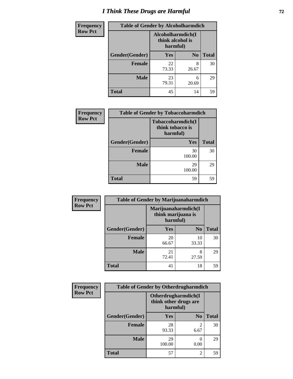# *I Think These Drugs are Harmful* **72**

| <b>Frequency</b> | <b>Table of Gender by Alcoholharmdich</b> |                                                   |                |              |
|------------------|-------------------------------------------|---------------------------------------------------|----------------|--------------|
| <b>Row Pct</b>   |                                           | Alcoholharmdich(I<br>think alcohol is<br>harmful) |                |              |
|                  | Gender(Gender)                            | <b>Yes</b>                                        | N <sub>0</sub> | <b>Total</b> |
|                  | <b>Female</b>                             | 22<br>73.33                                       | 8<br>26.67     | 30           |
|                  | <b>Male</b>                               | 23<br>79.31                                       | 6<br>20.69     | 29           |
|                  | <b>Total</b>                              | 45                                                | 14             | 59           |

| Frequency      | <b>Table of Gender by Tobaccoharmdich</b> |                                                   |              |  |
|----------------|-------------------------------------------|---------------------------------------------------|--------------|--|
| <b>Row Pct</b> |                                           | Tobaccoharmdich(I<br>think tobacco is<br>harmful) |              |  |
|                | Gender(Gender)                            | Yes                                               | <b>Total</b> |  |
|                | <b>Female</b>                             | 30<br>100.00                                      | 30           |  |
|                | <b>Male</b>                               | 29<br>100.00                                      | 29           |  |
|                | <b>Total</b>                              | 59                                                | 59           |  |

| Frequency      | <b>Table of Gender by Marijuanaharmdich</b> |                                                       |                |              |  |
|----------------|---------------------------------------------|-------------------------------------------------------|----------------|--------------|--|
| <b>Row Pct</b> |                                             | Marijuanaharmdich(I<br>think marijuana is<br>harmful) |                |              |  |
|                | Gender(Gender)                              | <b>Yes</b>                                            | N <sub>0</sub> | <b>Total</b> |  |
|                | <b>Female</b>                               | 20<br>66.67                                           | 10<br>33.33    | 30           |  |
|                | <b>Male</b>                                 | 21<br>72.41                                           | 8<br>27.59     | 29           |  |
|                | <b>Total</b>                                | 41                                                    | 18             | 59           |  |

| Frequency      | <b>Table of Gender by Otherdrugharmdich</b> |                                                          |                        |              |  |
|----------------|---------------------------------------------|----------------------------------------------------------|------------------------|--------------|--|
| <b>Row Pct</b> |                                             | Otherdrugharmdich(I<br>think other drugs are<br>harmful) |                        |              |  |
|                | Gender(Gender)                              | <b>Yes</b>                                               | N <sub>0</sub>         | <b>Total</b> |  |
|                | <b>Female</b>                               | 28<br>93.33                                              | $\overline{2}$<br>6.67 | 30           |  |
|                | <b>Male</b>                                 | 29<br>100.00                                             | 0.00                   | 29           |  |
|                | <b>Total</b>                                | 57                                                       | $\overline{2}$         | 59           |  |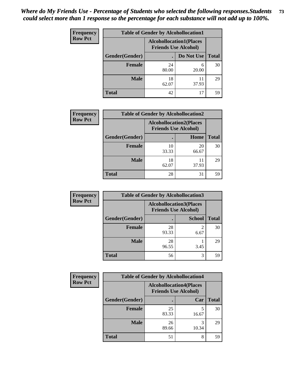| <b>Frequency</b> | <b>Table of Gender by Alcohollocation1</b> |                                                               |             |              |
|------------------|--------------------------------------------|---------------------------------------------------------------|-------------|--------------|
| <b>Row Pct</b>   |                                            | <b>Alcohollocation1(Places</b><br><b>Friends Use Alcohol)</b> |             |              |
|                  | Gender(Gender)                             |                                                               | Do Not Use  | <b>Total</b> |
|                  | <b>Female</b>                              | 24<br>80.00                                                   | 6<br>20.00  | 30           |
|                  | <b>Male</b>                                | 18<br>62.07                                                   | 11<br>37.93 | 29           |
|                  | <b>Total</b>                               | 42                                                            | 17          | 59           |

| <b>Frequency</b> | <b>Table of Gender by Alcohollocation2</b> |                                                               |             |              |
|------------------|--------------------------------------------|---------------------------------------------------------------|-------------|--------------|
| <b>Row Pct</b>   |                                            | <b>Alcohollocation2(Places</b><br><b>Friends Use Alcohol)</b> |             |              |
|                  | Gender(Gender)                             |                                                               | Home        | <b>Total</b> |
|                  | <b>Female</b>                              | 10<br>33.33                                                   | 20<br>66.67 | 30           |
|                  | <b>Male</b>                                | 18<br>62.07                                                   | 11<br>37.93 | 29           |
|                  | <b>Total</b>                               | 28                                                            | 31          | 59           |

| Frequency      | <b>Table of Gender by Alcohollocation3</b> |                                                               |               |              |
|----------------|--------------------------------------------|---------------------------------------------------------------|---------------|--------------|
| <b>Row Pct</b> |                                            | <b>Alcohollocation3(Places</b><br><b>Friends Use Alcohol)</b> |               |              |
|                | Gender(Gender)                             |                                                               | <b>School</b> | <b>Total</b> |
|                | <b>Female</b>                              | 28<br>93.33                                                   | 6.67          | 30           |
|                | <b>Male</b>                                | 28<br>96.55                                                   | 3.45          | 29           |
|                | <b>Total</b>                               | 56                                                            | 3             | 59           |

| Frequency      |                | <b>Table of Gender by Alcohollocation4</b>                    |            |              |
|----------------|----------------|---------------------------------------------------------------|------------|--------------|
| <b>Row Pct</b> |                | <b>Alcohollocation4(Places</b><br><b>Friends Use Alcohol)</b> |            |              |
|                | Gender(Gender) |                                                               | Car        | <b>Total</b> |
|                | <b>Female</b>  | 25<br>83.33                                                   | 16.67      | 30           |
|                | <b>Male</b>    | 26<br>89.66                                                   | 3<br>10.34 | 29           |
|                | <b>Total</b>   | 51                                                            | 8          | 59           |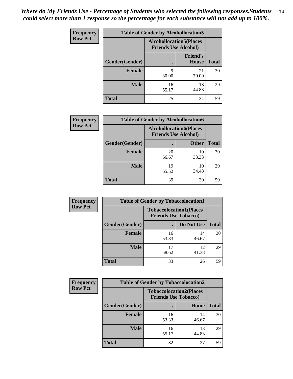| <b>Frequency</b> | <b>Table of Gender by Alcohollocation5</b> |                                                                |                                 |              |
|------------------|--------------------------------------------|----------------------------------------------------------------|---------------------------------|--------------|
| <b>Row Pct</b>   |                                            | <b>Alcohollocation5</b> (Places<br><b>Friends Use Alcohol)</b> |                                 |              |
|                  | Gender(Gender)                             |                                                                | <b>Friend's</b><br><b>House</b> | <b>Total</b> |
|                  | <b>Female</b>                              | Q<br>30.00                                                     | 21<br>70.00                     | 30           |
|                  | <b>Male</b>                                | 16<br>55.17                                                    | 13<br>44.83                     | 29           |
|                  | <b>Total</b>                               | 25                                                             | 34                              | 59           |

| Frequency      | <b>Table of Gender by Alcohollocation6</b> |                                                               |              |              |  |
|----------------|--------------------------------------------|---------------------------------------------------------------|--------------|--------------|--|
| <b>Row Pct</b> |                                            | <b>Alcohollocation6(Places</b><br><b>Friends Use Alcohol)</b> |              |              |  |
|                | <b>Gender</b> (Gender)                     |                                                               | <b>Other</b> | <b>Total</b> |  |
|                | <b>Female</b>                              | 20<br>66.67                                                   | 10<br>33.33  | 30           |  |
|                | <b>Male</b>                                | 19<br>65.52                                                   | 10<br>34.48  | 29           |  |
|                | <b>Total</b>                               | 39                                                            | 20           | 59           |  |

| Frequency      | <b>Table of Gender by Tobaccolocation1</b> |                                                               |             |              |  |
|----------------|--------------------------------------------|---------------------------------------------------------------|-------------|--------------|--|
| <b>Row Pct</b> |                                            | <b>Tobaccolocation1(Places</b><br><b>Friends Use Tobacco)</b> |             |              |  |
|                | Gender(Gender)                             |                                                               | Do Not Use  | <b>Total</b> |  |
|                | Female                                     | 16<br>53.33                                                   | 14<br>46.67 | 30           |  |
|                | <b>Male</b>                                | 17<br>58.62                                                   | 12<br>41.38 | 29           |  |
|                | <b>Total</b>                               | 33                                                            | 26          | 59           |  |

| <b>Frequency</b> | <b>Table of Gender by Tobaccolocation2</b> |                                                               |             |              |
|------------------|--------------------------------------------|---------------------------------------------------------------|-------------|--------------|
| <b>Row Pct</b>   |                                            | <b>Tobaccolocation2(Places</b><br><b>Friends Use Tobacco)</b> |             |              |
|                  | Gender(Gender)                             |                                                               | Home        | <b>Total</b> |
|                  | Female                                     | 16<br>53.33                                                   | 14<br>46.67 | 30           |
|                  | <b>Male</b>                                | 16<br>55.17                                                   | 13<br>44.83 | 29           |
|                  | <b>Total</b>                               | 32                                                            | 27          | 59           |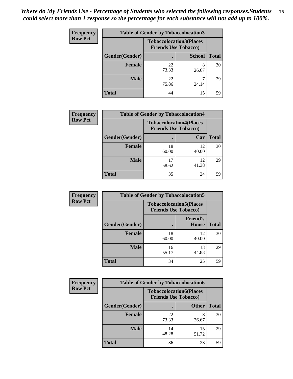| <b>Frequency</b> | <b>Table of Gender by Tobaccolocation3</b> |                                                               |               |              |
|------------------|--------------------------------------------|---------------------------------------------------------------|---------------|--------------|
| <b>Row Pct</b>   |                                            | <b>Tobaccolocation3(Places</b><br><b>Friends Use Tobacco)</b> |               |              |
|                  | Gender(Gender)                             |                                                               | <b>School</b> | <b>Total</b> |
|                  | Female                                     | 22<br>73.33                                                   | 26.67         | 30           |
|                  | <b>Male</b>                                | 22<br>75.86                                                   | 24.14         | 29           |
|                  | <b>Total</b>                               | 44                                                            | 15            | 59           |

| <b>Frequency</b> | <b>Table of Gender by Tobaccolocation4</b> |                                                               |             |              |
|------------------|--------------------------------------------|---------------------------------------------------------------|-------------|--------------|
| <b>Row Pct</b>   |                                            | <b>Tobaccolocation4(Places</b><br><b>Friends Use Tobacco)</b> |             |              |
|                  | Gender(Gender)                             |                                                               | Car         | <b>Total</b> |
|                  | <b>Female</b>                              | 18<br>60.00                                                   | 12<br>40.00 | 30           |
|                  | <b>Male</b>                                | 58.62                                                         | 12<br>41.38 | 29           |
|                  | <b>Total</b>                               | 35                                                            | 24          | 59           |

| <b>Frequency</b> | <b>Table of Gender by Tobaccolocation5</b> |                                                               |                                 |              |
|------------------|--------------------------------------------|---------------------------------------------------------------|---------------------------------|--------------|
| <b>Row Pct</b>   |                                            | <b>Tobaccolocation5(Places</b><br><b>Friends Use Tobacco)</b> |                                 |              |
|                  | Gender(Gender)                             |                                                               | <b>Friend's</b><br><b>House</b> | <b>Total</b> |
|                  | <b>Female</b>                              | 18<br>60.00                                                   | 12<br>40.00                     | 30           |
|                  | <b>Male</b>                                | 16<br>55.17                                                   | 13<br>44.83                     | 29           |
|                  | <b>Total</b>                               | 34                                                            | 25                              | 59           |

| <b>Frequency</b> | <b>Table of Gender by Tobaccolocation6</b> |                                                               |              |              |
|------------------|--------------------------------------------|---------------------------------------------------------------|--------------|--------------|
| <b>Row Pct</b>   |                                            | <b>Tobaccolocation6(Places</b><br><b>Friends Use Tobacco)</b> |              |              |
|                  | Gender(Gender)                             |                                                               | <b>Other</b> | <b>Total</b> |
|                  | Female                                     | 22<br>73.33                                                   | 8<br>26.67   | 30           |
|                  | <b>Male</b>                                | 14<br>48.28                                                   | 15<br>51.72  | 29           |
|                  | <b>Total</b>                               | 36                                                            | 23           | 59           |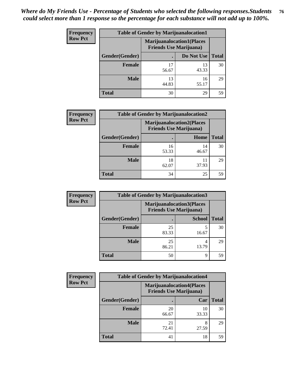| <b>Frequency</b> | <b>Table of Gender by Marijuanalocation1</b> |                                                                    |             |              |
|------------------|----------------------------------------------|--------------------------------------------------------------------|-------------|--------------|
| <b>Row Pct</b>   |                                              | <b>Marijuanalocation1(Places</b><br><b>Friends Use Marijuana</b> ) |             |              |
|                  | Gender(Gender)                               |                                                                    | Do Not Use  | <b>Total</b> |
|                  | <b>Female</b>                                | 17<br>56.67                                                        | 13<br>43.33 | 30           |
|                  | <b>Male</b>                                  | 13<br>44.83                                                        | 16<br>55.17 | 29           |
|                  | Total                                        | 30                                                                 | 29          | 59           |

| <b>Frequency</b> | <b>Table of Gender by Marijuanalocation2</b> |             |                                                                    |              |
|------------------|----------------------------------------------|-------------|--------------------------------------------------------------------|--------------|
| <b>Row Pct</b>   |                                              |             | <b>Marijuanalocation2(Places</b><br><b>Friends Use Marijuana</b> ) |              |
|                  | Gender(Gender)                               |             | Home                                                               | <b>Total</b> |
|                  | Female                                       | 16<br>53.33 | 14<br>46.67                                                        | 30           |
|                  | <b>Male</b>                                  | 18<br>62.07 | 37.93                                                              | 29           |
|                  | <b>Total</b>                                 | 34          | 25                                                                 | 59           |

| Frequency      | <b>Table of Gender by Marijuanalocation3</b> |                                                                    |               |              |
|----------------|----------------------------------------------|--------------------------------------------------------------------|---------------|--------------|
| <b>Row Pct</b> |                                              | <b>Marijuanalocation3(Places</b><br><b>Friends Use Marijuana</b> ) |               |              |
|                | Gender(Gender)                               |                                                                    | <b>School</b> | <b>Total</b> |
|                | Female                                       | 25<br>83.33                                                        | 5<br>16.67    | 30           |
|                | <b>Male</b>                                  | 25<br>86.21                                                        | 4<br>13.79    | 29           |
|                | <b>Total</b>                                 | 50                                                                 | 9             | 59           |

| <b>Frequency</b> | <b>Table of Gender by Marijuanalocation4</b> |                                                                    |             |              |
|------------------|----------------------------------------------|--------------------------------------------------------------------|-------------|--------------|
| <b>Row Pct</b>   |                                              | <b>Marijuanalocation4(Places</b><br><b>Friends Use Marijuana</b> ) |             |              |
|                  | Gender(Gender)                               |                                                                    | Car         | <b>Total</b> |
|                  | Female                                       | 20<br>66.67                                                        | 10<br>33.33 | 30           |
|                  | <b>Male</b>                                  | 21<br>72.41                                                        | 8<br>27.59  | 29           |
|                  | <b>Total</b>                                 | 41                                                                 | 18          | 59           |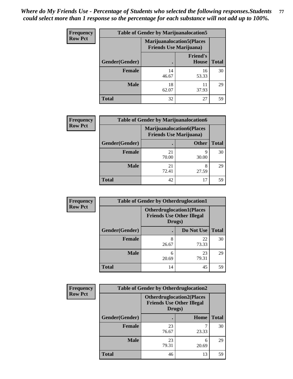| <b>Frequency</b> | <b>Table of Gender by Marijuanalocation5</b> |                                                                     |                                 |              |
|------------------|----------------------------------------------|---------------------------------------------------------------------|---------------------------------|--------------|
| <b>Row Pct</b>   |                                              | <b>Marijuanalocation5</b> (Places<br><b>Friends Use Marijuana</b> ) |                                 |              |
|                  | Gender(Gender)                               |                                                                     | <b>Friend's</b><br><b>House</b> | <b>Total</b> |
|                  | <b>Female</b>                                | 14<br>46.67                                                         | 16<br>53.33                     | 30           |
|                  | <b>Male</b>                                  | 18<br>62.07                                                         | 11<br>37.93                     | 29           |
|                  | <b>Total</b>                                 | 32                                                                  | 27                              | 59           |

| <b>Frequency</b> | <b>Table of Gender by Marijuanalocation6</b> |                                                                    |              |              |
|------------------|----------------------------------------------|--------------------------------------------------------------------|--------------|--------------|
| <b>Row Pct</b>   |                                              | <b>Marijuanalocation6(Places</b><br><b>Friends Use Marijuana</b> ) |              |              |
|                  | <b>Gender</b> (Gender)                       |                                                                    | <b>Other</b> | <b>Total</b> |
|                  | Female                                       | 21<br>70.00                                                        | q<br>30.00   | 30           |
|                  | <b>Male</b>                                  | 21<br>72.41                                                        | 8<br>27.59   | 29           |
|                  | Total                                        | 42                                                                 | 17           | 59           |

| <b>Frequency</b> | <b>Table of Gender by Otherdruglocation1</b> |                                                                                |             |              |
|------------------|----------------------------------------------|--------------------------------------------------------------------------------|-------------|--------------|
| <b>Row Pct</b>   |                                              | <b>Otherdruglocation1(Places</b><br><b>Friends Use Other Illegal</b><br>Drugs) |             |              |
|                  | Gender(Gender)                               |                                                                                | Do Not Use  | <b>Total</b> |
|                  | <b>Female</b>                                | 8<br>26.67                                                                     | 22<br>73.33 | 30           |
|                  | <b>Male</b>                                  | 6<br>20.69                                                                     | 23<br>79.31 | 29           |
|                  | <b>Total</b>                                 | 14                                                                             | 45          | 59           |

| <b>Frequency</b> | <b>Table of Gender by Otherdruglocation2</b> |                                            |                                  |              |
|------------------|----------------------------------------------|--------------------------------------------|----------------------------------|--------------|
| <b>Row Pct</b>   |                                              | <b>Friends Use Other Illegal</b><br>Drugs) | <b>Otherdruglocation2(Places</b> |              |
|                  | Gender(Gender)                               |                                            | Home                             | <b>Total</b> |
|                  | Female                                       | 23<br>76.67                                | 23.33                            | 30           |
|                  | <b>Male</b>                                  | 23<br>79.31                                | 6<br>20.69                       | 29           |
|                  | <b>Total</b>                                 | 46                                         | 13                               | 59           |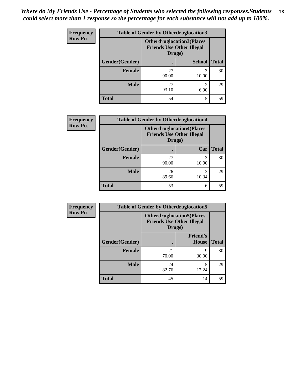| Frequency      | <b>Table of Gender by Otherdruglocation3</b> |                                                                                |               |              |
|----------------|----------------------------------------------|--------------------------------------------------------------------------------|---------------|--------------|
| <b>Row Pct</b> |                                              | <b>Otherdruglocation3(Places</b><br><b>Friends Use Other Illegal</b><br>Drugs) |               |              |
|                | Gender(Gender)                               |                                                                                | <b>School</b> | <b>Total</b> |
|                | <b>Female</b>                                | 27<br>90.00                                                                    | 3<br>10.00    | 30           |
|                | <b>Male</b>                                  | 27<br>93.10                                                                    | ∍<br>6.90     | 29           |
|                | <b>Total</b>                                 | 54                                                                             | 5             | 59           |

| Frequency      | <b>Table of Gender by Otherdruglocation4</b> |                                                                                |            |              |
|----------------|----------------------------------------------|--------------------------------------------------------------------------------|------------|--------------|
| <b>Row Pct</b> |                                              | <b>Otherdruglocation4(Places</b><br><b>Friends Use Other Illegal</b><br>Drugs) |            |              |
|                | Gender(Gender)                               |                                                                                | Car        | <b>Total</b> |
|                | Female                                       | 27<br>90.00                                                                    | 3<br>10.00 | 30           |
|                | <b>Male</b>                                  | 26<br>89.66                                                                    | 3<br>10.34 | 29           |
|                | <b>Total</b>                                 | 53                                                                             | 6          | 59           |

| Frequency      | <b>Table of Gender by Otherdruglocation5</b> |                                                                                |                                 |              |
|----------------|----------------------------------------------|--------------------------------------------------------------------------------|---------------------------------|--------------|
| <b>Row Pct</b> |                                              | <b>Otherdruglocation5(Places</b><br><b>Friends Use Other Illegal</b><br>Drugs) |                                 |              |
|                | Gender(Gender)                               |                                                                                | <b>Friend's</b><br><b>House</b> | <b>Total</b> |
|                | <b>Female</b>                                | 21<br>70.00                                                                    | q<br>30.00                      | 30           |
|                | <b>Male</b>                                  | 24<br>82.76                                                                    | 17.24                           | 29           |
|                | <b>Total</b>                                 | 45                                                                             | 14                              | 59           |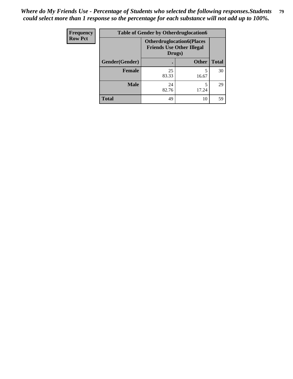| Frequency      | <b>Table of Gender by Otherdruglocation6</b> |                                                                                |              |              |
|----------------|----------------------------------------------|--------------------------------------------------------------------------------|--------------|--------------|
| <b>Row Pct</b> |                                              | <b>Otherdruglocation6(Places</b><br><b>Friends Use Other Illegal</b><br>Drugs) |              |              |
|                | Gender(Gender)                               |                                                                                | <b>Other</b> | <b>Total</b> |
|                | Female                                       | 25<br>83.33                                                                    | 16.67        | 30           |
|                | <b>Male</b>                                  | 24<br>82.76                                                                    | 17.24        | 29           |
|                | <b>Total</b>                                 | 49                                                                             | 10           | 59           |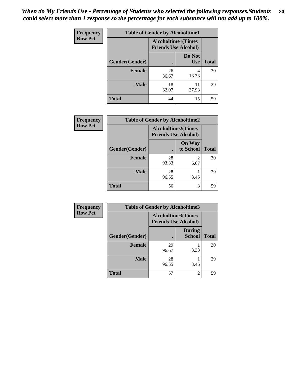| Frequency      | <b>Table of Gender by Alcoholtime1</b> |                                                          |                      |              |
|----------------|----------------------------------------|----------------------------------------------------------|----------------------|--------------|
| <b>Row Pct</b> |                                        | <b>Alcoholtime1(Times</b><br><b>Friends Use Alcohol)</b> |                      |              |
|                | Gender(Gender)                         | c                                                        | Do Not<br><b>Use</b> | <b>Total</b> |
|                | <b>Female</b>                          | 26<br>86.67                                              | 4<br>13.33           | 30           |
|                | <b>Male</b>                            | 18<br>62.07                                              | 11<br>37.93          | 29           |
|                | <b>Total</b>                           | 44                                                       | 15                   | 59           |

| Frequency      | <b>Table of Gender by Alcoholtime2</b> |                                                          |                            |              |
|----------------|----------------------------------------|----------------------------------------------------------|----------------------------|--------------|
| <b>Row Pct</b> |                                        | <b>Alcoholtime2(Times</b><br><b>Friends Use Alcohol)</b> |                            |              |
|                | Gender(Gender)                         |                                                          | <b>On Way</b><br>to School | <b>Total</b> |
|                | <b>Female</b>                          | 28<br>93.33                                              | 2<br>6.67                  | 30           |
|                | <b>Male</b>                            | 28<br>96.55                                              | 3.45                       | 29           |
|                | <b>Total</b>                           | 56                                                       | 3                          | 59           |

| <b>Frequency</b> | <b>Table of Gender by Alcoholtime3</b> |                                                          |                         |              |
|------------------|----------------------------------------|----------------------------------------------------------|-------------------------|--------------|
| <b>Row Pct</b>   |                                        | <b>Alcoholtime3(Times</b><br><b>Friends Use Alcohol)</b> |                         |              |
|                  | Gender(Gender)                         |                                                          | <b>During</b><br>School | <b>Total</b> |
|                  | Female                                 | 29<br>96.67                                              | 3.33                    | 30           |
|                  | <b>Male</b>                            | 28<br>96.55                                              | 3.45                    | 29           |
|                  | <b>Total</b>                           | 57                                                       | $\overline{c}$          | 59           |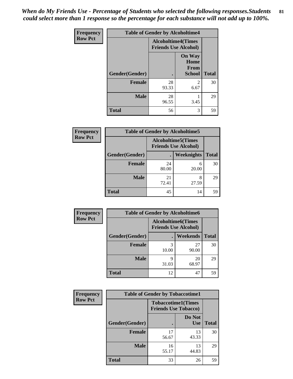*When do My Friends Use - Percentage of Students who selected the following responses.Students could select more than 1 response so the percentage for each substance will not add up to 100%.* **81**

| Frequency      | <b>Table of Gender by Alcoholtime4</b> |                                                          |                                                |              |
|----------------|----------------------------------------|----------------------------------------------------------|------------------------------------------------|--------------|
| <b>Row Pct</b> |                                        | <b>Alcoholtime4(Times</b><br><b>Friends Use Alcohol)</b> |                                                |              |
|                | Gender(Gender)                         | $\bullet$                                                | <b>On Way</b><br>Home<br>From<br><b>School</b> | <b>Total</b> |
|                | <b>Female</b>                          | 28<br>93.33                                              | 2<br>6.67                                      | 30           |
|                | <b>Male</b>                            | 28<br>96.55                                              | 3.45                                           | 29           |
|                | <b>Total</b>                           | 56                                                       | 3                                              | 59           |

| <b>Frequency</b> | <b>Table of Gender by Alcoholtime5</b> |                                                           |            |              |
|------------------|----------------------------------------|-----------------------------------------------------------|------------|--------------|
| <b>Row Pct</b>   |                                        | <b>Alcoholtime5</b> (Times<br><b>Friends Use Alcohol)</b> |            |              |
|                  | Gender(Gender)                         |                                                           | Weeknights | <b>Total</b> |
|                  | <b>Female</b>                          | 24<br>80.00                                               | 6<br>20.00 | 30           |
|                  | <b>Male</b>                            | 21<br>72.41                                               | 8<br>27.59 | 29           |
|                  | <b>Total</b>                           | 45                                                        | 14         | 59           |

| <b>Frequency</b> |                | <b>Table of Gender by Alcoholtime6</b> |                                                          |              |  |
|------------------|----------------|----------------------------------------|----------------------------------------------------------|--------------|--|
| <b>Row Pct</b>   |                |                                        | <b>Alcoholtime6(Times</b><br><b>Friends Use Alcohol)</b> |              |  |
|                  | Gender(Gender) |                                        | <b>Weekends</b>                                          | <b>Total</b> |  |
|                  | Female         | 3<br>10.00                             | 27<br>90.00                                              | 30           |  |
|                  | <b>Male</b>    | Q<br>31.03                             | 20<br>68.97                                              | 29           |  |
|                  | <b>Total</b>   | 12                                     | 47                                                       | 59           |  |

| Frequency      | <b>Table of Gender by Tobaccotime1</b> |                                                          |                      |              |
|----------------|----------------------------------------|----------------------------------------------------------|----------------------|--------------|
| <b>Row Pct</b> |                                        | <b>Tobaccotime1(Times</b><br><b>Friends Use Tobacco)</b> |                      |              |
|                | Gender(Gender)                         |                                                          | Do Not<br><b>Use</b> | <b>Total</b> |
|                | Female                                 | 17<br>56.67                                              | 13<br>43.33          | 30           |
|                | <b>Male</b>                            | 16<br>55.17                                              | 13<br>44.83          | 29           |
|                | <b>Total</b>                           | 33                                                       | 26                   | 59           |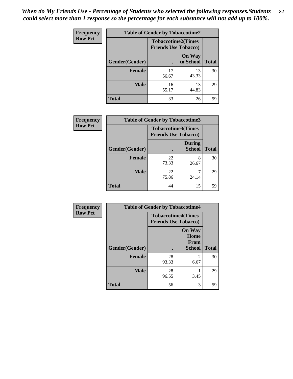| <b>Frequency</b> | <b>Table of Gender by Tobaccotime2</b> |                             |                            |              |
|------------------|----------------------------------------|-----------------------------|----------------------------|--------------|
| <b>Row Pct</b>   |                                        | <b>Friends Use Tobacco)</b> | <b>Tobaccotime2(Times</b>  |              |
|                  | Gender(Gender)                         |                             | <b>On Way</b><br>to School | <b>Total</b> |
|                  | <b>Female</b>                          | 17<br>56.67                 | 13<br>43.33                | 30           |
|                  | <b>Male</b>                            | 16<br>55.17                 | 13<br>44.83                | 29           |
|                  | <b>Total</b>                           | 33                          | 26                         | 59           |

| <b>Frequency</b> | <b>Table of Gender by Tobaccotime3</b> |                                                          |                                |              |
|------------------|----------------------------------------|----------------------------------------------------------|--------------------------------|--------------|
| <b>Row Pct</b>   |                                        | <b>Tobaccotime3(Times</b><br><b>Friends Use Tobacco)</b> |                                |              |
|                  | Gender(Gender)                         |                                                          | <b>During</b><br><b>School</b> | <b>Total</b> |
|                  | <b>Female</b>                          | 22<br>73.33                                              | 8<br>26.67                     | 30           |
|                  | <b>Male</b>                            | 22<br>75.86                                              | 24.14                          | 29           |
|                  | <b>Total</b>                           | 44                                                       | 15                             | 59           |

| <b>Frequency</b> | <b>Table of Gender by Tobaccotime4</b> |                                                          |                                                |              |
|------------------|----------------------------------------|----------------------------------------------------------|------------------------------------------------|--------------|
| <b>Row Pct</b>   |                                        | <b>Tobaccotime4(Times</b><br><b>Friends Use Tobacco)</b> |                                                |              |
|                  | Gender(Gender)                         |                                                          | <b>On Way</b><br>Home<br>From<br><b>School</b> | <b>Total</b> |
|                  | <b>Female</b>                          | 28<br>93.33                                              | $\mathfrak{D}$<br>6.67                         | 30           |
|                  | <b>Male</b>                            | 28<br>96.55                                              | 3.45                                           | 29           |
|                  | <b>Total</b>                           | 56                                                       | 3                                              | 59           |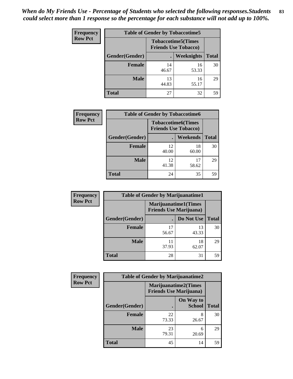| <b>Frequency</b> | <b>Table of Gender by Tobaccotime5</b> |             |                                                           |              |  |
|------------------|----------------------------------------|-------------|-----------------------------------------------------------|--------------|--|
| <b>Row Pct</b>   |                                        |             | <b>Tobaccotime5</b> (Times<br><b>Friends Use Tobacco)</b> |              |  |
|                  | Gender(Gender)                         |             | Weeknights                                                | <b>Total</b> |  |
|                  | <b>Female</b>                          | 14<br>46.67 | 16<br>53.33                                               | 30           |  |
|                  | <b>Male</b>                            | 13<br>44.83 | 16<br>55.17                                               | 29           |  |
|                  | <b>Total</b>                           | 27          | 32                                                        | 59           |  |

| <b>Frequency</b> | <b>Table of Gender by Tobaccotime6</b> |                                                          |                 |              |
|------------------|----------------------------------------|----------------------------------------------------------|-----------------|--------------|
| <b>Row Pct</b>   |                                        | <b>Tobaccotime6(Times</b><br><b>Friends Use Tobacco)</b> |                 |              |
|                  | Gender(Gender)                         |                                                          | <b>Weekends</b> | <b>Total</b> |
|                  | Female                                 | 12<br>40.00                                              | 18<br>60.00     | 30           |
|                  | <b>Male</b>                            | 12<br>41.38                                              | 17<br>58.62     | 29           |
|                  | <b>Total</b>                           | 24                                                       | 35              | 59           |

| <b>Frequency</b> | <b>Table of Gender by Marijuanatime1</b> |                                |                             |              |
|------------------|------------------------------------------|--------------------------------|-----------------------------|--------------|
| <b>Row Pct</b>   |                                          | <b>Friends Use Marijuana</b> ) | <b>Marijuanatime1(Times</b> |              |
|                  | Gender(Gender)                           |                                | Do Not Use                  | <b>Total</b> |
|                  | <b>Female</b>                            | 17<br>56.67                    | 13<br>43.33                 | 30           |
|                  | <b>Male</b>                              | 11<br>37.93                    | 18<br>62.07                 | 29           |
|                  | <b>Total</b>                             | 28                             | 31                          | 59           |

| <b>Frequency</b> | <b>Table of Gender by Marijuanatime2</b> |                                |                             |              |
|------------------|------------------------------------------|--------------------------------|-----------------------------|--------------|
| <b>Row Pct</b>   |                                          | <b>Friends Use Marijuana</b> ) | <b>Marijuanatime2(Times</b> |              |
|                  | Gender(Gender)                           |                                | On Way to<br><b>School</b>  | <b>Total</b> |
|                  | Female                                   | 22<br>73.33                    | 8<br>26.67                  | 30           |
|                  | <b>Male</b>                              | 23<br>79.31                    | 6<br>20.69                  | 29           |
|                  | <b>Total</b>                             | 45                             | 14                          | 59           |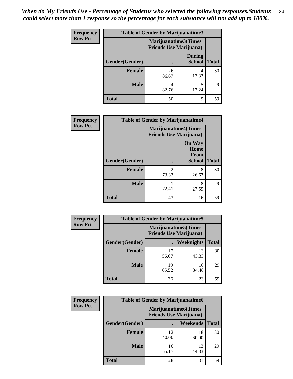| <b>Frequency</b> | <b>Table of Gender by Marijuanatime3</b> |                                                        |                                |              |
|------------------|------------------------------------------|--------------------------------------------------------|--------------------------------|--------------|
| <b>Row Pct</b>   |                                          | Marijuanatime3(Times<br><b>Friends Use Marijuana</b> ) |                                |              |
|                  | Gender(Gender)                           |                                                        | <b>During</b><br><b>School</b> | <b>Total</b> |
|                  | <b>Female</b>                            | 26<br>86.67                                            | 4<br>13.33                     | 30           |
|                  | <b>Male</b>                              | 24<br>82.76                                            | 5<br>17.24                     | 29           |
|                  | <b>Total</b>                             | 50                                                     | 9                              | 59           |

| Frequency      | <b>Table of Gender by Marijuanatime4</b> |                             |                                                       |              |
|----------------|------------------------------------------|-----------------------------|-------------------------------------------------------|--------------|
| <b>Row Pct</b> |                                          | <b>Marijuanatime4(Times</b> | <b>Friends Use Marijuana</b> )                        |              |
|                | Gender(Gender)                           |                             | <b>On Way</b><br>Home<br><b>From</b><br><b>School</b> | <b>Total</b> |
|                | <b>Female</b>                            | 22<br>73.33                 | 8<br>26.67                                            | 30           |
|                | <b>Male</b>                              | 21<br>72.41                 | 8<br>27.59                                            | 29           |
|                | <b>Total</b>                             | 43                          | 16                                                    | 59           |

| <b>Frequency</b> | <b>Table of Gender by Marijuanatime5</b> |             |                                                                |              |  |
|------------------|------------------------------------------|-------------|----------------------------------------------------------------|--------------|--|
| <b>Row Pct</b>   |                                          |             | <b>Marijuanatime5</b> (Times<br><b>Friends Use Marijuana</b> ) |              |  |
|                  | Gender(Gender)                           |             | Weeknights                                                     | <b>Total</b> |  |
|                  | <b>Female</b>                            | 17<br>56.67 | 13<br>43.33                                                    | 30           |  |
|                  | <b>Male</b>                              | 19<br>65.52 | 10<br>34.48                                                    | 29           |  |
|                  | <b>Total</b>                             | 36          | 23                                                             | 59           |  |

| <b>Frequency</b> | <b>Table of Gender by Marijuanatime6</b> |                                                               |                 |              |  |
|------------------|------------------------------------------|---------------------------------------------------------------|-----------------|--------------|--|
| <b>Row Pct</b>   |                                          | <b>Marijuanatime6(Times</b><br><b>Friends Use Marijuana</b> ) |                 |              |  |
|                  | Gender(Gender)                           |                                                               | <b>Weekends</b> | <b>Total</b> |  |
|                  | <b>Female</b>                            | 12<br>40.00                                                   | 18<br>60.00     | 30           |  |
|                  | <b>Male</b>                              | 16<br>55.17                                                   | 13<br>44.83     | 29           |  |
|                  | <b>Total</b>                             | 28                                                            | 31              | 59           |  |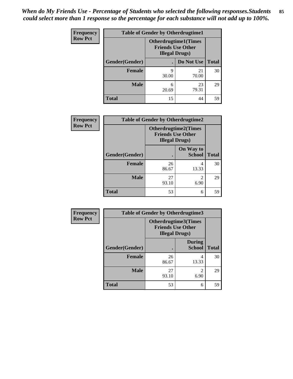| <b>Frequency</b> | <b>Table of Gender by Otherdrugtime1</b> |                                                                                   |             |              |  |
|------------------|------------------------------------------|-----------------------------------------------------------------------------------|-------------|--------------|--|
| <b>Row Pct</b>   |                                          | <b>Otherdrugtime1</b> (Times<br><b>Friends Use Other</b><br><b>Illegal Drugs)</b> |             |              |  |
|                  | Gender(Gender)                           |                                                                                   | Do Not Use  | <b>Total</b> |  |
|                  | <b>Female</b>                            | 9<br>30.00                                                                        | 21<br>70.00 | 30           |  |
|                  | <b>Male</b>                              | 6<br>20.69                                                                        | 23<br>79.31 | 29           |  |
|                  | <b>Total</b>                             | 15                                                                                | 44          | 59           |  |

| Frequency      | <b>Table of Gender by Otherdrugtime2</b> |                                                                                   |                            |              |
|----------------|------------------------------------------|-----------------------------------------------------------------------------------|----------------------------|--------------|
| <b>Row Pct</b> |                                          | <b>Otherdrugtime2(Times</b><br><b>Friends Use Other</b><br><b>Illegal Drugs</b> ) |                            |              |
|                | Gender(Gender)                           |                                                                                   | On Way to<br><b>School</b> | <b>Total</b> |
|                | <b>Female</b>                            | 26<br>86.67                                                                       | 4<br>13.33                 | 30           |
|                | <b>Male</b>                              | 27<br>93.10                                                                       | $\mathfrak{D}$<br>6.90     | 29           |
|                | <b>Total</b>                             | 53                                                                                | 6                          | 59           |

| <b>Frequency</b> | <b>Table of Gender by Otherdrugtime3</b> |                        |                                                  |              |
|------------------|------------------------------------------|------------------------|--------------------------------------------------|--------------|
| <b>Row Pct</b>   |                                          | <b>Illegal Drugs</b> ) | Otherdrugtime3(Times<br><b>Friends Use Other</b> |              |
|                  | Gender(Gender)                           | $\bullet$              | <b>During</b><br><b>School</b>                   | <b>Total</b> |
|                  | <b>Female</b>                            | 26<br>86.67            | 4<br>13.33                                       | 30           |
|                  | <b>Male</b>                              | 27<br>93.10            | $\mathfrak{D}$<br>6.90                           | 29           |
|                  | <b>Total</b>                             | 53                     | 6                                                | 59           |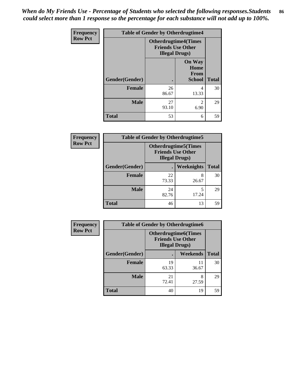*When do My Friends Use - Percentage of Students who selected the following responses.Students could select more than 1 response so the percentage for each substance will not add up to 100%.* **86**

| <b>Frequency</b> | <b>Table of Gender by Otherdrugtime4</b> |                                                    |                                                       |              |
|------------------|------------------------------------------|----------------------------------------------------|-------------------------------------------------------|--------------|
| <b>Row Pct</b>   |                                          | <b>Friends Use Other</b><br><b>Illegal Drugs</b> ) | <b>Otherdrugtime4(Times</b>                           |              |
|                  | Gender(Gender)                           |                                                    | <b>On Way</b><br>Home<br><b>From</b><br><b>School</b> | <b>Total</b> |
|                  | <b>Female</b>                            | 26<br>86.67                                        | 4<br>13.33                                            | 30           |
|                  | <b>Male</b>                              | 27<br>93.10                                        | $\mathfrak{D}$<br>6.90                                | 29           |
|                  | <b>Total</b>                             | 53                                                 | 6                                                     | 59           |

| <b>Frequency</b> | <b>Table of Gender by Otherdrugtime5</b> |             |                                                                                    |              |  |
|------------------|------------------------------------------|-------------|------------------------------------------------------------------------------------|--------------|--|
| <b>Row Pct</b>   |                                          |             | <b>Otherdrugtime5</b> (Times<br><b>Friends Use Other</b><br><b>Illegal Drugs</b> ) |              |  |
|                  | Gender(Gender)                           |             | Weeknights                                                                         | <b>Total</b> |  |
|                  | <b>Female</b>                            | 22<br>73.33 | 8<br>26.67                                                                         | 30           |  |
|                  | <b>Male</b>                              | 24<br>82.76 | 17.24                                                                              | 29           |  |
|                  | <b>Total</b>                             | 46          | 13                                                                                 | 59           |  |

| Frequency      | <b>Table of Gender by Otherdrugtime6</b> |                                                                                   |             |              |
|----------------|------------------------------------------|-----------------------------------------------------------------------------------|-------------|--------------|
| <b>Row Pct</b> |                                          | <b>Otherdrugtime6(Times</b><br><b>Friends Use Other</b><br><b>Illegal Drugs</b> ) |             |              |
|                | Gender(Gender)                           |                                                                                   | Weekends    | <b>Total</b> |
|                | <b>Female</b>                            | 19<br>63.33                                                                       | 11<br>36.67 | 30           |
|                | <b>Male</b>                              | 21<br>72.41                                                                       | 8<br>27.59  | 29           |
|                | <b>Total</b>                             | 40                                                                                | 19          | 59           |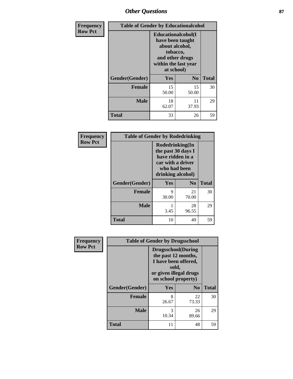## *Other Questions* **87**

| Frequency      | <b>Table of Gender by Educationalcohol</b> |                                                                                                                               |                |              |
|----------------|--------------------------------------------|-------------------------------------------------------------------------------------------------------------------------------|----------------|--------------|
| <b>Row Pct</b> |                                            | Educationalcohol(I<br>have been taught<br>about alcohol,<br>tobacco,<br>and other drugs<br>within the last year<br>at school) |                |              |
|                | Gender(Gender)                             | Yes                                                                                                                           | N <sub>0</sub> | <b>Total</b> |
|                | <b>Female</b>                              | 15<br>50.00                                                                                                                   | 15<br>50.00    | 30           |
|                | <b>Male</b>                                | 18<br>62.07                                                                                                                   | 11<br>37.93    | 29           |
|                | <b>Total</b>                               | 33                                                                                                                            | 26             | 59           |

| Frequency      | <b>Table of Gender by Rodedrinking</b> |                                                                                                                     |             |              |  |
|----------------|----------------------------------------|---------------------------------------------------------------------------------------------------------------------|-------------|--------------|--|
| <b>Row Pct</b> |                                        | Rodedrinking(In<br>the past 30 days I<br>have ridden in a<br>car with a driver<br>who had been<br>drinking alcohol) |             |              |  |
|                | Gender(Gender)                         | Yes                                                                                                                 | $\bf N_0$   | <b>Total</b> |  |
|                | <b>Female</b>                          | 9<br>30.00                                                                                                          | 21<br>70.00 | 30           |  |
|                | <b>Male</b>                            | 3.45                                                                                                                | 28<br>96.55 | 29           |  |
|                | <b>Total</b>                           | 10                                                                                                                  | 49          | 59           |  |

| Frequency      | <b>Table of Gender by Drugsschool</b> |                                                                                                                                     |                |              |
|----------------|---------------------------------------|-------------------------------------------------------------------------------------------------------------------------------------|----------------|--------------|
| <b>Row Pct</b> |                                       | <b>Drugsschool</b> (During<br>the past 12 months,<br>I have been offered,<br>sold,<br>or given illegal drugs<br>on school property) |                |              |
|                | Gender(Gender)                        | Yes                                                                                                                                 | N <sub>0</sub> | <b>Total</b> |
|                | <b>Female</b>                         | 8<br>26.67                                                                                                                          | 22<br>73.33    | 30           |
|                | <b>Male</b>                           | 3<br>10.34                                                                                                                          | 26<br>89.66    | 29           |
|                | <b>Total</b>                          | 11                                                                                                                                  | 48             | 59           |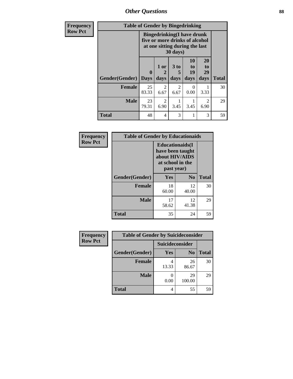*Other Questions* **88**

| <b>Frequency</b> | <b>Table of Gender by Bingedrinking</b> |                                                                                                                   |                        |                              |                        |                                     |              |
|------------------|-----------------------------------------|-------------------------------------------------------------------------------------------------------------------|------------------------|------------------------------|------------------------|-------------------------------------|--------------|
| <b>Row Pct</b>   |                                         | <b>Bingedrinking(I have drunk</b><br>five or more drinks of alcohol<br>at one sitting during the last<br>30 days) |                        |                              |                        |                                     |              |
|                  | Gender(Gender)                          | $\mathbf{0}$<br><b>Days</b>                                                                                       | 1 or<br>days           | 3 <sub>to</sub><br>5<br>days | 10<br>to<br>19<br>days | 20<br>to<br>29<br>days              | <b>Total</b> |
|                  | Female                                  | 25<br>83.33                                                                                                       | $\mathfrak{D}$<br>6.67 | $\mathfrak{D}$<br>6.67       | $\Omega$<br>0.00       | 3.33                                | 30           |
|                  | <b>Male</b>                             | 23<br>79.31                                                                                                       | $\mathfrak{D}$<br>6.90 | 3.45                         | 3.45                   | $\mathcal{D}_{\mathcal{L}}$<br>6.90 | 29           |
|                  | <b>Total</b>                            | 48                                                                                                                | $\overline{4}$         | 3                            |                        | 3                                   | 59           |

| Frequency      | <b>Table of Gender by Educationaids</b> |                                                                                                 |                |              |  |
|----------------|-----------------------------------------|-------------------------------------------------------------------------------------------------|----------------|--------------|--|
| <b>Row Pct</b> |                                         | <b>Educationaids</b> (I<br>have been taught<br>about HIV/AIDS<br>at school in the<br>past year) |                |              |  |
|                | Gender(Gender)                          | Yes                                                                                             | $\mathbf{N_0}$ | <b>Total</b> |  |
|                | <b>Female</b>                           | 18<br>60.00                                                                                     | 12<br>40.00    | 30           |  |
|                | <b>Male</b>                             | 17<br>58.62                                                                                     | 12<br>41.38    | 29           |  |
|                | <b>Total</b>                            | 35                                                                                              | 24             | 59           |  |

| Frequency      | <b>Table of Gender by Suicideconsider</b> |                 |                |              |
|----------------|-------------------------------------------|-----------------|----------------|--------------|
| <b>Row Pct</b> |                                           | Suicideconsider |                |              |
|                | Gender(Gender)                            | Yes             | N <sub>0</sub> | <b>Total</b> |
|                | <b>Female</b>                             | 13.33           | 26<br>86.67    | 30           |
|                | <b>Male</b>                               | 0.00            | 29<br>100.00   | 29           |
|                | <b>Total</b>                              |                 | 55             | 59           |